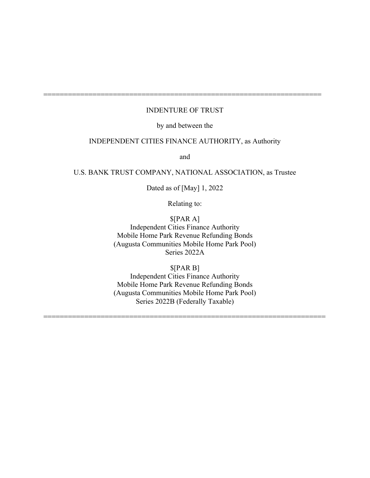# INDENTURE OF TRUST

====================================================================

## by and between the

# INDEPENDENT CITIES FINANCE AUTHORITY, as Authority

and

## U.S. BANK TRUST COMPANY, NATIONAL ASSOCIATION, as Trustee

Dated as of [May] 1, 2022

Relating to:

\$[PAR A] Independent Cities Finance Authority Mobile Home Park Revenue Refunding Bonds (Augusta Communities Mobile Home Park Pool) Series 2022A

\$[PAR B]

Independent Cities Finance Authority Mobile Home Park Revenue Refunding Bonds (Augusta Communities Mobile Home Park Pool) Series 2022B (Federally Taxable)

=====================================================================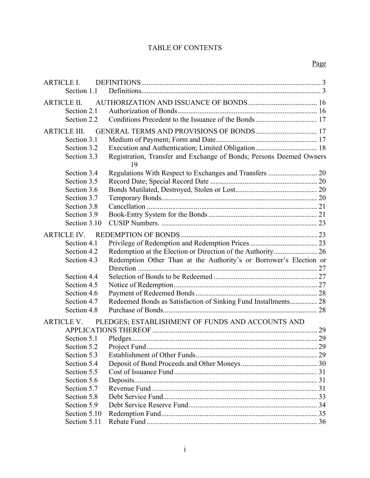# TABLE OF CONTENTS

| ARTICLE I.          |                                                                           |  |
|---------------------|---------------------------------------------------------------------------|--|
| Section 1.1         |                                                                           |  |
| <b>ARTICLE II.</b>  |                                                                           |  |
| Section 2.1         |                                                                           |  |
| Section 2.2         |                                                                           |  |
| <b>ARTICLE III.</b> |                                                                           |  |
| Section 3.1         |                                                                           |  |
| Section 3.2         |                                                                           |  |
| Section 3.3         | Registration, Transfer and Exchange of Bonds; Persons Deemed Owners<br>19 |  |
| Section 3.4         |                                                                           |  |
| Section 3.5         |                                                                           |  |
| Section 3.6         |                                                                           |  |
| Section 3.7         |                                                                           |  |
| Section 3.8         |                                                                           |  |
| Section 3.9         |                                                                           |  |
| Section 3.10        |                                                                           |  |
| <b>ARTICLE IV.</b>  |                                                                           |  |
| Section 4.1         |                                                                           |  |
| Section 4.2         |                                                                           |  |
| Section 4.3         | Redemption Other Than at the Authority's or Borrower's Election or        |  |
|                     |                                                                           |  |
| Section 4.4         |                                                                           |  |
| Section 4.5         |                                                                           |  |
| Section 4.6         |                                                                           |  |
| Section 4.7         | Redeemed Bonds as Satisfaction of Sinking Fund Installments 28            |  |
| Section 4.8         |                                                                           |  |
| <b>ARTICLE V.</b>   | PLEDGES; ESTABLISHMENT OF FUNDS AND ACCOUNTS AND                          |  |
|                     |                                                                           |  |
| Section 5.1         |                                                                           |  |
| Section 5.2         |                                                                           |  |
| Section 5.3         |                                                                           |  |
| Section 5.4         |                                                                           |  |
| Section 5.5         |                                                                           |  |
| Section 5.6         |                                                                           |  |
| Section 5.7         |                                                                           |  |
| Section 5.8         |                                                                           |  |
| Section 5.9         |                                                                           |  |
| Section 5.10        |                                                                           |  |
| Section 5.11        |                                                                           |  |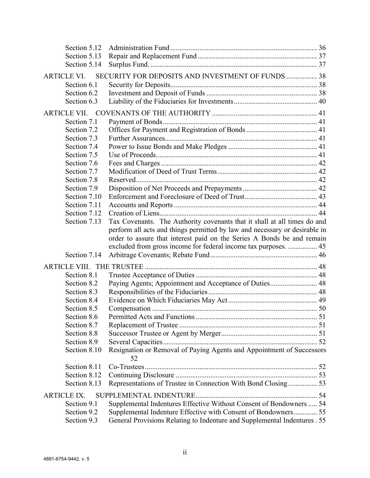| Section 5.13               |                                                                                                                                             |  |
|----------------------------|---------------------------------------------------------------------------------------------------------------------------------------------|--|
| Section 5.14               |                                                                                                                                             |  |
| <b>ARTICLE VI.</b>         | SECURITY FOR DEPOSITS AND INVESTMENT OF FUNDS  38                                                                                           |  |
| Section 6.1                |                                                                                                                                             |  |
| Section 6.2                |                                                                                                                                             |  |
| Section 6.3                |                                                                                                                                             |  |
| <b>ARTICLE VII.</b>        |                                                                                                                                             |  |
| Section 7.1                |                                                                                                                                             |  |
| Section 7.2                |                                                                                                                                             |  |
| Section 7.3                |                                                                                                                                             |  |
| Section 7.4                |                                                                                                                                             |  |
| Section 7.5                |                                                                                                                                             |  |
| Section 7.6                |                                                                                                                                             |  |
| Section 7.7                |                                                                                                                                             |  |
| Section 7.8                |                                                                                                                                             |  |
| Section 7.9                |                                                                                                                                             |  |
| Section 7.10               |                                                                                                                                             |  |
| Section 7.11               |                                                                                                                                             |  |
| Section 7.12               |                                                                                                                                             |  |
| Section 7.13               | Tax Covenants. The Authority covenants that it shall at all times do and                                                                    |  |
|                            | perform all acts and things permitted by law and necessary or desirable in                                                                  |  |
|                            | order to assure that interest paid on the Series A Bonds be and remain                                                                      |  |
|                            |                                                                                                                                             |  |
|                            |                                                                                                                                             |  |
|                            | excluded from gross income for federal income tax purposes.  45                                                                             |  |
| Section 7.14               |                                                                                                                                             |  |
| <b>ARTICLE VIII.</b>       |                                                                                                                                             |  |
| Section 8.1                |                                                                                                                                             |  |
| Section 8.2                | Paying Agents; Appointment and Acceptance of Duties 48                                                                                      |  |
| Section 8.3                |                                                                                                                                             |  |
| Section 8.4                |                                                                                                                                             |  |
| Section 8.5                |                                                                                                                                             |  |
| Section 8.6                |                                                                                                                                             |  |
| Section 8.7                |                                                                                                                                             |  |
| Section 8.8                |                                                                                                                                             |  |
| Section 8.9                |                                                                                                                                             |  |
| Section 8.10               | Resignation or Removal of Paying Agents and Appointment of Successors<br>52                                                                 |  |
| Section 8.11               |                                                                                                                                             |  |
| Section 8.12               |                                                                                                                                             |  |
| Section 8.13               | Representations of Trustee in Connection With Bond Closing 53                                                                               |  |
| <b>ARTICLE IX.</b>         |                                                                                                                                             |  |
| Section 9.1                | Supplemental Indentures Effective Without Consent of Bondowners  54                                                                         |  |
| Section 9.2<br>Section 9.3 | Supplemental Indenture Effective with Consent of Bondowners 55<br>General Provisions Relating to Indenture and Supplemental Indentures . 55 |  |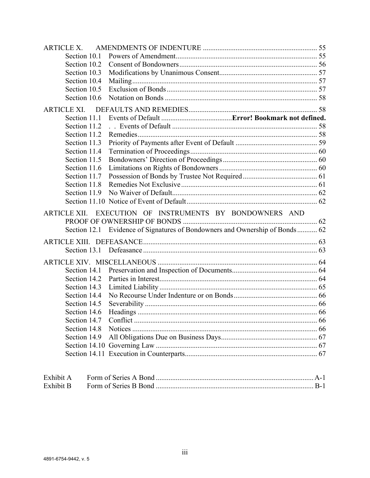| <b>ARTICLE X.</b>            |                                                                             |  |
|------------------------------|-----------------------------------------------------------------------------|--|
| Section 10.1                 |                                                                             |  |
| Section 10.2                 |                                                                             |  |
| Section 10.3                 |                                                                             |  |
| Section 10.4                 |                                                                             |  |
| Section 10.5                 |                                                                             |  |
| Section 10.6                 |                                                                             |  |
| <b>ARTICLE XI.</b>           |                                                                             |  |
| Section 11.1                 |                                                                             |  |
| Section 11.2                 |                                                                             |  |
| Section 11.2                 |                                                                             |  |
| Section 11.3                 |                                                                             |  |
| Section 11.4                 |                                                                             |  |
| Section 11.5                 |                                                                             |  |
| Section 11.6                 |                                                                             |  |
| Section 11.7                 |                                                                             |  |
| Section 11.8                 |                                                                             |  |
| Section 11.9                 |                                                                             |  |
|                              |                                                                             |  |
|                              | ARTICLE XII. EXECUTION OF INSTRUMENTS BY BONDOWNERS AND                     |  |
|                              |                                                                             |  |
|                              | Section 12.1 Evidence of Signatures of Bondowners and Ownership of Bonds 62 |  |
|                              |                                                                             |  |
|                              |                                                                             |  |
|                              |                                                                             |  |
|                              |                                                                             |  |
|                              |                                                                             |  |
| Section 14.2<br>Section 14.3 |                                                                             |  |
| Section 14.4                 |                                                                             |  |
| Section 14.5                 |                                                                             |  |
| Section 14.6                 |                                                                             |  |
|                              |                                                                             |  |
|                              |                                                                             |  |
|                              |                                                                             |  |
|                              |                                                                             |  |
|                              |                                                                             |  |
|                              |                                                                             |  |
| Exhibit A                    |                                                                             |  |
| Exhibit B                    |                                                                             |  |

Exhibit B Form of Series B Bond ....................................................................................... B-1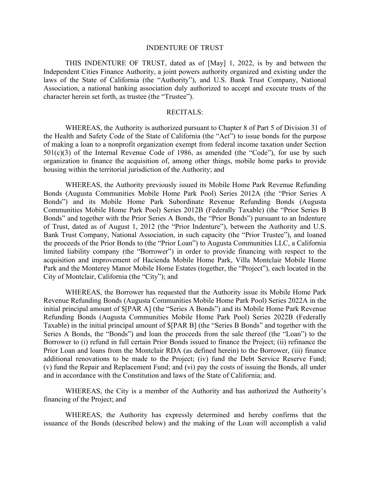#### INDENTURE OF TRUST

THIS INDENTURE OF TRUST, dated as of [May] 1, 2022, is by and between the Independent Cities Finance Authority, a joint powers authority organized and existing under the laws of the State of California (the "Authority"), and U.S. Bank Trust Company, National Association, a national banking association duly authorized to accept and execute trusts of the character herein set forth, as trustee (the "Trustee").

#### RECITALS:

WHEREAS, the Authority is authorized pursuant to Chapter 8 of Part 5 of Division 31 of the Health and Safety Code of the State of California (the "Act") to issue bonds for the purpose of making a loan to a nonprofit organization exempt from federal income taxation under Section 501(c)(3) of the Internal Revenue Code of 1986, as amended (the "Code"), for use by such organization to finance the acquisition of, among other things, mobile home parks to provide housing within the territorial jurisdiction of the Authority; and

WHEREAS, the Authority previously issued its Mobile Home Park Revenue Refunding Bonds (Augusta Communities Mobile Home Park Pool) Series 2012A (the "Prior Series A Bonds") and its Mobile Home Park Subordinate Revenue Refunding Bonds (Augusta Communities Mobile Home Park Pool) Series 2012B (Federally Taxable) (the "Prior Series B Bonds" and together with the Prior Series A Bonds, the "Prior Bonds") pursuant to an Indenture of Trust, dated as of August 1, 2012 (the "Prior Indenture"), between the Authority and U.S. Bank Trust Company, National Association, in such capacity (the "Prior Trustee"), and loaned the proceeds of the Prior Bonds to (the "Prior Loan") to Augusta Communities LLC, a California limited liability company (the "Borrower") in order to provide financing with respect to the acquisition and improvement of Hacienda Mobile Home Park, Villa Montclair Mobile Home Park and the Monterey Manor Mobile Home Estates (together, the "Project"), each located in the City of Montclair, California (the "City"); and

WHEREAS, the Borrower has requested that the Authority issue its Mobile Home Park Revenue Refunding Bonds (Augusta Communities Mobile Home Park Pool) Series 2022A in the initial principal amount of \$[PAR A] (the "Series A Bonds") and its Mobile Home Park Revenue Refunding Bonds (Augusta Communities Mobile Home Park Pool) Series 2022B (Federally Taxable) in the initial principal amount of \$[PAR B] (the "Series B Bonds" and together with the Series A Bonds, the "Bonds") and loan the proceeds from the sale thereof (the "Loan") to the Borrower to (i) refund in full certain Prior Bonds issued to finance the Project; (ii) refinance the Prior Loan and loans from the Montclair RDA (as defined herein) to the Borrower, (iii) finance additional renovations to be made to the Project; (iv) fund the Debt Service Reserve Fund; (v) fund the Repair and Replacement Fund; and (vi) pay the costs of issuing the Bonds, all under and in accordance with the Constitution and laws of the State of California; and.

WHEREAS, the City is a member of the Authority and has authorized the Authority's financing of the Project; and

WHEREAS, the Authority has expressly determined and hereby confirms that the issuance of the Bonds (described below) and the making of the Loan will accomplish a valid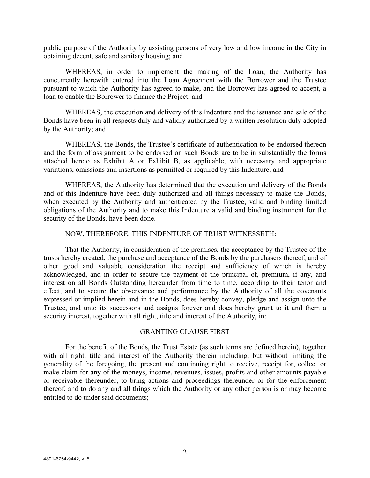public purpose of the Authority by assisting persons of very low and low income in the City in obtaining decent, safe and sanitary housing; and

WHEREAS, in order to implement the making of the Loan, the Authority has concurrently herewith entered into the Loan Agreement with the Borrower and the Trustee pursuant to which the Authority has agreed to make, and the Borrower has agreed to accept, a loan to enable the Borrower to finance the Project; and

WHEREAS, the execution and delivery of this Indenture and the issuance and sale of the Bonds have been in all respects duly and validly authorized by a written resolution duly adopted by the Authority; and

WHEREAS, the Bonds, the Trustee's certificate of authentication to be endorsed thereon and the form of assignment to be endorsed on such Bonds are to be in substantially the forms attached hereto as Exhibit A or Exhibit B, as applicable, with necessary and appropriate variations, omissions and insertions as permitted or required by this Indenture; and

WHEREAS, the Authority has determined that the execution and delivery of the Bonds and of this Indenture have been duly authorized and all things necessary to make the Bonds, when executed by the Authority and authenticated by the Trustee, valid and binding limited obligations of the Authority and to make this Indenture a valid and binding instrument for the security of the Bonds, have been done.

NOW, THEREFORE, THIS INDENTURE OF TRUST WITNESSETH:

That the Authority, in consideration of the premises, the acceptance by the Trustee of the trusts hereby created, the purchase and acceptance of the Bonds by the purchasers thereof, and of other good and valuable consideration the receipt and sufficiency of which is hereby acknowledged, and in order to secure the payment of the principal of, premium, if any, and interest on all Bonds Outstanding hereunder from time to time, according to their tenor and effect, and to secure the observance and performance by the Authority of all the covenants expressed or implied herein and in the Bonds, does hereby convey, pledge and assign unto the Trustee, and unto its successors and assigns forever and does hereby grant to it and them a security interest, together with all right, title and interest of the Authority, in:

#### GRANTING CLAUSE FIRST

For the benefit of the Bonds, the Trust Estate (as such terms are defined herein), together with all right, title and interest of the Authority therein including, but without limiting the generality of the foregoing, the present and continuing right to receive, receipt for, collect or make claim for any of the moneys, income, revenues, issues, profits and other amounts payable or receivable thereunder, to bring actions and proceedings thereunder or for the enforcement thereof, and to do any and all things which the Authority or any other person is or may become entitled to do under said documents;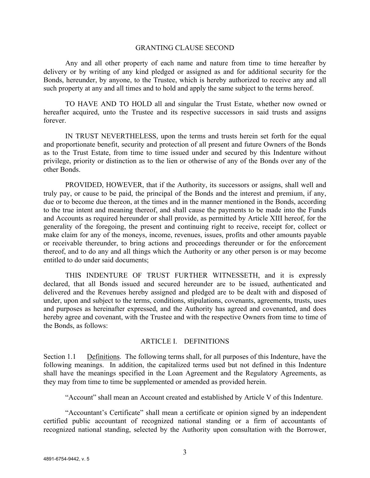#### GRANTING CLAUSE SECOND

Any and all other property of each name and nature from time to time hereafter by delivery or by writing of any kind pledged or assigned as and for additional security for the Bonds, hereunder, by anyone, to the Trustee, which is hereby authorized to receive any and all such property at any and all times and to hold and apply the same subject to the terms hereof.

TO HAVE AND TO HOLD all and singular the Trust Estate, whether now owned or hereafter acquired, unto the Trustee and its respective successors in said trusts and assigns forever.

IN TRUST NEVERTHELESS, upon the terms and trusts herein set forth for the equal and proportionate benefit, security and protection of all present and future Owners of the Bonds as to the Trust Estate, from time to time issued under and secured by this Indenture without privilege, priority or distinction as to the lien or otherwise of any of the Bonds over any of the other Bonds.

PROVIDED, HOWEVER, that if the Authority, its successors or assigns, shall well and truly pay, or cause to be paid, the principal of the Bonds and the interest and premium, if any, due or to become due thereon, at the times and in the manner mentioned in the Bonds, according to the true intent and meaning thereof, and shall cause the payments to be made into the Funds and Accounts as required hereunder or shall provide, as permitted by Article XIII hereof, for the generality of the foregoing, the present and continuing right to receive, receipt for, collect or make claim for any of the moneys, income, revenues, issues, profits and other amounts payable or receivable thereunder, to bring actions and proceedings thereunder or for the enforcement thereof, and to do any and all things which the Authority or any other person is or may become entitled to do under said documents;

THIS INDENTURE OF TRUST FURTHER WITNESSETH, and it is expressly declared, that all Bonds issued and secured hereunder are to be issued, authenticated and delivered and the Revenues hereby assigned and pledged are to be dealt with and disposed of under, upon and subject to the terms, conditions, stipulations, covenants, agreements, trusts, uses and purposes as hereinafter expressed, and the Authority has agreed and covenanted, and does hereby agree and covenant, with the Trustee and with the respective Owners from time to time of the Bonds, as follows:

#### ARTICLE I. DEFINITIONS

Section 1.1 Definitions. The following terms shall, for all purposes of this Indenture, have the following meanings. In addition, the capitalized terms used but not defined in this Indenture shall have the meanings specified in the Loan Agreement and the Regulatory Agreements, as they may from time to time be supplemented or amended as provided herein.

"Account" shall mean an Account created and established by Article V of this Indenture.

"Accountant's Certificate" shall mean a certificate or opinion signed by an independent certified public accountant of recognized national standing or a firm of accountants of recognized national standing, selected by the Authority upon consultation with the Borrower,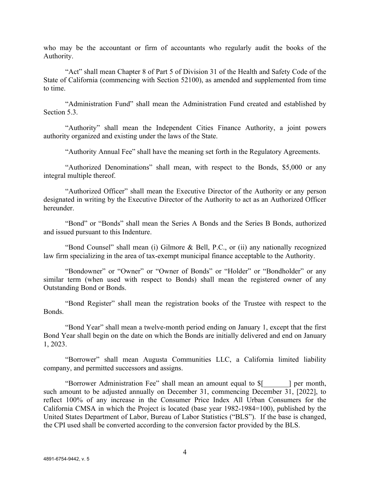who may be the accountant or firm of accountants who regularly audit the books of the Authority.

"Act" shall mean Chapter 8 of Part 5 of Division 31 of the Health and Safety Code of the State of California (commencing with Section 52100), as amended and supplemented from time to time.

"Administration Fund" shall mean the Administration Fund created and established by Section 5.3.

"Authority" shall mean the Independent Cities Finance Authority, a joint powers authority organized and existing under the laws of the State.

"Authority Annual Fee" shall have the meaning set forth in the Regulatory Agreements.

"Authorized Denominations" shall mean, with respect to the Bonds, \$5,000 or any integral multiple thereof.

"Authorized Officer" shall mean the Executive Director of the Authority or any person designated in writing by the Executive Director of the Authority to act as an Authorized Officer hereunder.

"Bond" or "Bonds" shall mean the Series A Bonds and the Series B Bonds, authorized and issued pursuant to this Indenture.

"Bond Counsel" shall mean (i) Gilmore & Bell, P.C., or (ii) any nationally recognized law firm specializing in the area of tax-exempt municipal finance acceptable to the Authority.

"Bondowner" or "Owner" or "Owner of Bonds" or "Holder" or "Bondholder" or any similar term (when used with respect to Bonds) shall mean the registered owner of any Outstanding Bond or Bonds.

"Bond Register" shall mean the registration books of the Trustee with respect to the Bonds.

"Bond Year" shall mean a twelve-month period ending on January 1, except that the first Bond Year shall begin on the date on which the Bonds are initially delivered and end on January 1, 2023.

"Borrower" shall mean Augusta Communities LLC, a California limited liability company, and permitted successors and assigns.

"Borrower Administration Fee" shall mean an amount equal to \$[\_\_\_\_\_\_\_] per month, such amount to be adjusted annually on December 31, commencing December 31, [2022], to reflect 100% of any increase in the Consumer Price Index All Urban Consumers for the California CMSA in which the Project is located (base year 1982-1984=100), published by the United States Department of Labor, Bureau of Labor Statistics ("BLS"). If the base is changed, the CPI used shall be converted according to the conversion factor provided by the BLS.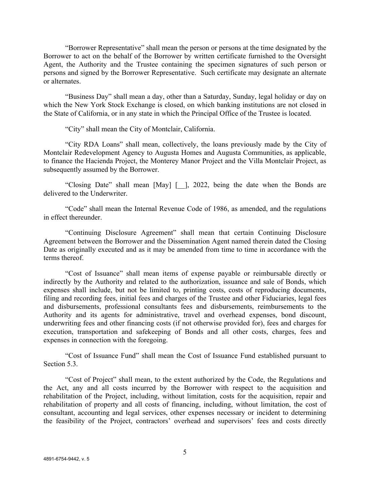"Borrower Representative" shall mean the person or persons at the time designated by the Borrower to act on the behalf of the Borrower by written certificate furnished to the Oversight Agent, the Authority and the Trustee containing the specimen signatures of such person or persons and signed by the Borrower Representative. Such certificate may designate an alternate or alternates.

"Business Day" shall mean a day, other than a Saturday, Sunday, legal holiday or day on which the New York Stock Exchange is closed, on which banking institutions are not closed in the State of California, or in any state in which the Principal Office of the Trustee is located.

"City" shall mean the City of Montclair, California.

"City RDA Loans" shall mean, collectively, the loans previously made by the City of Montclair Redevelopment Agency to Augusta Homes and Augusta Communities, as applicable, to finance the Hacienda Project, the Monterey Manor Project and the Villa Montclair Project, as subsequently assumed by the Borrower.

"Closing Date" shall mean [May] [\_\_], 2022, being the date when the Bonds are delivered to the Underwriter.

"Code" shall mean the Internal Revenue Code of 1986, as amended, and the regulations in effect thereunder.

"Continuing Disclosure Agreement" shall mean that certain Continuing Disclosure Agreement between the Borrower and the Dissemination Agent named therein dated the Closing Date as originally executed and as it may be amended from time to time in accordance with the terms thereof.

"Cost of Issuance" shall mean items of expense payable or reimbursable directly or indirectly by the Authority and related to the authorization, issuance and sale of Bonds, which expenses shall include, but not be limited to, printing costs, costs of reproducing documents, filing and recording fees, initial fees and charges of the Trustee and other Fiduciaries, legal fees and disbursements, professional consultants fees and disbursements, reimbursements to the Authority and its agents for administrative, travel and overhead expenses, bond discount, underwriting fees and other financing costs (if not otherwise provided for), fees and charges for execution, transportation and safekeeping of Bonds and all other costs, charges, fees and expenses in connection with the foregoing.

"Cost of Issuance Fund" shall mean the Cost of Issuance Fund established pursuant to Section 5.3.

"Cost of Project" shall mean, to the extent authorized by the Code, the Regulations and the Act, any and all costs incurred by the Borrower with respect to the acquisition and rehabilitation of the Project, including, without limitation, costs for the acquisition, repair and rehabilitation of property and all costs of financing, including, without limitation, the cost of consultant, accounting and legal services, other expenses necessary or incident to determining the feasibility of the Project, contractors' overhead and supervisors' fees and costs directly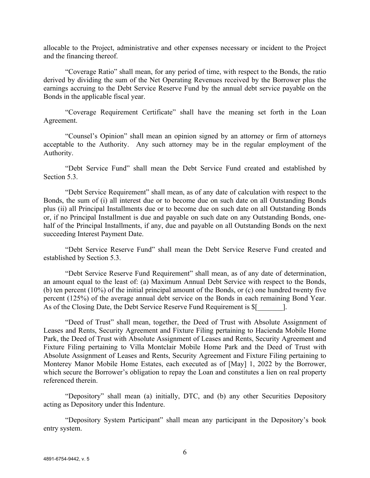allocable to the Project, administrative and other expenses necessary or incident to the Project and the financing thereof.

"Coverage Ratio" shall mean, for any period of time, with respect to the Bonds, the ratio derived by dividing the sum of the Net Operating Revenues received by the Borrower plus the earnings accruing to the Debt Service Reserve Fund by the annual debt service payable on the Bonds in the applicable fiscal year.

"Coverage Requirement Certificate" shall have the meaning set forth in the Loan Agreement.

"Counsel's Opinion" shall mean an opinion signed by an attorney or firm of attorneys acceptable to the Authority. Any such attorney may be in the regular employment of the Authority.

"Debt Service Fund" shall mean the Debt Service Fund created and established by Section 5.3.

"Debt Service Requirement" shall mean, as of any date of calculation with respect to the Bonds, the sum of (i) all interest due or to become due on such date on all Outstanding Bonds plus (ii) all Principal Installments due or to become due on such date on all Outstanding Bonds or, if no Principal Installment is due and payable on such date on any Outstanding Bonds, onehalf of the Principal Installments, if any, due and payable on all Outstanding Bonds on the next succeeding Interest Payment Date.

"Debt Service Reserve Fund" shall mean the Debt Service Reserve Fund created and established by Section 5.3.

"Debt Service Reserve Fund Requirement" shall mean, as of any date of determination, an amount equal to the least of: (a) Maximum Annual Debt Service with respect to the Bonds, (b) ten percent (10%) of the initial principal amount of the Bonds, or (c) one hundred twenty five percent (125%) of the average annual debt service on the Bonds in each remaining Bond Year. As of the Closing Date, the Debt Service Reserve Fund Requirement is \$[

"Deed of Trust" shall mean, together, the Deed of Trust with Absolute Assignment of Leases and Rents, Security Agreement and Fixture Filing pertaining to Hacienda Mobile Home Park, the Deed of Trust with Absolute Assignment of Leases and Rents, Security Agreement and Fixture Filing pertaining to Villa Montclair Mobile Home Park and the Deed of Trust with Absolute Assignment of Leases and Rents, Security Agreement and Fixture Filing pertaining to Monterey Manor Mobile Home Estates, each executed as of [May] 1, 2022 by the Borrower, which secure the Borrower's obligation to repay the Loan and constitutes a lien on real property referenced therein.

"Depository" shall mean (a) initially, DTC, and (b) any other Securities Depository acting as Depository under this Indenture.

"Depository System Participant" shall mean any participant in the Depository's book entry system.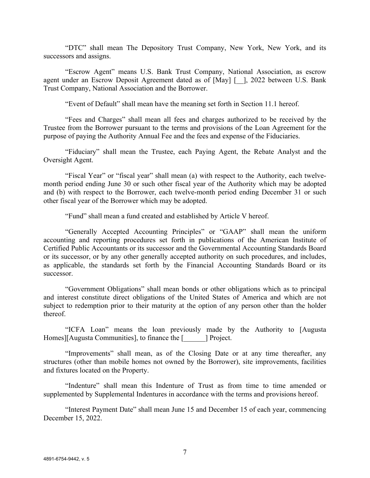"DTC" shall mean The Depository Trust Company, New York, New York, and its successors and assigns.

"Escrow Agent" means U.S. Bank Trust Company, National Association, as escrow agent under an Escrow Deposit Agreement dated as of [May] [\_\_], 2022 between U.S. Bank Trust Company, National Association and the Borrower.

"Event of Default" shall mean have the meaning set forth in Section 11.1 hereof.

"Fees and Charges" shall mean all fees and charges authorized to be received by the Trustee from the Borrower pursuant to the terms and provisions of the Loan Agreement for the purpose of paying the Authority Annual Fee and the fees and expense of the Fiduciaries.

"Fiduciary" shall mean the Trustee, each Paying Agent, the Rebate Analyst and the Oversight Agent.

"Fiscal Year" or "fiscal year" shall mean (a) with respect to the Authority, each twelvemonth period ending June 30 or such other fiscal year of the Authority which may be adopted and (b) with respect to the Borrower, each twelve-month period ending December 31 or such other fiscal year of the Borrower which may be adopted.

"Fund" shall mean a fund created and established by Article V hereof.

"Generally Accepted Accounting Principles" or "GAAP" shall mean the uniform accounting and reporting procedures set forth in publications of the American Institute of Certified Public Accountants or its successor and the Governmental Accounting Standards Board or its successor, or by any other generally accepted authority on such procedures, and includes, as applicable, the standards set forth by the Financial Accounting Standards Board or its successor.

"Government Obligations" shall mean bonds or other obligations which as to principal and interest constitute direct obligations of the United States of America and which are not subject to redemption prior to their maturity at the option of any person other than the holder thereof.

"ICFA Loan" means the loan previously made by the Authority to [Augusta Homes][Augusta Communities], to finance the [ ] Project.

"Improvements" shall mean, as of the Closing Date or at any time thereafter, any structures (other than mobile homes not owned by the Borrower), site improvements, facilities and fixtures located on the Property.

"Indenture" shall mean this Indenture of Trust as from time to time amended or supplemented by Supplemental Indentures in accordance with the terms and provisions hereof.

"Interest Payment Date" shall mean June 15 and December 15 of each year, commencing December 15, 2022.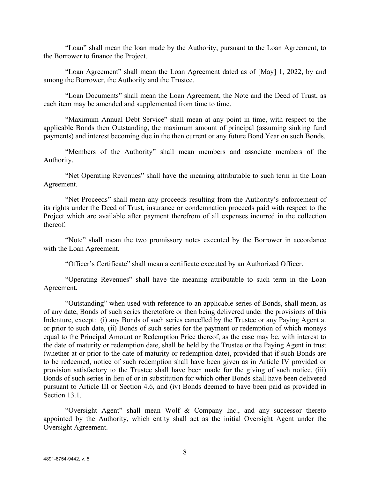"Loan" shall mean the loan made by the Authority, pursuant to the Loan Agreement, to the Borrower to finance the Project.

"Loan Agreement" shall mean the Loan Agreement dated as of [May] 1, 2022, by and among the Borrower, the Authority and the Trustee.

"Loan Documents" shall mean the Loan Agreement, the Note and the Deed of Trust, as each item may be amended and supplemented from time to time.

"Maximum Annual Debt Service" shall mean at any point in time, with respect to the applicable Bonds then Outstanding, the maximum amount of principal (assuming sinking fund payments) and interest becoming due in the then current or any future Bond Year on such Bonds.

"Members of the Authority" shall mean members and associate members of the Authority.

"Net Operating Revenues" shall have the meaning attributable to such term in the Loan Agreement.

"Net Proceeds" shall mean any proceeds resulting from the Authority's enforcement of its rights under the Deed of Trust, insurance or condemnation proceeds paid with respect to the Project which are available after payment therefrom of all expenses incurred in the collection thereof.

"Note" shall mean the two promissory notes executed by the Borrower in accordance with the Loan Agreement.

"Officer's Certificate" shall mean a certificate executed by an Authorized Officer.

"Operating Revenues" shall have the meaning attributable to such term in the Loan Agreement.

"Outstanding" when used with reference to an applicable series of Bonds, shall mean, as of any date, Bonds of such series theretofore or then being delivered under the provisions of this Indenture, except: (i) any Bonds of such series cancelled by the Trustee or any Paying Agent at or prior to such date, (ii) Bonds of such series for the payment or redemption of which moneys equal to the Principal Amount or Redemption Price thereof, as the case may be, with interest to the date of maturity or redemption date, shall be held by the Trustee or the Paying Agent in trust (whether at or prior to the date of maturity or redemption date), provided that if such Bonds are to be redeemed, notice of such redemption shall have been given as in Article IV provided or provision satisfactory to the Trustee shall have been made for the giving of such notice, (iii) Bonds of such series in lieu of or in substitution for which other Bonds shall have been delivered pursuant to Article III or Section 4.6, and (iv) Bonds deemed to have been paid as provided in Section 13.1.

"Oversight Agent" shall mean Wolf & Company Inc., and any successor thereto appointed by the Authority, which entity shall act as the initial Oversight Agent under the Oversight Agreement.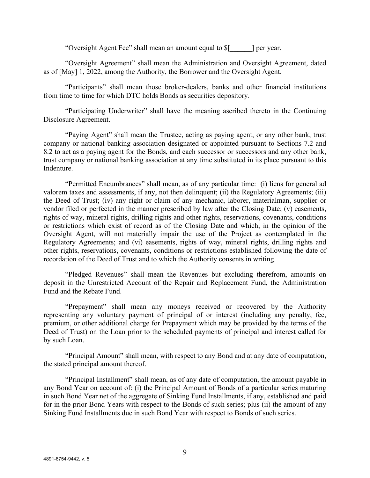"Oversight Agent Fee" shall mean an amount equal to \$[\_\_\_\_\_\_] per year.

"Oversight Agreement" shall mean the Administration and Oversight Agreement, dated as of [May] 1, 2022, among the Authority, the Borrower and the Oversight Agent.

"Participants" shall mean those broker-dealers, banks and other financial institutions from time to time for which DTC holds Bonds as securities depository.

"Participating Underwriter" shall have the meaning ascribed thereto in the Continuing Disclosure Agreement.

"Paying Agent" shall mean the Trustee, acting as paying agent, or any other bank, trust company or national banking association designated or appointed pursuant to Sections 7.2 and 8.2 to act as a paying agent for the Bonds, and each successor or successors and any other bank, trust company or national banking association at any time substituted in its place pursuant to this Indenture.

"Permitted Encumbrances" shall mean, as of any particular time: (i) liens for general ad valorem taxes and assessments, if any, not then delinquent; (ii) the Regulatory Agreements; (iii) the Deed of Trust; (iv) any right or claim of any mechanic, laborer, materialman, supplier or vendor filed or perfected in the manner prescribed by law after the Closing Date; (v) easements, rights of way, mineral rights, drilling rights and other rights, reservations, covenants, conditions or restrictions which exist of record as of the Closing Date and which, in the opinion of the Oversight Agent, will not materially impair the use of the Project as contemplated in the Regulatory Agreements; and (vi) easements, rights of way, mineral rights, drilling rights and other rights, reservations, covenants, conditions or restrictions established following the date of recordation of the Deed of Trust and to which the Authority consents in writing.

"Pledged Revenues" shall mean the Revenues but excluding therefrom, amounts on deposit in the Unrestricted Account of the Repair and Replacement Fund, the Administration Fund and the Rebate Fund.

"Prepayment" shall mean any moneys received or recovered by the Authority representing any voluntary payment of principal of or interest (including any penalty, fee, premium, or other additional charge for Prepayment which may be provided by the terms of the Deed of Trust) on the Loan prior to the scheduled payments of principal and interest called for by such Loan.

"Principal Amount" shall mean, with respect to any Bond and at any date of computation, the stated principal amount thereof.

"Principal Installment" shall mean, as of any date of computation, the amount payable in any Bond Year on account of: (i) the Principal Amount of Bonds of a particular series maturing in such Bond Year net of the aggregate of Sinking Fund Installments, if any, established and paid for in the prior Bond Years with respect to the Bonds of such series; plus (ii) the amount of any Sinking Fund Installments due in such Bond Year with respect to Bonds of such series.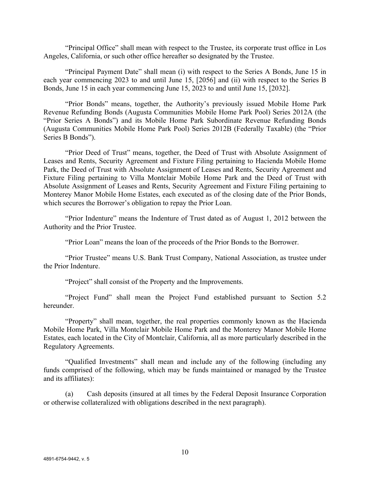"Principal Office" shall mean with respect to the Trustee, its corporate trust office in Los Angeles, California, or such other office hereafter so designated by the Trustee.

"Principal Payment Date" shall mean (i) with respect to the Series A Bonds, June 15 in each year commencing 2023 to and until June 15, [2056] and (ii) with respect to the Series B Bonds, June 15 in each year commencing June 15, 2023 to and until June 15, [2032].

"Prior Bonds" means, together, the Authority's previously issued Mobile Home Park Revenue Refunding Bonds (Augusta Communities Mobile Home Park Pool) Series 2012A (the "Prior Series A Bonds") and its Mobile Home Park Subordinate Revenue Refunding Bonds (Augusta Communities Mobile Home Park Pool) Series 2012B (Federally Taxable) (the "Prior Series B Bonds").

"Prior Deed of Trust" means, together, the Deed of Trust with Absolute Assignment of Leases and Rents, Security Agreement and Fixture Filing pertaining to Hacienda Mobile Home Park, the Deed of Trust with Absolute Assignment of Leases and Rents, Security Agreement and Fixture Filing pertaining to Villa Montclair Mobile Home Park and the Deed of Trust with Absolute Assignment of Leases and Rents, Security Agreement and Fixture Filing pertaining to Monterey Manor Mobile Home Estates, each executed as of the closing date of the Prior Bonds, which secures the Borrower's obligation to repay the Prior Loan.

"Prior Indenture" means the Indenture of Trust dated as of August 1, 2012 between the Authority and the Prior Trustee.

"Prior Loan" means the loan of the proceeds of the Prior Bonds to the Borrower.

"Prior Trustee" means U.S. Bank Trust Company, National Association, as trustee under the Prior Indenture.

"Project" shall consist of the Property and the Improvements.

"Project Fund" shall mean the Project Fund established pursuant to Section 5.2 hereunder.

"Property" shall mean, together, the real properties commonly known as the Hacienda Mobile Home Park, Villa Montclair Mobile Home Park and the Monterey Manor Mobile Home Estates, each located in the City of Montclair, California, all as more particularly described in the Regulatory Agreements.

"Qualified Investments" shall mean and include any of the following (including any funds comprised of the following, which may be funds maintained or managed by the Trustee and its affiliates):

(a) Cash deposits (insured at all times by the Federal Deposit Insurance Corporation or otherwise collateralized with obligations described in the next paragraph).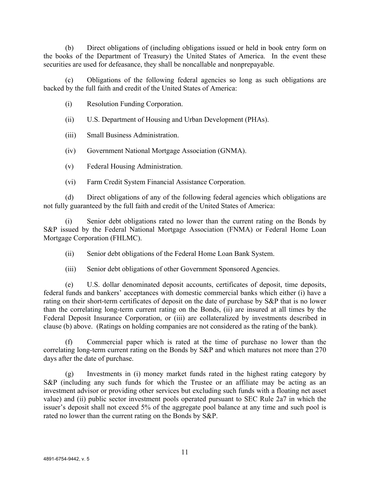(b) Direct obligations of (including obligations issued or held in book entry form on the books of the Department of Treasury) the United States of America. In the event these securities are used for defeasance, they shall be noncallable and nonprepayable.

(c) Obligations of the following federal agencies so long as such obligations are backed by the full faith and credit of the United States of America:

(i) Resolution Funding Corporation.

(ii) U.S. Department of Housing and Urban Development (PHAs).

(iii) Small Business Administration.

(iv) Government National Mortgage Association (GNMA).

(v) Federal Housing Administration.

(vi) Farm Credit System Financial Assistance Corporation.

(d) Direct obligations of any of the following federal agencies which obligations are not fully guaranteed by the full faith and credit of the United States of America:

(i) Senior debt obligations rated no lower than the current rating on the Bonds by S&P issued by the Federal National Mortgage Association (FNMA) or Federal Home Loan Mortgage Corporation (FHLMC).

(ii) Senior debt obligations of the Federal Home Loan Bank System.

(iii) Senior debt obligations of other Government Sponsored Agencies.

(e) U.S. dollar denominated deposit accounts, certificates of deposit, time deposits, federal funds and bankers' acceptances with domestic commercial banks which either (i) have a rating on their short-term certificates of deposit on the date of purchase by S&P that is no lower than the correlating long-term current rating on the Bonds, (ii) are insured at all times by the Federal Deposit Insurance Corporation, or (iii) are collateralized by investments described in clause (b) above. (Ratings on holding companies are not considered as the rating of the bank).

(f) Commercial paper which is rated at the time of purchase no lower than the correlating long-term current rating on the Bonds by S&P and which matures not more than 270 days after the date of purchase.

(g) Investments in (i) money market funds rated in the highest rating category by S&P (including any such funds for which the Trustee or an affiliate may be acting as an investment advisor or providing other services but excluding such funds with a floating net asset value) and (ii) public sector investment pools operated pursuant to SEC Rule 2a7 in which the issuer's deposit shall not exceed 5% of the aggregate pool balance at any time and such pool is rated no lower than the current rating on the Bonds by S&P.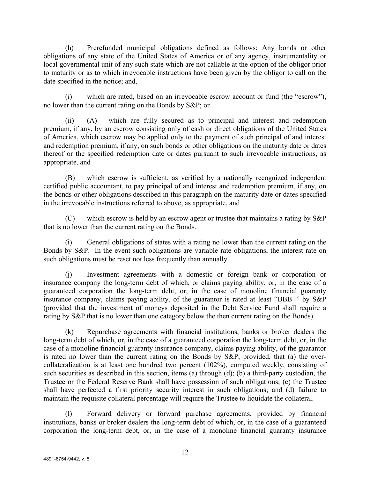(h) Prerefunded municipal obligations defined as follows: Any bonds or other obligations of any state of the United States of America or of any agency, instrumentality or local governmental unit of any such state which are not callable at the option of the obligor prior to maturity or as to which irrevocable instructions have been given by the obligor to call on the date specified in the notice; and,

(i) which are rated, based on an irrevocable escrow account or fund (the "escrow"), no lower than the current rating on the Bonds by S&P; or

(ii) (A) which are fully secured as to principal and interest and redemption premium, if any, by an escrow consisting only of cash or direct obligations of the United States of America, which escrow may be applied only to the payment of such principal of and interest and redemption premium, if any, on such bonds or other obligations on the maturity date or dates thereof or the specified redemption date or dates pursuant to such irrevocable instructions, as appropriate, and

(B) which escrow is sufficient, as verified by a nationally recognized independent certified public accountant, to pay principal of and interest and redemption premium, if any, on the bonds or other obligations described in this paragraph on the maturity date or dates specified in the irrevocable instructions referred to above, as appropriate, and

(C) which escrow is held by an escrow agent or trustee that maintains a rating by S&P that is no lower than the current rating on the Bonds.

(i) General obligations of states with a rating no lower than the current rating on the Bonds by S&P. In the event such obligations are variable rate obligations, the interest rate on such obligations must be reset not less frequently than annually.

(j) Investment agreements with a domestic or foreign bank or corporation or insurance company the long-term debt of which, or claims paying ability, or, in the case of a guaranteed corporation the long-term debt, or, in the case of monoline financial guaranty insurance company, claims paying ability, of the guarantor is rated at least "BBB+" by S&P (provided that the investment of moneys deposited in the Debt Service Fund shall require a rating by S&P that is no lower than one category below the then current rating on the Bonds).

(k) Repurchase agreements with financial institutions, banks or broker dealers the long-term debt of which, or, in the case of a guaranteed corporation the long-term debt, or, in the case of a monoline financial guaranty insurance company, claims paying ability, of the guarantor is rated no lower than the current rating on the Bonds by S&P; provided, that (a) the overcollateralization is at least one hundred two percent (102%), computed weekly, consisting of such securities as described in this section, items (a) through (d); (b) a third-party custodian, the Trustee or the Federal Reserve Bank shall have possession of such obligations; (c) the Trustee shall have perfected a first priority security interest in such obligations; and (d) failure to maintain the requisite collateral percentage will require the Trustee to liquidate the collateral.

(l) Forward delivery or forward purchase agreements, provided by financial institutions, banks or broker dealers the long-term debt of which, or, in the case of a guaranteed corporation the long-term debt, or, in the case of a monoline financial guaranty insurance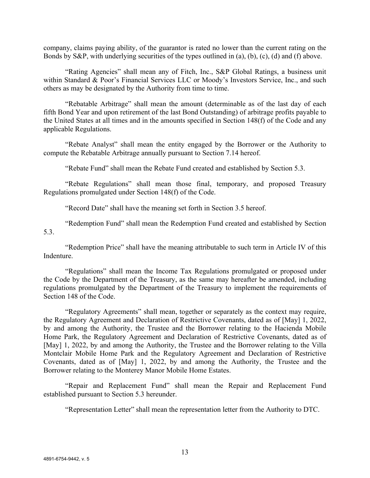company, claims paying ability, of the guarantor is rated no lower than the current rating on the Bonds by S&P, with underlying securities of the types outlined in (a), (b), (c), (d) and (f) above.

"Rating Agencies" shall mean any of Fitch, Inc., S&P Global Ratings, a business unit within Standard & Poor's Financial Services LLC or Moody's Investors Service, Inc., and such others as may be designated by the Authority from time to time.

"Rebatable Arbitrage" shall mean the amount (determinable as of the last day of each fifth Bond Year and upon retirement of the last Bond Outstanding) of arbitrage profits payable to the United States at all times and in the amounts specified in Section 148(f) of the Code and any applicable Regulations.

"Rebate Analyst" shall mean the entity engaged by the Borrower or the Authority to compute the Rebatable Arbitrage annually pursuant to Section 7.14 hereof.

"Rebate Fund" shall mean the Rebate Fund created and established by Section 5.3.

"Rebate Regulations" shall mean those final, temporary, and proposed Treasury Regulations promulgated under Section 148(f) of the Code.

"Record Date" shall have the meaning set forth in Section 3.5 hereof.

"Redemption Fund" shall mean the Redemption Fund created and established by Section 5.3.

"Redemption Price" shall have the meaning attributable to such term in Article IV of this Indenture.

"Regulations" shall mean the Income Tax Regulations promulgated or proposed under the Code by the Department of the Treasury, as the same may hereafter be amended, including regulations promulgated by the Department of the Treasury to implement the requirements of Section 148 of the Code.

"Regulatory Agreements" shall mean, together or separately as the context may require, the Regulatory Agreement and Declaration of Restrictive Covenants, dated as of [May] 1, 2022, by and among the Authority, the Trustee and the Borrower relating to the Hacienda Mobile Home Park, the Regulatory Agreement and Declaration of Restrictive Covenants, dated as of [May] 1, 2022, by and among the Authority, the Trustee and the Borrower relating to the Villa Montclair Mobile Home Park and the Regulatory Agreement and Declaration of Restrictive Covenants, dated as of [May] 1, 2022, by and among the Authority, the Trustee and the Borrower relating to the Monterey Manor Mobile Home Estates.

"Repair and Replacement Fund" shall mean the Repair and Replacement Fund established pursuant to Section 5.3 hereunder.

"Representation Letter" shall mean the representation letter from the Authority to DTC.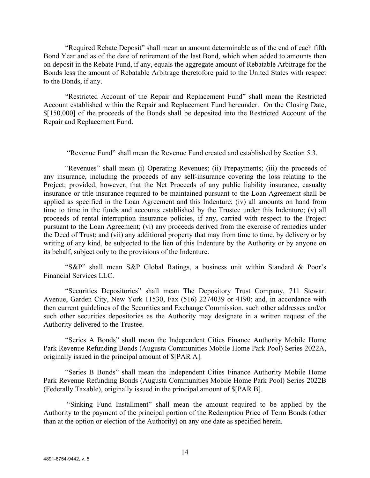"Required Rebate Deposit" shall mean an amount determinable as of the end of each fifth Bond Year and as of the date of retirement of the last Bond, which when added to amounts then on deposit in the Rebate Fund, if any, equals the aggregate amount of Rebatable Arbitrage for the Bonds less the amount of Rebatable Arbitrage theretofore paid to the United States with respect to the Bonds, if any.

"Restricted Account of the Repair and Replacement Fund" shall mean the Restricted Account established within the Repair and Replacement Fund hereunder. On the Closing Date, \$[150,000] of the proceeds of the Bonds shall be deposited into the Restricted Account of the Repair and Replacement Fund.

"Revenue Fund" shall mean the Revenue Fund created and established by Section 5.3.

"Revenues" shall mean (i) Operating Revenues; (ii) Prepayments; (iii) the proceeds of any insurance, including the proceeds of any self-insurance covering the loss relating to the Project; provided, however, that the Net Proceeds of any public liability insurance, casualty insurance or title insurance required to be maintained pursuant to the Loan Agreement shall be applied as specified in the Loan Agreement and this Indenture; (iv) all amounts on hand from time to time in the funds and accounts established by the Trustee under this Indenture; (v) all proceeds of rental interruption insurance policies, if any, carried with respect to the Project pursuant to the Loan Agreement; (vi) any proceeds derived from the exercise of remedies under the Deed of Trust; and (vii) any additional property that may from time to time, by delivery or by writing of any kind, be subjected to the lien of this Indenture by the Authority or by anyone on its behalf, subject only to the provisions of the Indenture.

"S&P" shall mean S&P Global Ratings, a business unit within Standard & Poor's Financial Services LLC.

"Securities Depositories" shall mean The Depository Trust Company, 711 Stewart Avenue, Garden City, New York 11530, Fax (516) 2274039 or 4190; and, in accordance with then current guidelines of the Securities and Exchange Commission, such other addresses and/or such other securities depositories as the Authority may designate in a written request of the Authority delivered to the Trustee.

"Series A Bonds" shall mean the Independent Cities Finance Authority Mobile Home Park Revenue Refunding Bonds (Augusta Communities Mobile Home Park Pool) Series 2022A, originally issued in the principal amount of \$[PAR A].

"Series B Bonds" shall mean the Independent Cities Finance Authority Mobile Home Park Revenue Refunding Bonds (Augusta Communities Mobile Home Park Pool) Series 2022B (Federally Taxable), originally issued in the principal amount of \$[PAR B].

"Sinking Fund Installment" shall mean the amount required to be applied by the Authority to the payment of the principal portion of the Redemption Price of Term Bonds (other than at the option or election of the Authority) on any one date as specified herein.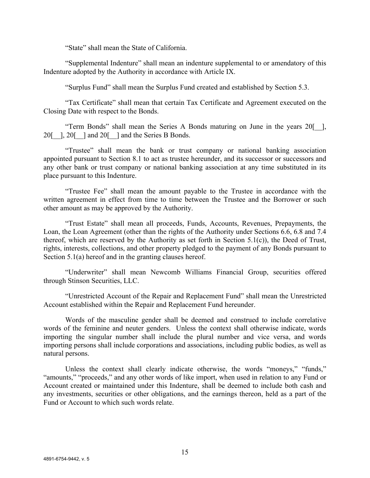"State" shall mean the State of California.

"Supplemental Indenture" shall mean an indenture supplemental to or amendatory of this Indenture adopted by the Authority in accordance with Article IX.

"Surplus Fund" shall mean the Surplus Fund created and established by Section 5.3.

"Tax Certificate" shall mean that certain Tax Certificate and Agreement executed on the Closing Date with respect to the Bonds.

"Term Bonds" shall mean the Series A Bonds maturing on June in the years 20[\_\_], 20 $[$ ], 20 $[$   $]$  and 20 $[$   $]$  and the Series B Bonds.

"Trustee" shall mean the bank or trust company or national banking association appointed pursuant to Section 8.1 to act as trustee hereunder, and its successor or successors and any other bank or trust company or national banking association at any time substituted in its place pursuant to this Indenture.

"Trustee Fee" shall mean the amount payable to the Trustee in accordance with the written agreement in effect from time to time between the Trustee and the Borrower or such other amount as may be approved by the Authority.

"Trust Estate" shall mean all proceeds, Funds, Accounts, Revenues, Prepayments, the Loan, the Loan Agreement (other than the rights of the Authority under Sections 6.6, 6.8 and 7.4 thereof, which are reserved by the Authority as set forth in Section 5.1(c)), the Deed of Trust, rights, interests, collections, and other property pledged to the payment of any Bonds pursuant to Section 5.1(a) hereof and in the granting clauses hereof.

"Underwriter" shall mean Newcomb Williams Financial Group, securities offered through Stinson Securities, LLC.

"Unrestricted Account of the Repair and Replacement Fund" shall mean the Unrestricted Account established within the Repair and Replacement Fund hereunder.

Words of the masculine gender shall be deemed and construed to include correlative words of the feminine and neuter genders. Unless the context shall otherwise indicate, words importing the singular number shall include the plural number and vice versa, and words importing persons shall include corporations and associations, including public bodies, as well as natural persons.

Unless the context shall clearly indicate otherwise, the words "moneys," "funds," "amounts," "proceeds," and any other words of like import, when used in relation to any Fund or Account created or maintained under this Indenture, shall be deemed to include both cash and any investments, securities or other obligations, and the earnings thereon, held as a part of the Fund or Account to which such words relate.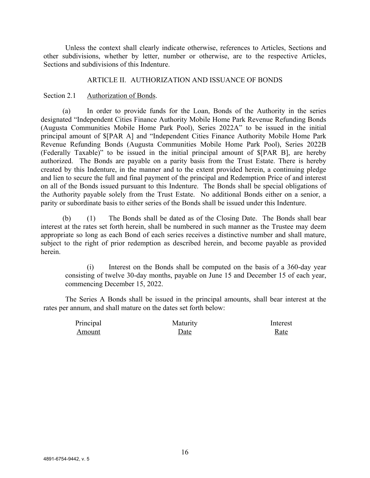Unless the context shall clearly indicate otherwise, references to Articles, Sections and other subdivisions, whether by letter, number or otherwise, are to the respective Articles, Sections and subdivisions of this Indenture.

### ARTICLE II. AUTHORIZATION AND ISSUANCE OF BONDS

#### Section 2.1 Authorization of Bonds.

(a) In order to provide funds for the Loan, Bonds of the Authority in the series designated "Independent Cities Finance Authority Mobile Home Park Revenue Refunding Bonds (Augusta Communities Mobile Home Park Pool), Series 2022A" to be issued in the initial principal amount of \$[PAR A] and "Independent Cities Finance Authority Mobile Home Park Revenue Refunding Bonds (Augusta Communities Mobile Home Park Pool), Series 2022B (Federally Taxable)" to be issued in the initial principal amount of \$[PAR B], are hereby authorized. The Bonds are payable on a parity basis from the Trust Estate. There is hereby created by this Indenture, in the manner and to the extent provided herein, a continuing pledge and lien to secure the full and final payment of the principal and Redemption Price of and interest on all of the Bonds issued pursuant to this Indenture. The Bonds shall be special obligations of the Authority payable solely from the Trust Estate. No additional Bonds either on a senior, a parity or subordinate basis to either series of the Bonds shall be issued under this Indenture.

(b) (1) The Bonds shall be dated as of the Closing Date. The Bonds shall bear interest at the rates set forth herein, shall be numbered in such manner as the Trustee may deem appropriate so long as each Bond of each series receives a distinctive number and shall mature, subject to the right of prior redemption as described herein, and become payable as provided herein.

(i) Interest on the Bonds shall be computed on the basis of a 360-day year consisting of twelve 30-day months, payable on June 15 and December 15 of each year, commencing December 15, 2022.

The Series A Bonds shall be issued in the principal amounts, shall bear interest at the rates per annum, and shall mature on the dates set forth below:

| Principal | Maturity | Interest |
|-----------|----------|----------|
| Amount    | Date     | Rate     |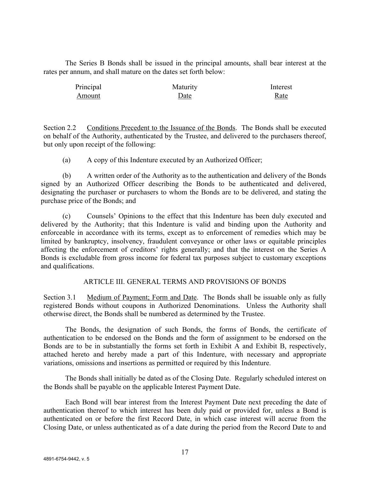The Series B Bonds shall be issued in the principal amounts, shall bear interest at the rates per annum, and shall mature on the dates set forth below:

| Principal | Maturity | Interest |
|-----------|----------|----------|
| Amount    | Date     | Rate     |

Section 2.2 Conditions Precedent to the Issuance of the Bonds. The Bonds shall be executed on behalf of the Authority, authenticated by the Trustee, and delivered to the purchasers thereof, but only upon receipt of the following:

(a) A copy of this Indenture executed by an Authorized Officer;

(b) A written order of the Authority as to the authentication and delivery of the Bonds signed by an Authorized Officer describing the Bonds to be authenticated and delivered, designating the purchaser or purchasers to whom the Bonds are to be delivered, and stating the purchase price of the Bonds; and

(c) Counsels' Opinions to the effect that this Indenture has been duly executed and delivered by the Authority; that this Indenture is valid and binding upon the Authority and enforceable in accordance with its terms, except as to enforcement of remedies which may be limited by bankruptcy, insolvency, fraudulent conveyance or other laws or equitable principles affecting the enforcement of creditors' rights generally; and that the interest on the Series A Bonds is excludable from gross income for federal tax purposes subject to customary exceptions and qualifications.

# ARTICLE III. GENERAL TERMS AND PROVISIONS OF BONDS

Section 3.1 Medium of Payment; Form and Date. The Bonds shall be issuable only as fully registered Bonds without coupons in Authorized Denominations. Unless the Authority shall otherwise direct, the Bonds shall be numbered as determined by the Trustee.

The Bonds, the designation of such Bonds, the forms of Bonds, the certificate of authentication to be endorsed on the Bonds and the form of assignment to be endorsed on the Bonds are to be in substantially the forms set forth in Exhibit A and Exhibit B, respectively, attached hereto and hereby made a part of this Indenture, with necessary and appropriate variations, omissions and insertions as permitted or required by this Indenture.

The Bonds shall initially be dated as of the Closing Date. Regularly scheduled interest on the Bonds shall be payable on the applicable Interest Payment Date.

Each Bond will bear interest from the Interest Payment Date next preceding the date of authentication thereof to which interest has been duly paid or provided for, unless a Bond is authenticated on or before the first Record Date, in which case interest will accrue from the Closing Date, or unless authenticated as of a date during the period from the Record Date to and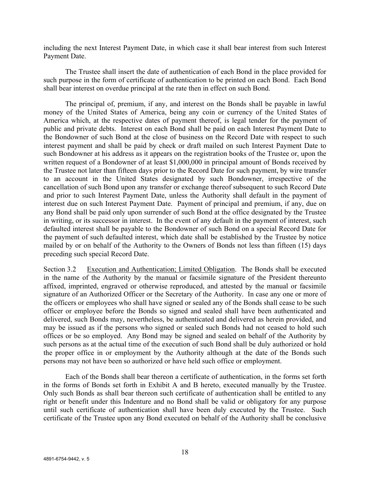including the next Interest Payment Date, in which case it shall bear interest from such Interest Payment Date.

The Trustee shall insert the date of authentication of each Bond in the place provided for such purpose in the form of certificate of authentication to be printed on each Bond. Each Bond shall bear interest on overdue principal at the rate then in effect on such Bond.

The principal of, premium, if any, and interest on the Bonds shall be payable in lawful money of the United States of America, being any coin or currency of the United States of America which, at the respective dates of payment thereof, is legal tender for the payment of public and private debts. Interest on each Bond shall be paid on each Interest Payment Date to the Bondowner of such Bond at the close of business on the Record Date with respect to such interest payment and shall be paid by check or draft mailed on such Interest Payment Date to such Bondowner at his address as it appears on the registration books of the Trustee or, upon the written request of a Bondowner of at least \$1,000,000 in principal amount of Bonds received by the Trustee not later than fifteen days prior to the Record Date for such payment, by wire transfer to an account in the United States designated by such Bondowner, irrespective of the cancellation of such Bond upon any transfer or exchange thereof subsequent to such Record Date and prior to such Interest Payment Date, unless the Authority shall default in the payment of interest due on such Interest Payment Date. Payment of principal and premium, if any, due on any Bond shall be paid only upon surrender of such Bond at the office designated by the Trustee in writing, or its successor in interest. In the event of any default in the payment of interest, such defaulted interest shall be payable to the Bondowner of such Bond on a special Record Date for the payment of such defaulted interest, which date shall be established by the Trustee by notice mailed by or on behalf of the Authority to the Owners of Bonds not less than fifteen (15) days preceding such special Record Date.

Section 3.2 Execution and Authentication; Limited Obligation. The Bonds shall be executed in the name of the Authority by the manual or facsimile signature of the President thereunto affixed, imprinted, engraved or otherwise reproduced, and attested by the manual or facsimile signature of an Authorized Officer or the Secretary of the Authority. In case any one or more of the officers or employees who shall have signed or sealed any of the Bonds shall cease to be such officer or employee before the Bonds so signed and sealed shall have been authenticated and delivered, such Bonds may, nevertheless, be authenticated and delivered as herein provided, and may be issued as if the persons who signed or sealed such Bonds had not ceased to hold such offices or be so employed. Any Bond may be signed and sealed on behalf of the Authority by such persons as at the actual time of the execution of such Bond shall be duly authorized or hold the proper office in or employment by the Authority although at the date of the Bonds such persons may not have been so authorized or have held such office or employment.

Each of the Bonds shall bear thereon a certificate of authentication, in the forms set forth in the forms of Bonds set forth in Exhibit A and B hereto, executed manually by the Trustee. Only such Bonds as shall bear thereon such certificate of authentication shall be entitled to any right or benefit under this Indenture and no Bond shall be valid or obligatory for any purpose until such certificate of authentication shall have been duly executed by the Trustee. Such certificate of the Trustee upon any Bond executed on behalf of the Authority shall be conclusive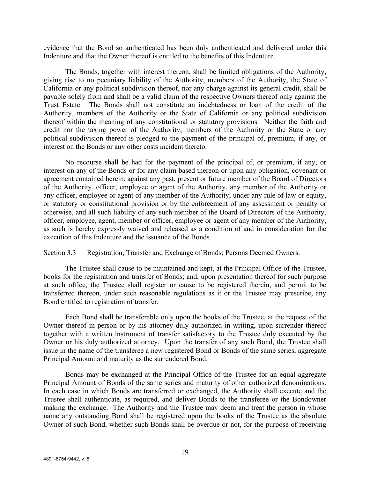evidence that the Bond so authenticated has been duly authenticated and delivered under this Indenture and that the Owner thereof is entitled to the benefits of this Indenture.

The Bonds, together with interest thereon, shall be limited obligations of the Authority, giving rise to no pecuniary liability of the Authority, members of the Authority, the State of California or any political subdivision thereof, nor any charge against its general credit, shall be payable solely from and shall be a valid claim of the respective Owners thereof only against the Trust Estate. The Bonds shall not constitute an indebtedness or loan of the credit of the Authority, members of the Authority or the State of California or any political subdivision thereof within the meaning of any constitutional or statutory provisions. Neither the faith and credit nor the taxing power of the Authority, members of the Authority or the State or any political subdivision thereof is pledged to the payment of the principal of, premium, if any, or interest on the Bonds or any other costs incident thereto.

No recourse shall be had for the payment of the principal of, or premium, if any, or interest on any of the Bonds or for any claim based thereon or upon any obligation, covenant or agreement contained herein, against any past, present or future member of the Board of Directors of the Authority, officer, employee or agent of the Authority, any member of the Authority or any officer, employee or agent of any member of the Authority, under any rule of law or equity, or statutory or constitutional provision or by the enforcement of any assessment or penalty or otherwise, and all such liability of any such member of the Board of Directors of the Authority, officer, employee, agent, member or officer, employee or agent of any member of the Authority, as such is hereby expressly waived and released as a condition of and in consideration for the execution of this Indenture and the issuance of the Bonds.

#### Section 3.3 Registration, Transfer and Exchange of Bonds; Persons Deemed Owners.

The Trustee shall cause to be maintained and kept, at the Principal Office of the Trustee, books for the registration and transfer of Bonds; and, upon presentation thereof for such purpose at such office, the Trustee shall register or cause to be registered therein, and permit to be transferred thereon, under such reasonable regulations as it or the Trustee may prescribe, any Bond entitled to registration of transfer.

Each Bond shall be transferable only upon the books of the Trustee, at the request of the Owner thereof in person or by his attorney duly authorized in writing, upon surrender thereof together with a written instrument of transfer satisfactory to the Trustee duly executed by the Owner or his duly authorized attorney. Upon the transfer of any such Bond, the Trustee shall issue in the name of the transferee a new registered Bond or Bonds of the same series, aggregate Principal Amount and maturity as the surrendered Bond.

Bonds may be exchanged at the Principal Office of the Trustee for an equal aggregate Principal Amount of Bonds of the same series and maturity of other authorized denominations. In each case in which Bonds are transferred or exchanged, the Authority shall execute and the Trustee shall authenticate, as required, and deliver Bonds to the transferee or the Bondowner making the exchange. The Authority and the Trustee may deem and treat the person in whose name any outstanding Bond shall be registered upon the books of the Trustee as the absolute Owner of such Bond, whether such Bonds shall be overdue or not, for the purpose of receiving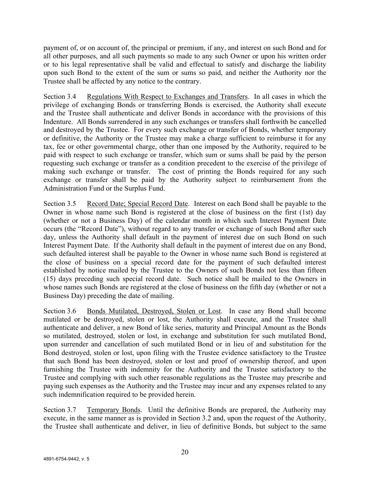payment of, or on account of, the principal or premium, if any, and interest on such Bond and for all other purposes, and all such payments so made to any such Owner or upon his written order or to his legal representative shall be valid and effectual to satisfy and discharge the liability upon such Bond to the extent of the sum or sums so paid, and neither the Authority nor the Trustee shall be affected by any notice to the contrary.

Section 3.4 Regulations With Respect to Exchanges and Transfers. In all cases in which the privilege of exchanging Bonds or transferring Bonds is exercised, the Authority shall execute and the Trustee shall authenticate and deliver Bonds in accordance with the provisions of this Indenture. All Bonds surrendered in any such exchanges or transfers shall forthwith be cancelled and destroyed by the Trustee. For every such exchange or transfer of Bonds, whether temporary or definitive, the Authority or the Trustee may make a charge sufficient to reimburse it for any tax, fee or other governmental charge, other than one imposed by the Authority, required to be paid with respect to such exchange or transfer, which sum or sums shall be paid by the person requesting such exchange or transfer as a condition precedent to the exercise of the privilege of making such exchange or transfer. The cost of printing the Bonds required for any such exchange or transfer shall be paid by the Authority subject to reimbursement from the Administration Fund or the Surplus Fund.

Section 3.5 Record Date; Special Record Date. Interest on each Bond shall be payable to the Owner in whose name such Bond is registered at the close of business on the first (1st) day (whether or not a Business Day) of the calendar month in which such Interest Payment Date occurs (the "Record Date"), without regard to any transfer or exchange of such Bond after such day, unless the Authority shall default in the payment of interest due on such Bond on such Interest Payment Date. If the Authority shall default in the payment of interest due on any Bond, such defaulted interest shall be payable to the Owner in whose name such Bond is registered at the close of business on a special record date for the payment of such defaulted interest established by notice mailed by the Trustee to the Owners of such Bonds not less than fifteen (15) days preceding such special record date. Such notice shall be mailed to the Owners in whose names such Bonds are registered at the close of business on the fifth day (whether or not a Business Day) preceding the date of mailing.

Section 3.6 Bonds Mutilated, Destroyed, Stolen or Lost. In case any Bond shall become mutilated or be destroyed, stolen or lost, the Authority shall execute, and the Trustee shall authenticate and deliver, a new Bond of like series, maturity and Principal Amount as the Bonds so mutilated, destroyed, stolen or lost, in exchange and substitution for such mutilated Bond, upon surrender and cancellation of such mutilated Bond or in lieu of and substitution for the Bond destroyed, stolen or lost, upon filing with the Trustee evidence satisfactory to the Trustee that such Bond has been destroyed, stolen or lost and proof of ownership thereof, and upon furnishing the Trustee with indemnity for the Authority and the Trustee satisfactory to the Trustee and complying with such other reasonable regulations as the Trustee may prescribe and paying such expenses as the Authority and the Trustee may incur and any expenses related to any such indemnification required to be provided herein.

Section 3.7 Temporary Bonds. Until the definitive Bonds are prepared, the Authority may execute, in the same manner as is provided in Section 3.2 and, upon the request of the Authority, the Trustee shall authenticate and deliver, in lieu of definitive Bonds, but subject to the same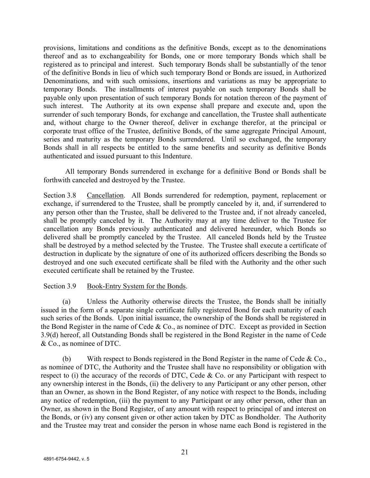provisions, limitations and conditions as the definitive Bonds, except as to the denominations thereof and as to exchangeability for Bonds, one or more temporary Bonds which shall be registered as to principal and interest. Such temporary Bonds shall be substantially of the tenor of the definitive Bonds in lieu of which such temporary Bond or Bonds are issued, in Authorized Denominations, and with such omissions, insertions and variations as may be appropriate to temporary Bonds. The installments of interest payable on such temporary Bonds shall be payable only upon presentation of such temporary Bonds for notation thereon of the payment of such interest. The Authority at its own expense shall prepare and execute and, upon the surrender of such temporary Bonds, for exchange and cancellation, the Trustee shall authenticate and, without charge to the Owner thereof, deliver in exchange therefor, at the principal or corporate trust office of the Trustee, definitive Bonds, of the same aggregate Principal Amount, series and maturity as the temporary Bonds surrendered. Until so exchanged, the temporary Bonds shall in all respects be entitled to the same benefits and security as definitive Bonds authenticated and issued pursuant to this Indenture.

All temporary Bonds surrendered in exchange for a definitive Bond or Bonds shall be forthwith canceled and destroyed by the Trustee.

Section 3.8 Cancellation. All Bonds surrendered for redemption, payment, replacement or exchange, if surrendered to the Trustee, shall be promptly canceled by it, and, if surrendered to any person other than the Trustee, shall be delivered to the Trustee and, if not already canceled, shall be promptly canceled by it. The Authority may at any time deliver to the Trustee for cancellation any Bonds previously authenticated and delivered hereunder, which Bonds so delivered shall be promptly canceled by the Trustee. All canceled Bonds held by the Trustee shall be destroyed by a method selected by the Trustee. The Trustee shall execute a certificate of destruction in duplicate by the signature of one of its authorized officers describing the Bonds so destroyed and one such executed certificate shall be filed with the Authority and the other such executed certificate shall be retained by the Trustee.

# Section 3.9 Book-Entry System for the Bonds.

(a) Unless the Authority otherwise directs the Trustee, the Bonds shall be initially issued in the form of a separate single certificate fully registered Bond for each maturity of each such series of the Bonds. Upon initial issuance, the ownership of the Bonds shall be registered in the Bond Register in the name of Cede  $& Co.,$  as nominee of DTC. Except as provided in Section 3.9(d) hereof, all Outstanding Bonds shall be registered in the Bond Register in the name of Cede & Co., as nominee of DTC.

(b) With respect to Bonds registered in the Bond Register in the name of Cede & Co., as nominee of DTC, the Authority and the Trustee shall have no responsibility or obligation with respect to (i) the accuracy of the records of DTC, Cede  $&$  Co. or any Participant with respect to any ownership interest in the Bonds, (ii) the delivery to any Participant or any other person, other than an Owner, as shown in the Bond Register, of any notice with respect to the Bonds, including any notice of redemption, (iii) the payment to any Participant or any other person, other than an Owner, as shown in the Bond Register, of any amount with respect to principal of and interest on the Bonds, or (iv) any consent given or other action taken by DTC as Bondholder. The Authority and the Trustee may treat and consider the person in whose name each Bond is registered in the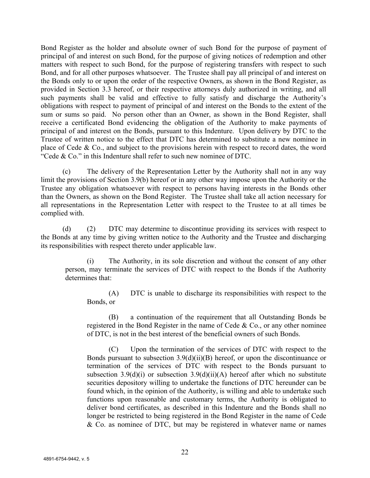Bond Register as the holder and absolute owner of such Bond for the purpose of payment of principal of and interest on such Bond, for the purpose of giving notices of redemption and other matters with respect to such Bond, for the purpose of registering transfers with respect to such Bond, and for all other purposes whatsoever. The Trustee shall pay all principal of and interest on the Bonds only to or upon the order of the respective Owners, as shown in the Bond Register, as provided in Section 3.3 hereof, or their respective attorneys duly authorized in writing, and all such payments shall be valid and effective to fully satisfy and discharge the Authority's obligations with respect to payment of principal of and interest on the Bonds to the extent of the sum or sums so paid. No person other than an Owner, as shown in the Bond Register, shall receive a certificated Bond evidencing the obligation of the Authority to make payments of principal of and interest on the Bonds, pursuant to this Indenture. Upon delivery by DTC to the Trustee of written notice to the effect that DTC has determined to substitute a new nominee in place of Cede & Co., and subject to the provisions herein with respect to record dates, the word "Cede & Co." in this Indenture shall refer to such new nominee of DTC.

(c) The delivery of the Representation Letter by the Authority shall not in any way limit the provisions of Section 3.9(b) hereof or in any other way impose upon the Authority or the Trustee any obligation whatsoever with respect to persons having interests in the Bonds other than the Owners, as shown on the Bond Register. The Trustee shall take all action necessary for all representations in the Representation Letter with respect to the Trustee to at all times be complied with.

(d) (2) DTC may determine to discontinue providing its services with respect to the Bonds at any time by giving written notice to the Authority and the Trustee and discharging its responsibilities with respect thereto under applicable law.

(i) The Authority, in its sole discretion and without the consent of any other person, may terminate the services of DTC with respect to the Bonds if the Authority determines that:

(A) DTC is unable to discharge its responsibilities with respect to the Bonds, or

(B) a continuation of the requirement that all Outstanding Bonds be registered in the Bond Register in the name of Cede & Co., or any other nominee of DTC, is not in the best interest of the beneficial owners of such Bonds.

(C) Upon the termination of the services of DTC with respect to the Bonds pursuant to subsection  $3.9(d)(ii)(B)$  hereof, or upon the discontinuance or termination of the services of DTC with respect to the Bonds pursuant to subsection 3.9(d)(i) or subsection 3.9(d)(ii)(A) hereof after which no substitute securities depository willing to undertake the functions of DTC hereunder can be found which, in the opinion of the Authority, is willing and able to undertake such functions upon reasonable and customary terms, the Authority is obligated to deliver bond certificates, as described in this Indenture and the Bonds shall no longer be restricted to being registered in the Bond Register in the name of Cede & Co. as nominee of DTC, but may be registered in whatever name or names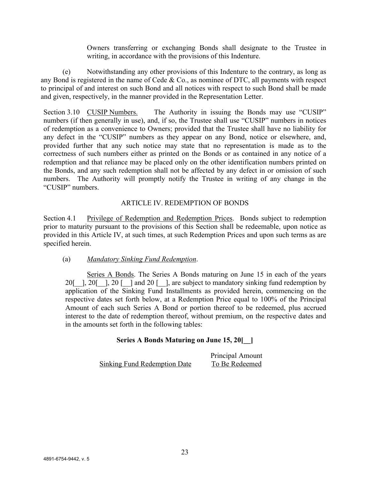Owners transferring or exchanging Bonds shall designate to the Trustee in writing, in accordance with the provisions of this Indenture.

(e) Notwithstanding any other provisions of this Indenture to the contrary, as long as any Bond is registered in the name of Cede  $& Co.,$  as nominee of DTC, all payments with respect to principal of and interest on such Bond and all notices with respect to such Bond shall be made and given, respectively, in the manner provided in the Representation Letter.

Section 3.10 CUSIP Numbers. The Authority in issuing the Bonds may use "CUSIP" numbers (if then generally in use), and, if so, the Trustee shall use "CUSIP" numbers in notices of redemption as a convenience to Owners; provided that the Trustee shall have no liability for any defect in the "CUSIP" numbers as they appear on any Bond, notice or elsewhere, and, provided further that any such notice may state that no representation is made as to the correctness of such numbers either as printed on the Bonds or as contained in any notice of a redemption and that reliance may be placed only on the other identification numbers printed on the Bonds, and any such redemption shall not be affected by any defect in or omission of such numbers. The Authority will promptly notify the Trustee in writing of any change in the "CUSIP" numbers.

# ARTICLE IV. REDEMPTION OF BONDS

Section 4.1 Privilege of Redemption and Redemption Prices. Bonds subject to redemption prior to maturity pursuant to the provisions of this Section shall be redeemable, upon notice as provided in this Article IV, at such times, at such Redemption Prices and upon such terms as are specified herein.

# (a) *Mandatory Sinking Fund Redemption*.

Series A Bonds. The Series A Bonds maturing on June 15 in each of the years 20[ $\parallel$ , 20 [ $\parallel$ ] and 20 [ $\parallel$ ], are subject to mandatory sinking fund redemption by application of the Sinking Fund Installments as provided herein, commencing on the respective dates set forth below, at a Redemption Price equal to 100% of the Principal Amount of each such Series A Bond or portion thereof to be redeemed, plus accrued interest to the date of redemption thereof, without premium, on the respective dates and in the amounts set forth in the following tables:

# **Series A Bonds Maturing on June 15, 20[\_\_]**

|                              | Principal Amount |
|------------------------------|------------------|
| Sinking Fund Redemption Date | To Be Redeemed   |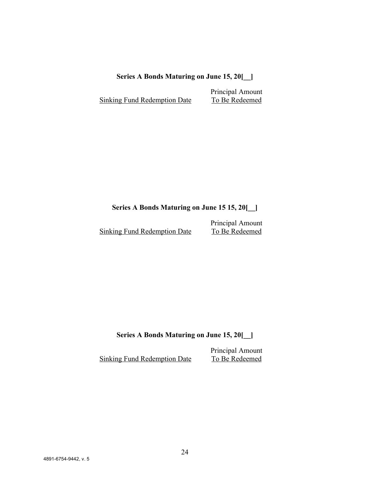# **Series A Bonds Maturing on June 15, 20[\_\_]**

Principal Amount Sinking Fund Redemption Date To Be Redeemed

# **Series A Bonds Maturing on June 15 15, 20[\_\_]**

Sinking Fund Redemption Date

Principal Amount<br>To Be Redeemed

**Series A Bonds Maturing on June 15, 20[\_\_]**

Principal Amount<br>To Be Redeemed Sinking Fund Redemption Date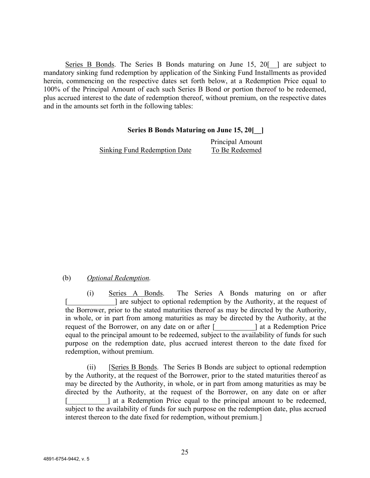Series B Bonds. The Series B Bonds maturing on June 15, 20<sup>[]</sup> are subject to mandatory sinking fund redemption by application of the Sinking Fund Installments as provided herein, commencing on the respective dates set forth below, at a Redemption Price equal to 100% of the Principal Amount of each such Series B Bond or portion thereof to be redeemed, plus accrued interest to the date of redemption thereof, without premium, on the respective dates and in the amounts set forth in the following tables:

## **Series B Bonds Maturing on June 15, 20[\_\_]**

Sinking Fund Redemption Date To Be Redeemed

# Principal Amount

# (b) *Optional Redemption.*

(i) Series A Bonds. The Series A Bonds maturing on or after [\_\_\_\_\_\_\_\_\_\_\_\_\_] are subject to optional redemption by the Authority, at the request of the Borrower, prior to the stated maturities thereof as may be directed by the Authority, in whole, or in part from among maturities as may be directed by the Authority, at the request of the Borrower, on any date on or after [\_\_\_\_\_\_\_\_\_\_\_] at a Redemption Price equal to the principal amount to be redeemed, subject to the availability of funds for such purpose on the redemption date, plus accrued interest thereon to the date fixed for redemption, without premium.

(ii) [Series B Bonds. The Series B Bonds are subject to optional redemption by the Authority, at the request of the Borrower, prior to the stated maturities thereof as may be directed by the Authority, in whole, or in part from among maturities as may be directed by the Authority, at the request of the Borrower, on any date on or after I at a Redemption Price equal to the principal amount to be redeemed, subject to the availability of funds for such purpose on the redemption date, plus accrued interest thereon to the date fixed for redemption, without premium.]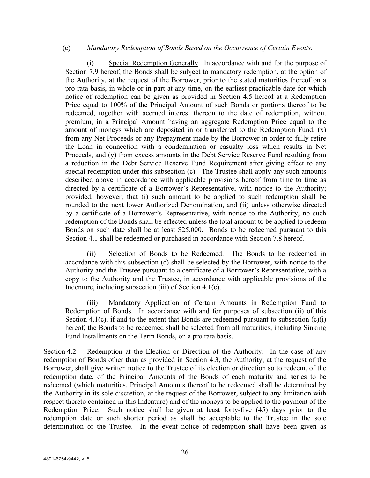## (c) *Mandatory Redemption of Bonds Based on the Occurrence of Certain Events.*

(i) Special Redemption Generally. In accordance with and for the purpose of Section 7.9 hereof, the Bonds shall be subject to mandatory redemption, at the option of the Authority, at the request of the Borrower, prior to the stated maturities thereof on a pro rata basis, in whole or in part at any time, on the earliest practicable date for which notice of redemption can be given as provided in Section 4.5 hereof at a Redemption Price equal to 100% of the Principal Amount of such Bonds or portions thereof to be redeemed, together with accrued interest thereon to the date of redemption, without premium, in a Principal Amount having an aggregate Redemption Price equal to the amount of moneys which are deposited in or transferred to the Redemption Fund, (x) from any Net Proceeds or any Prepayment made by the Borrower in order to fully retire the Loan in connection with a condemnation or casualty loss which results in Net Proceeds, and (y) from excess amounts in the Debt Service Reserve Fund resulting from a reduction in the Debt Service Reserve Fund Requirement after giving effect to any special redemption under this subsection (c). The Trustee shall apply any such amounts described above in accordance with applicable provisions hereof from time to time as directed by a certificate of a Borrower's Representative, with notice to the Authority; provided, however, that (i) such amount to be applied to such redemption shall be rounded to the next lower Authorized Denomination, and (ii) unless otherwise directed by a certificate of a Borrower's Representative, with notice to the Authority, no such redemption of the Bonds shall be effected unless the total amount to be applied to redeem Bonds on such date shall be at least \$25,000. Bonds to be redeemed pursuant to this Section 4.1 shall be redeemed or purchased in accordance with Section 7.8 hereof.

(ii) Selection of Bonds to be Redeemed. The Bonds to be redeemed in accordance with this subsection (c) shall be selected by the Borrower, with notice to the Authority and the Trustee pursuant to a certificate of a Borrower's Representative, with a copy to the Authority and the Trustee, in accordance with applicable provisions of the Indenture, including subsection (iii) of Section 4.1(c).

(iii) Mandatory Application of Certain Amounts in Redemption Fund to Redemption of Bonds. In accordance with and for purposes of subsection (ii) of this Section 4.1(c), if and to the extent that Bonds are redeemed pursuant to subsection  $(c)(i)$ hereof, the Bonds to be redeemed shall be selected from all maturities, including Sinking Fund Installments on the Term Bonds, on a pro rata basis.

Section 4.2 Redemption at the Election or Direction of the Authority. In the case of any redemption of Bonds other than as provided in Section 4.3, the Authority, at the request of the Borrower, shall give written notice to the Trustee of its election or direction so to redeem, of the redemption date, of the Principal Amounts of the Bonds of each maturity and series to be redeemed (which maturities, Principal Amounts thereof to be redeemed shall be determined by the Authority in its sole discretion, at the request of the Borrower, subject to any limitation with respect thereto contained in this Indenture) and of the moneys to be applied to the payment of the Redemption Price. Such notice shall be given at least forty-five (45) days prior to the redemption date or such shorter period as shall be acceptable to the Trustee in the sole determination of the Trustee. In the event notice of redemption shall have been given as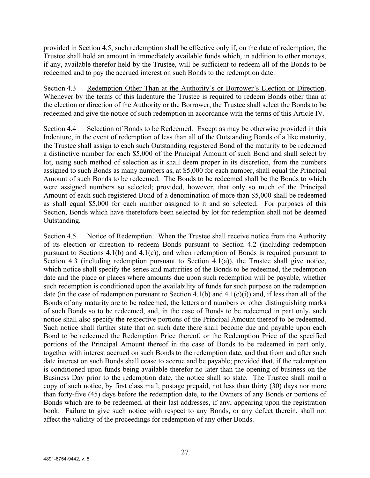provided in Section 4.5, such redemption shall be effective only if, on the date of redemption, the Trustee shall hold an amount in immediately available funds which, in addition to other moneys, if any, available therefor held by the Trustee, will be sufficient to redeem all of the Bonds to be redeemed and to pay the accrued interest on such Bonds to the redemption date.

Section 4.3 Redemption Other Than at the Authority's or Borrower's Election or Direction. Whenever by the terms of this Indenture the Trustee is required to redeem Bonds other than at the election or direction of the Authority or the Borrower, the Trustee shall select the Bonds to be redeemed and give the notice of such redemption in accordance with the terms of this Article IV.

Section 4.4 Selection of Bonds to be Redeemed. Except as may be otherwise provided in this Indenture, in the event of redemption of less than all of the Outstanding Bonds of a like maturity, the Trustee shall assign to each such Outstanding registered Bond of the maturity to be redeemed a distinctive number for each \$5,000 of the Principal Amount of such Bond and shall select by lot, using such method of selection as it shall deem proper in its discretion, from the numbers assigned to such Bonds as many numbers as, at \$5,000 for each number, shall equal the Principal Amount of such Bonds to be redeemed. The Bonds to be redeemed shall be the Bonds to which were assigned numbers so selected; provided, however, that only so much of the Principal Amount of each such registered Bond of a denomination of more than \$5,000 shall be redeemed as shall equal \$5,000 for each number assigned to it and so selected. For purposes of this Section, Bonds which have theretofore been selected by lot for redemption shall not be deemed Outstanding.

Section 4.5 Notice of Redemption. When the Trustee shall receive notice from the Authority of its election or direction to redeem Bonds pursuant to Section 4.2 (including redemption pursuant to Sections  $4.1(b)$  and  $4.1(c)$ ), and when redemption of Bonds is required pursuant to Section 4.3 (including redemption pursuant to Section 4.1(a)), the Trustee shall give notice, which notice shall specify the series and maturities of the Bonds to be redeemed, the redemption date and the place or places where amounts due upon such redemption will be payable, whether such redemption is conditioned upon the availability of funds for such purpose on the redemption date (in the case of redemption pursuant to Section 4.1(b) and  $4.1(c)(i)$  and, if less than all of the Bonds of any maturity are to be redeemed, the letters and numbers or other distinguishing marks of such Bonds so to be redeemed, and, in the case of Bonds to be redeemed in part only, such notice shall also specify the respective portions of the Principal Amount thereof to be redeemed. Such notice shall further state that on such date there shall become due and payable upon each Bond to be redeemed the Redemption Price thereof, or the Redemption Price of the specified portions of the Principal Amount thereof in the case of Bonds to be redeemed in part only, together with interest accrued on such Bonds to the redemption date, and that from and after such date interest on such Bonds shall cease to accrue and be payable; provided that, if the redemption is conditioned upon funds being available therefor no later than the opening of business on the Business Day prior to the redemption date, the notice shall so state. The Trustee shall mail a copy of such notice, by first class mail, postage prepaid, not less than thirty (30) days nor more than forty-five (45) days before the redemption date, to the Owners of any Bonds or portions of Bonds which are to be redeemed, at their last addresses, if any, appearing upon the registration book. Failure to give such notice with respect to any Bonds, or any defect therein, shall not affect the validity of the proceedings for redemption of any other Bonds.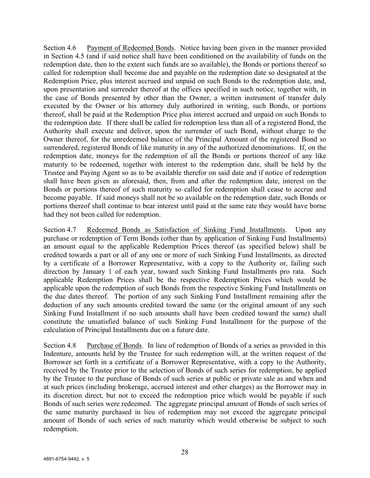Section 4.6 Payment of Redeemed Bonds. Notice having been given in the manner provided in Section 4.5 (and if said notice shall have been conditioned on the availability of funds on the redemption date, then to the extent such funds are so available), the Bonds or portions thereof so called for redemption shall become due and payable on the redemption date so designated at the Redemption Price, plus interest accrued and unpaid on such Bonds to the redemption date, and, upon presentation and surrender thereof at the offices specified in such notice, together with, in the case of Bonds presented by other than the Owner, a written instrument of transfer duly executed by the Owner or his attorney duly authorized in writing, such Bonds, or portions thereof, shall be paid at the Redemption Price plus interest accrued and unpaid on such Bonds to the redemption date. If there shall be called for redemption less than all of a registered Bond, the Authority shall execute and deliver, upon the surrender of such Bond, without charge to the Owner thereof, for the unredeemed balance of the Principal Amount of the registered Bond so surrendered, registered Bonds of like maturity in any of the authorized denominations. If, on the redemption date, moneys for the redemption of all the Bonds or portions thereof of any like maturity to be redeemed, together with interest to the redemption date, shall be held by the Trustee and Paying Agent so as to be available therefor on said date and if notice of redemption shall have been given as aforesaid, then, from and after the redemption date, interest on the Bonds or portions thereof of such maturity so called for redemption shall cease to accrue and become payable. If said moneys shall not be so available on the redemption date, such Bonds or portions thereof shall continue to bear interest until paid at the same rate they would have borne had they not been called for redemption.

Section 4.7 Redeemed Bonds as Satisfaction of Sinking Fund Installments. Upon any purchase or redemption of Term Bonds (other than by application of Sinking Fund Installments) an amount equal to the applicable Redemption Prices thereof (as specified below) shall be credited towards a part or all of any one or more of such Sinking Fund Installments, as directed by a certificate of a Borrower Representative, with a copy to the Authority or, failing such direction by January 1 of each year, toward such Sinking Fund Installments pro rata. Such applicable Redemption Prices shall be the respective Redemption Prices which would be applicable upon the redemption of such Bonds from the respective Sinking Fund Installments on the due dates thereof. The portion of any such Sinking Fund Installment remaining after the deduction of any such amounts credited toward the same (or the original amount of any such Sinking Fund Installment if no such amounts shall have been credited toward the same) shall constitute the unsatisfied balance of such Sinking Fund Installment for the purpose of the calculation of Principal Installments due on a future date.

Section 4.8 Purchase of Bonds. In lieu of redemption of Bonds of a series as provided in this Indenture, amounts held by the Trustee for such redemption will, at the written request of the Borrower set forth in a certificate of a Borrower Representative, with a copy to the Authority, received by the Trustee prior to the selection of Bonds of such series for redemption, be applied by the Trustee to the purchase of Bonds of such series at public or private sale as and when and at such prices (including brokerage, accrued interest and other charges) as the Borrower may in its discretion direct, but not to exceed the redemption price which would be payable if such Bonds of such series were redeemed. The aggregate principal amount of Bonds of such series of the same maturity purchased in lieu of redemption may not exceed the aggregate principal amount of Bonds of such series of such maturity which would otherwise be subject to such redemption.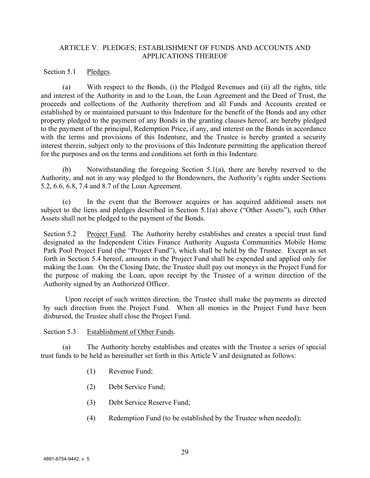# ARTICLE V. PLEDGES; ESTABLISHMENT OF FUNDS AND ACCOUNTS AND APPLICATIONS THEREOF

Section 5.1 Pledges.

(a) With respect to the Bonds, (i) the Pledged Revenues and (ii) all the rights, title and interest of the Authority in and to the Loan, the Loan Agreement and the Deed of Trust, the proceeds and collections of the Authority therefrom and all Funds and Accounts created or established by or maintained pursuant to this Indenture for the benefit of the Bonds and any other property pledged to the payment of any Bonds in the granting clauses hereof, are hereby pledged to the payment of the principal, Redemption Price, if any, and interest on the Bonds in accordance with the terms and provisions of this Indenture, and the Trustee is hereby granted a security interest therein, subject only to the provisions of this Indenture permitting the application thereof for the purposes and on the terms and conditions set forth in this Indenture.

(b) Notwithstanding the foregoing Section 5.1(a), there are hereby reserved to the Authority, and not in any way pledged to the Bondowners, the Authority's rights under Sections 5.2, 6.6, 6.8, 7.4 and 8.7 of the Loan Agreement.

(c) In the event that the Borrower acquires or has acquired additional assets not subject to the liens and pledges described in Section 5.1(a) above ("Other Assets"), such Other Assets shall not be pledged to the payment of the Bonds.

Section 5.2 Project Fund. The Authority hereby establishes and creates a special trust fund designated as the Independent Cities Finance Authority Augusta Communities Mobile Home Park Pool Project Fund (the "Project Fund"), which shall be held by the Trustee. Except as set forth in Section 5.4 hereof, amounts in the Project Fund shall be expended and applied only for making the Loan. On the Closing Date, the Trustee shall pay out moneys in the Project Fund for the purpose of making the Loan, upon receipt by the Trustee of a written direction of the Authority signed by an Authorized Officer.

Upon receipt of such written direction, the Trustee shall make the payments as directed by such direction from the Project Fund. When all monies in the Project Fund have been disbursed, the Trustee shall close the Project Fund.

Section 5.3 Establishment of Other Funds.

(a) The Authority hereby establishes and creates with the Trustee a series of special trust funds to be held as hereinafter set forth in this Article V and designated as follows:

- (1) Revenue Fund;
- (2) Debt Service Fund;
- (3) Debt Service Reserve Fund;
- (4) Redemption Fund (to be established by the Trustee when needed);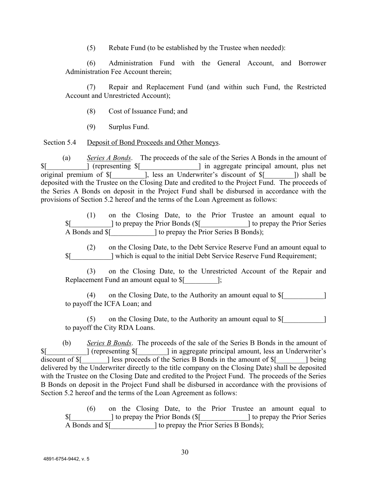(5) Rebate Fund (to be established by the Trustee when needed):

(6) Administration Fund with the General Account, and Borrower Administration Fee Account therein;

Repair and Replacement Fund (and within such Fund, the Restricted Account and Unrestricted Account);

- (8) Cost of Issuance Fund; and
- (9) Surplus Fund.

Section 5.4 Deposit of Bond Proceeds and Other Moneys.

(a) *Series A Bonds*. The proceeds of the sale of the Series A Bonds in the amount of \$[\_\_\_\_\_\_\_\_\_\_\_] (representing \$[\_\_\_\_\_\_\_\_\_\_\_\_\_\_\_\_] in aggregate principal amount, plus net original premium of  $\frac{1}{2}$  [10], less an Underwriter's discount of  $\frac{1}{2}$  [10] shall be deposited with the Trustee on the Closing Date and credited to the Project Fund. The proceeds of the Series A Bonds on deposit in the Project Fund shall be disbursed in accordance with the provisions of Section 5.2 hereof and the terms of the Loan Agreement as follows:

(1) on the Closing Date, to the Prior Trustee an amount equal to \$[\_\_\_\_\_\_\_\_\_\_\_] to prepay the Prior Bonds (\$[\_\_\_\_\_\_\_\_\_\_\_\_\_] to prepay the Prior Series A Bonds and  $\[\$]$  to prepay the Prior Series B Bonds);

(2) on the Closing Date, to the Debt Service Reserve Fund an amount equal to \$[\_\_\_\_\_\_\_\_\_\_\_] which is equal to the initial Debt Service Reserve Fund Requirement;

(3) on the Closing Date, to the Unrestricted Account of the Repair and Replacement Fund an amount equal to  $\mathcal{S}$ [  $\qquad \qquad$  ];

(4) on the Closing Date, to the Authority an amount equal to  $\[\$$ to payoff the ICFA Loan; and

(5) on the Closing Date, to the Authority an amount equal to  $$$ [ to payoff the City RDA Loans.

(b) *Series B Bonds*. The proceeds of the sale of the Series B Bonds in the amount of \$[\_\_\_\_\_\_\_\_\_\_\_] (representing \$[\_\_\_\_\_\_\_\_] in aggregate principal amount, less an Underwriter's discount of  $\{\S$  | less proceeds of the Series B Bonds in the amount of  $\[\S$  | being delivered by the Underwriter directly to the title company on the Closing Date) shall be deposited with the Trustee on the Closing Date and credited to the Project Fund. The proceeds of the Series B Bonds on deposit in the Project Fund shall be disbursed in accordance with the provisions of Section 5.2 hereof and the terms of the Loan Agreement as follows:

(6) on the Closing Date, to the Prior Trustee an amount equal to \$[\_\_\_\_\_\_\_\_\_\_\_] to prepay the Prior Bonds (\$[\_\_\_\_\_\_\_\_\_\_\_\_\_] to prepay the Prior Series A Bonds and  $[$   $]$  to prepay the Prior Series B Bonds);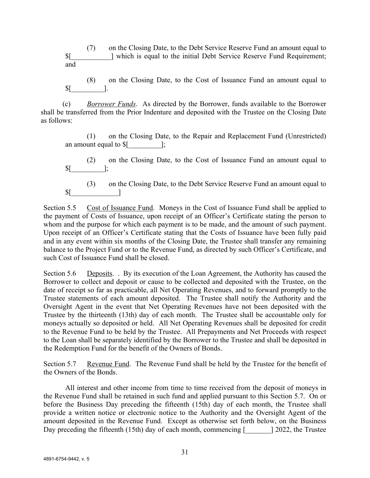(7) on the Closing Date, to the Debt Service Reserve Fund an amount equal to \$[\_\_\_\_\_\_\_\_\_\_\_] which is equal to the initial Debt Service Reserve Fund Requirement; and

(8) on the Closing Date, to the Cost of Issuance Fund an amount equal to  $\mathbb{S}$ [ ].

(c) *Borrower Funds*. As directed by the Borrower, funds available to the Borrower shall be transferred from the Prior Indenture and deposited with the Trustee on the Closing Date as follows:

(1) on the Closing Date, to the Repair and Replacement Fund (Unrestricted) an amount equal to  $$$ [  $\;$  ];

(2) on the Closing Date, to the Cost of Issuance Fund an amount equal to  $\mathbb{S}$ [  $\qquad$  ];

(3) on the Closing Date, to the Debt Service Reserve Fund an amount equal to  $\mathbb{S}$ [

Section 5.5 Cost of Issuance Fund. Moneys in the Cost of Issuance Fund shall be applied to the payment of Costs of Issuance, upon receipt of an Officer's Certificate stating the person to whom and the purpose for which each payment is to be made, and the amount of such payment. Upon receipt of an Officer's Certificate stating that the Costs of Issuance have been fully paid and in any event within six months of the Closing Date, the Trustee shall transfer any remaining balance to the Project Fund or to the Revenue Fund, as directed by such Officer's Certificate, and such Cost of Issuance Fund shall be closed.

Section 5.6 Deposits. . By its execution of the Loan Agreement, the Authority has caused the Borrower to collect and deposit or cause to be collected and deposited with the Trustee, on the date of receipt so far as practicable, all Net Operating Revenues, and to forward promptly to the Trustee statements of each amount deposited. The Trustee shall notify the Authority and the Oversight Agent in the event that Net Operating Revenues have not been deposited with the Trustee by the thirteenth (13th) day of each month. The Trustee shall be accountable only for moneys actually so deposited or held. All Net Operating Revenues shall be deposited for credit to the Revenue Fund to be held by the Trustee. All Prepayments and Net Proceeds with respect to the Loan shall be separately identified by the Borrower to the Trustee and shall be deposited in the Redemption Fund for the benefit of the Owners of Bonds.

Section 5.7 Revenue Fund. The Revenue Fund shall be held by the Trustee for the benefit of the Owners of the Bonds.

All interest and other income from time to time received from the deposit of moneys in the Revenue Fund shall be retained in such fund and applied pursuant to this Section 5.7. On or before the Business Day preceding the fifteenth (15th) day of each month, the Trustee shall provide a written notice or electronic notice to the Authority and the Oversight Agent of the amount deposited in the Revenue Fund. Except as otherwise set forth below, on the Business Day preceding the fifteenth (15th) day of each month, commencing  $\lceil \frac{12022}{12022} \rceil$ , the Trustee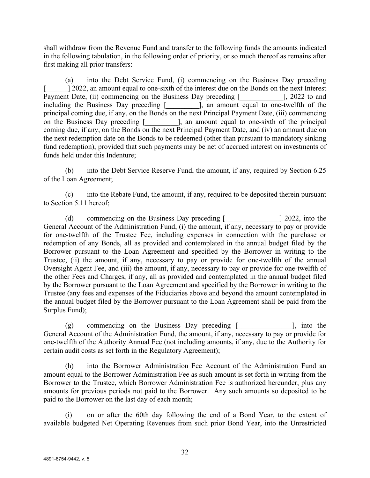shall withdraw from the Revenue Fund and transfer to the following funds the amounts indicated in the following tabulation, in the following order of priority, or so much thereof as remains after first making all prior transfers:

(a) into the Debt Service Fund, (i) commencing on the Business Day preceding [ $\geq$ ] 2022, an amount equal to one-sixth of the interest due on the Bonds on the next Interest Payment Date, (ii) commencing on the Business Day preceding [2022 to and including the Business Day preceding [\_\_\_\_\_\_\_\_\_], an amount equal to one-twelfth of the principal coming due, if any, on the Bonds on the next Principal Payment Date, (iii) commencing on the Business Day preceding [\_\_\_\_\_\_\_\_\_\_], an amount equal to one-sixth of the principal coming due, if any, on the Bonds on the next Principal Payment Date, and (iv) an amount due on the next redemption date on the Bonds to be redeemed (other than pursuant to mandatory sinking fund redemption), provided that such payments may be net of accrued interest on investments of funds held under this Indenture;

(b) into the Debt Service Reserve Fund, the amount, if any, required by Section 6.25 of the Loan Agreement;

(c) into the Rebate Fund, the amount, if any, required to be deposited therein pursuant to Section 5.11 hereof;

(d) commencing on the Business Day preceding [\_\_\_\_\_\_\_\_\_\_\_\_\_\_\_] 2022, into the General Account of the Administration Fund, (i) the amount, if any, necessary to pay or provide for one-twelfth of the Trustee Fee, including expenses in connection with the purchase or redemption of any Bonds, all as provided and contemplated in the annual budget filed by the Borrower pursuant to the Loan Agreement and specified by the Borrower in writing to the Trustee, (ii) the amount, if any, necessary to pay or provide for one-twelfth of the annual Oversight Agent Fee, and (iii) the amount, if any, necessary to pay or provide for one-twelfth of the other Fees and Charges, if any, all as provided and contemplated in the annual budget filed by the Borrower pursuant to the Loan Agreement and specified by the Borrower in writing to the Trustee (any fees and expenses of the Fiduciaries above and beyond the amount contemplated in the annual budget filed by the Borrower pursuant to the Loan Agreement shall be paid from the Surplus Fund);

(g) commencing on the Business Day preceding  $\lceil$  [, into the General Account of the Administration Fund, the amount, if any, necessary to pay or provide for one-twelfth of the Authority Annual Fee (not including amounts, if any, due to the Authority for certain audit costs as set forth in the Regulatory Agreement);

(h) into the Borrower Administration Fee Account of the Administration Fund an amount equal to the Borrower Administration Fee as such amount is set forth in writing from the Borrower to the Trustee, which Borrower Administration Fee is authorized hereunder, plus any amounts for previous periods not paid to the Borrower. Any such amounts so deposited to be paid to the Borrower on the last day of each month;

(i) on or after the 60th day following the end of a Bond Year, to the extent of available budgeted Net Operating Revenues from such prior Bond Year, into the Unrestricted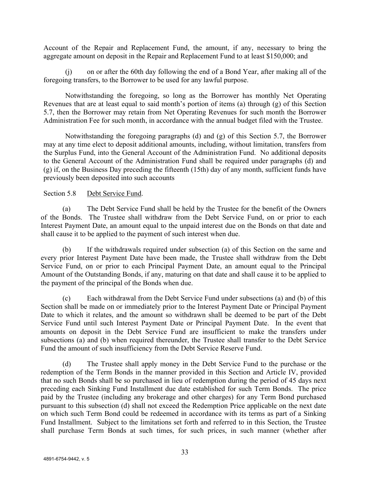Account of the Repair and Replacement Fund, the amount, if any, necessary to bring the aggregate amount on deposit in the Repair and Replacement Fund to at least \$150,000; and

(j) on or after the 60th day following the end of a Bond Year, after making all of the foregoing transfers, to the Borrower to be used for any lawful purpose.

Notwithstanding the foregoing, so long as the Borrower has monthly Net Operating Revenues that are at least equal to said month's portion of items (a) through (g) of this Section 5.7, then the Borrower may retain from Net Operating Revenues for such month the Borrower Administration Fee for such month, in accordance with the annual budget filed with the Trustee.

Notwithstanding the foregoing paragraphs (d) and (g) of this Section 5.7, the Borrower may at any time elect to deposit additional amounts, including, without limitation, transfers from the Surplus Fund, into the General Account of the Administration Fund. No additional deposits to the General Account of the Administration Fund shall be required under paragraphs (d) and (g) if, on the Business Day preceding the fifteenth (15th) day of any month, sufficient funds have previously been deposited into such accounts

## Section 5.8 Debt Service Fund.

(a) The Debt Service Fund shall be held by the Trustee for the benefit of the Owners of the Bonds. The Trustee shall withdraw from the Debt Service Fund, on or prior to each Interest Payment Date, an amount equal to the unpaid interest due on the Bonds on that date and shall cause it to be applied to the payment of such interest when due.

(b) If the withdrawals required under subsection (a) of this Section on the same and every prior Interest Payment Date have been made, the Trustee shall withdraw from the Debt Service Fund, on or prior to each Principal Payment Date, an amount equal to the Principal Amount of the Outstanding Bonds, if any, maturing on that date and shall cause it to be applied to the payment of the principal of the Bonds when due.

(c) Each withdrawal from the Debt Service Fund under subsections (a) and (b) of this Section shall be made on or immediately prior to the Interest Payment Date or Principal Payment Date to which it relates, and the amount so withdrawn shall be deemed to be part of the Debt Service Fund until such Interest Payment Date or Principal Payment Date. In the event that amounts on deposit in the Debt Service Fund are insufficient to make the transfers under subsections (a) and (b) when required thereunder, the Trustee shall transfer to the Debt Service Fund the amount of such insufficiency from the Debt Service Reserve Fund.

(d) The Trustee shall apply money in the Debt Service Fund to the purchase or the redemption of the Term Bonds in the manner provided in this Section and Article IV, provided that no such Bonds shall be so purchased in lieu of redemption during the period of 45 days next preceding each Sinking Fund Installment due date established for such Term Bonds. The price paid by the Trustee (including any brokerage and other charges) for any Term Bond purchased pursuant to this subsection (d) shall not exceed the Redemption Price applicable on the next date on which such Term Bond could be redeemed in accordance with its terms as part of a Sinking Fund Installment. Subject to the limitations set forth and referred to in this Section, the Trustee shall purchase Term Bonds at such times, for such prices, in such manner (whether after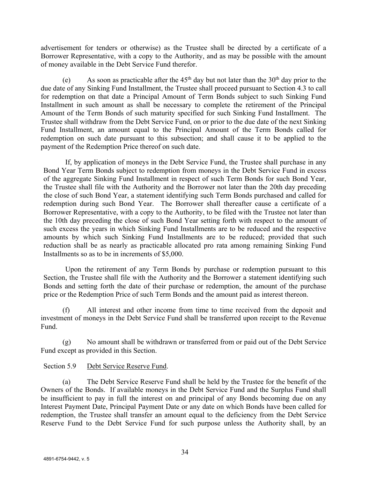advertisement for tenders or otherwise) as the Trustee shall be directed by a certificate of a Borrower Representative, with a copy to the Authority, and as may be possible with the amount of money available in the Debt Service Fund therefor.

(e) As soon as practicable after the  $45<sup>th</sup>$  day but not later than the  $30<sup>th</sup>$  day prior to the due date of any Sinking Fund Installment, the Trustee shall proceed pursuant to Section 4.3 to call for redemption on that date a Principal Amount of Term Bonds subject to such Sinking Fund Installment in such amount as shall be necessary to complete the retirement of the Principal Amount of the Term Bonds of such maturity specified for such Sinking Fund Installment. The Trustee shall withdraw from the Debt Service Fund, on or prior to the due date of the next Sinking Fund Installment, an amount equal to the Principal Amount of the Term Bonds called for redemption on such date pursuant to this subsection; and shall cause it to be applied to the payment of the Redemption Price thereof on such date.

If, by application of moneys in the Debt Service Fund, the Trustee shall purchase in any Bond Year Term Bonds subject to redemption from moneys in the Debt Service Fund in excess of the aggregate Sinking Fund Installment in respect of such Term Bonds for such Bond Year, the Trustee shall file with the Authority and the Borrower not later than the 20th day preceding the close of such Bond Year, a statement identifying such Term Bonds purchased and called for redemption during such Bond Year. The Borrower shall thereafter cause a certificate of a Borrower Representative, with a copy to the Authority, to be filed with the Trustee not later than the 10th day preceding the close of such Bond Year setting forth with respect to the amount of such excess the years in which Sinking Fund Installments are to be reduced and the respective amounts by which such Sinking Fund Installments are to be reduced; provided that such reduction shall be as nearly as practicable allocated pro rata among remaining Sinking Fund Installments so as to be in increments of \$5,000.

Upon the retirement of any Term Bonds by purchase or redemption pursuant to this Section, the Trustee shall file with the Authority and the Borrower a statement identifying such Bonds and setting forth the date of their purchase or redemption, the amount of the purchase price or the Redemption Price of such Term Bonds and the amount paid as interest thereon.

(f) All interest and other income from time to time received from the deposit and investment of moneys in the Debt Service Fund shall be transferred upon receipt to the Revenue Fund.

(g) No amount shall be withdrawn or transferred from or paid out of the Debt Service Fund except as provided in this Section.

# Section 5.9 Debt Service Reserve Fund.

(a) The Debt Service Reserve Fund shall be held by the Trustee for the benefit of the Owners of the Bonds. If available moneys in the Debt Service Fund and the Surplus Fund shall be insufficient to pay in full the interest on and principal of any Bonds becoming due on any Interest Payment Date, Principal Payment Date or any date on which Bonds have been called for redemption, the Trustee shall transfer an amount equal to the deficiency from the Debt Service Reserve Fund to the Debt Service Fund for such purpose unless the Authority shall, by an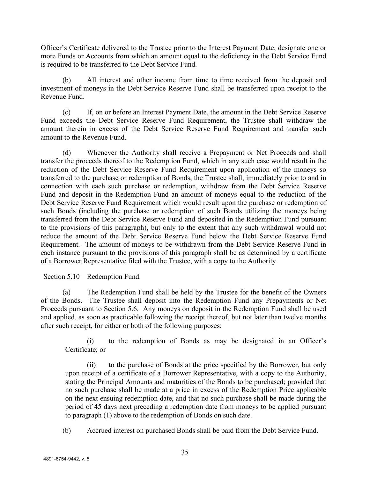Officer's Certificate delivered to the Trustee prior to the Interest Payment Date, designate one or more Funds or Accounts from which an amount equal to the deficiency in the Debt Service Fund is required to be transferred to the Debt Service Fund.

(b) All interest and other income from time to time received from the deposit and investment of moneys in the Debt Service Reserve Fund shall be transferred upon receipt to the Revenue Fund.

(c) If, on or before an Interest Payment Date, the amount in the Debt Service Reserve Fund exceeds the Debt Service Reserve Fund Requirement, the Trustee shall withdraw the amount therein in excess of the Debt Service Reserve Fund Requirement and transfer such amount to the Revenue Fund.

(d) Whenever the Authority shall receive a Prepayment or Net Proceeds and shall transfer the proceeds thereof to the Redemption Fund, which in any such case would result in the reduction of the Debt Service Reserve Fund Requirement upon application of the moneys so transferred to the purchase or redemption of Bonds, the Trustee shall, immediately prior to and in connection with each such purchase or redemption, withdraw from the Debt Service Reserve Fund and deposit in the Redemption Fund an amount of moneys equal to the reduction of the Debt Service Reserve Fund Requirement which would result upon the purchase or redemption of such Bonds (including the purchase or redemption of such Bonds utilizing the moneys being transferred from the Debt Service Reserve Fund and deposited in the Redemption Fund pursuant to the provisions of this paragraph), but only to the extent that any such withdrawal would not reduce the amount of the Debt Service Reserve Fund below the Debt Service Reserve Fund Requirement. The amount of moneys to be withdrawn from the Debt Service Reserve Fund in each instance pursuant to the provisions of this paragraph shall be as determined by a certificate of a Borrower Representative filed with the Trustee, with a copy to the Authority

Section 5.10 Redemption Fund.

(a) The Redemption Fund shall be held by the Trustee for the benefit of the Owners of the Bonds. The Trustee shall deposit into the Redemption Fund any Prepayments or Net Proceeds pursuant to Section 5.6. Any moneys on deposit in the Redemption Fund shall be used and applied, as soon as practicable following the receipt thereof, but not later than twelve months after such receipt, for either or both of the following purposes:

(i) to the redemption of Bonds as may be designated in an Officer's Certificate; or

(ii) to the purchase of Bonds at the price specified by the Borrower, but only upon receipt of a certificate of a Borrower Representative, with a copy to the Authority, stating the Principal Amounts and maturities of the Bonds to be purchased; provided that no such purchase shall be made at a price in excess of the Redemption Price applicable on the next ensuing redemption date, and that no such purchase shall be made during the period of 45 days next preceding a redemption date from moneys to be applied pursuant to paragraph (1) above to the redemption of Bonds on such date.

(b) Accrued interest on purchased Bonds shall be paid from the Debt Service Fund.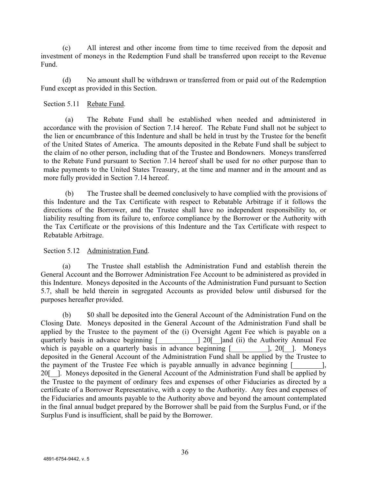(c) All interest and other income from time to time received from the deposit and investment of moneys in the Redemption Fund shall be transferred upon receipt to the Revenue Fund.

(d) No amount shall be withdrawn or transferred from or paid out of the Redemption Fund except as provided in this Section.

#### Section 5.11 Rebate Fund.

(a) The Rebate Fund shall be established when needed and administered in accordance with the provision of Section 7.14 hereof. The Rebate Fund shall not be subject to the lien or encumbrance of this Indenture and shall be held in trust by the Trustee for the benefit of the United States of America. The amounts deposited in the Rebate Fund shall be subject to the claim of no other person, including that of the Trustee and Bondowners. Moneys transferred to the Rebate Fund pursuant to Section 7.14 hereof shall be used for no other purpose than to make payments to the United States Treasury, at the time and manner and in the amount and as more fully provided in Section 7.14 hereof.

(b) The Trustee shall be deemed conclusively to have complied with the provisions of this Indenture and the Tax Certificate with respect to Rebatable Arbitrage if it follows the directions of the Borrower, and the Trustee shall have no independent responsibility to, or liability resulting from its failure to, enforce compliance by the Borrower or the Authority with the Tax Certificate or the provisions of this Indenture and the Tax Certificate with respect to Rebatable Arbitrage.

# Section 5.12 Administration Fund.

(a) The Trustee shall establish the Administration Fund and establish therein the General Account and the Borrower Administration Fee Account to be administered as provided in this Indenture. Moneys deposited in the Accounts of the Administration Fund pursuant to Section 5.7, shall be held therein in segregated Accounts as provided below until disbursed for the purposes hereafter provided.

(b) \$0 shall be deposited into the General Account of the Administration Fund on the Closing Date. Moneys deposited in the General Account of the Administration Fund shall be applied by the Trustee to the payment of the (i) Oversight Agent Fee which is payable on a quarterly basis in advance beginning [\_\_\_\_\_\_\_\_\_] 20[\_\_]and (ii) the Authority Annual Fee which is payable on a quarterly basis in advance beginning [\_\_\_\_\_\_\_\_\_\_], 20[\_\_]. Moneys deposited in the General Account of the Administration Fund shall be applied by the Trustee to the payment of the Trustee Fee which is payable annually in advance beginning [\_\_\_\_\_\_\_\_], 20<sup>[1]</sup>. Moneys deposited in the General Account of the Administration Fund shall be applied by the Trustee to the payment of ordinary fees and expenses of other Fiduciaries as directed by a certificate of a Borrower Representative, with a copy to the Authority. Any fees and expenses of the Fiduciaries and amounts payable to the Authority above and beyond the amount contemplated in the final annual budget prepared by the Borrower shall be paid from the Surplus Fund, or if the Surplus Fund is insufficient, shall be paid by the Borrower.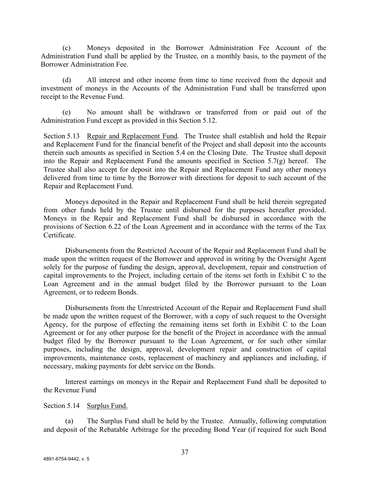(c) Moneys deposited in the Borrower Administration Fee Account of the Administration Fund shall be applied by the Trustee, on a monthly basis, to the payment of the Borrower Administration Fee.

(d) All interest and other income from time to time received from the deposit and investment of moneys in the Accounts of the Administration Fund shall be transferred upon receipt to the Revenue Fund.

(e) No amount shall be withdrawn or transferred from or paid out of the Administration Fund except as provided in this Section 5.12.

Section 5.13 Repair and Replacement Fund. The Trustee shall establish and hold the Repair and Replacement Fund for the financial benefit of the Project and shall deposit into the accounts therein such amounts as specified in Section 5.4 on the Closing Date. The Trustee shall deposit into the Repair and Replacement Fund the amounts specified in Section 5.7(g) hereof. The Trustee shall also accept for deposit into the Repair and Replacement Fund any other moneys delivered from time to time by the Borrower with directions for deposit to such account of the Repair and Replacement Fund.

Moneys deposited in the Repair and Replacement Fund shall be held therein segregated from other funds held by the Trustee until disbursed for the purposes hereafter provided. Moneys in the Repair and Replacement Fund shall be disbursed in accordance with the provisions of Section 6.22 of the Loan Agreement and in accordance with the terms of the Tax Certificate.

Disbursements from the Restricted Account of the Repair and Replacement Fund shall be made upon the written request of the Borrower and approved in writing by the Oversight Agent solely for the purpose of funding the design, approval, development, repair and construction of capital improvements to the Project, including certain of the items set forth in Exhibit C to the Loan Agreement and in the annual budget filed by the Borrower pursuant to the Loan Agreement, or to redeem Bonds.

Disbursements from the Unrestricted Account of the Repair and Replacement Fund shall be made upon the written request of the Borrower, with a copy of such request to the Oversight Agency, for the purpose of effecting the remaining items set forth in Exhibit C to the Loan Agreement or for any other purpose for the benefit of the Project in accordance with the annual budget filed by the Borrower pursuant to the Loan Agreement, or for such other similar purposes, including the design, approval, development repair and construction of capital improvements, maintenance costs, replacement of machinery and appliances and including, if necessary, making payments for debt service on the Bonds.

Interest earnings on moneys in the Repair and Replacement Fund shall be deposited to the Revenue Fund

#### Section 5.14 Surplus Fund.

(a) The Surplus Fund shall be held by the Trustee. Annually, following computation and deposit of the Rebatable Arbitrage for the preceding Bond Year (if required for such Bond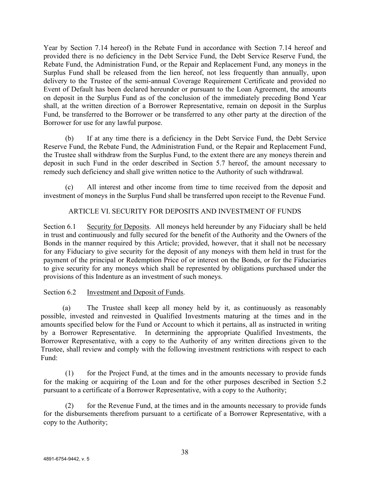Year by Section 7.14 hereof) in the Rebate Fund in accordance with Section 7.14 hereof and provided there is no deficiency in the Debt Service Fund, the Debt Service Reserve Fund, the Rebate Fund, the Administration Fund, or the Repair and Replacement Fund, any moneys in the Surplus Fund shall be released from the lien hereof, not less frequently than annually, upon delivery to the Trustee of the semi-annual Coverage Requirement Certificate and provided no Event of Default has been declared hereunder or pursuant to the Loan Agreement, the amounts on deposit in the Surplus Fund as of the conclusion of the immediately preceding Bond Year shall, at the written direction of a Borrower Representative, remain on deposit in the Surplus Fund, be transferred to the Borrower or be transferred to any other party at the direction of the Borrower for use for any lawful purpose.

(b) If at any time there is a deficiency in the Debt Service Fund, the Debt Service Reserve Fund, the Rebate Fund, the Administration Fund, or the Repair and Replacement Fund, the Trustee shall withdraw from the Surplus Fund, to the extent there are any moneys therein and deposit in such Fund in the order described in Section 5.7 hereof, the amount necessary to remedy such deficiency and shall give written notice to the Authority of such withdrawal.

(c) All interest and other income from time to time received from the deposit and investment of moneys in the Surplus Fund shall be transferred upon receipt to the Revenue Fund.

# ARTICLE VI. SECURITY FOR DEPOSITS AND INVESTMENT OF FUNDS

Section 6.1 Security for Deposits. All moneys held hereunder by any Fiduciary shall be held in trust and continuously and fully secured for the benefit of the Authority and the Owners of the Bonds in the manner required by this Article; provided, however, that it shall not be necessary for any Fiduciary to give security for the deposit of any moneys with them held in trust for the payment of the principal or Redemption Price of or interest on the Bonds, or for the Fiduciaries to give security for any moneys which shall be represented by obligations purchased under the provisions of this Indenture as an investment of such moneys.

# Section 6.2 Investment and Deposit of Funds.

(a) The Trustee shall keep all money held by it, as continuously as reasonably possible, invested and reinvested in Qualified Investments maturing at the times and in the amounts specified below for the Fund or Account to which it pertains, all as instructed in writing by a Borrower Representative. In determining the appropriate Qualified Investments, the Borrower Representative, with a copy to the Authority of any written directions given to the Trustee, shall review and comply with the following investment restrictions with respect to each Fund:

(1) for the Project Fund, at the times and in the amounts necessary to provide funds for the making or acquiring of the Loan and for the other purposes described in Section 5.2 pursuant to a certificate of a Borrower Representative, with a copy to the Authority;

(2) for the Revenue Fund, at the times and in the amounts necessary to provide funds for the disbursements therefrom pursuant to a certificate of a Borrower Representative, with a copy to the Authority;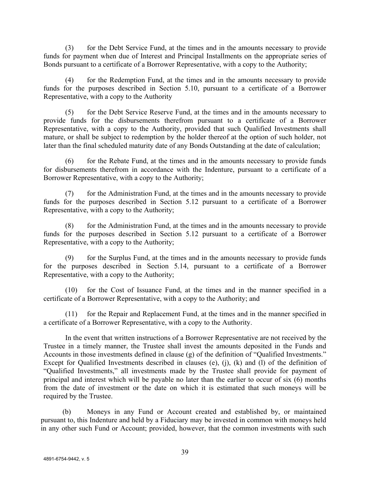(3) for the Debt Service Fund, at the times and in the amounts necessary to provide funds for payment when due of Interest and Principal Installments on the appropriate series of Bonds pursuant to a certificate of a Borrower Representative, with a copy to the Authority;

(4) for the Redemption Fund, at the times and in the amounts necessary to provide funds for the purposes described in Section 5.10, pursuant to a certificate of a Borrower Representative, with a copy to the Authority

(5) for the Debt Service Reserve Fund, at the times and in the amounts necessary to provide funds for the disbursements therefrom pursuant to a certificate of a Borrower Representative, with a copy to the Authority, provided that such Qualified Investments shall mature, or shall be subject to redemption by the holder thereof at the option of such holder, not later than the final scheduled maturity date of any Bonds Outstanding at the date of calculation;

(6) for the Rebate Fund, at the times and in the amounts necessary to provide funds for disbursements therefrom in accordance with the Indenture, pursuant to a certificate of a Borrower Representative, with a copy to the Authority;

(7) for the Administration Fund, at the times and in the amounts necessary to provide funds for the purposes described in Section 5.12 pursuant to a certificate of a Borrower Representative, with a copy to the Authority;

(8) for the Administration Fund, at the times and in the amounts necessary to provide funds for the purposes described in Section 5.12 pursuant to a certificate of a Borrower Representative, with a copy to the Authority;

(9) for the Surplus Fund, at the times and in the amounts necessary to provide funds for the purposes described in Section 5.14, pursuant to a certificate of a Borrower Representative, with a copy to the Authority;

(10) for the Cost of Issuance Fund, at the times and in the manner specified in a certificate of a Borrower Representative, with a copy to the Authority; and

(11) for the Repair and Replacement Fund, at the times and in the manner specified in a certificate of a Borrower Representative, with a copy to the Authority.

In the event that written instructions of a Borrower Representative are not received by the Trustee in a timely manner, the Trustee shall invest the amounts deposited in the Funds and Accounts in those investments defined in clause (g) of the definition of "Qualified Investments." Except for Qualified Investments described in clauses (e), (j), (k) and (l) of the definition of "Qualified Investments," all investments made by the Trustee shall provide for payment of principal and interest which will be payable no later than the earlier to occur of six (6) months from the date of investment or the date on which it is estimated that such moneys will be required by the Trustee.

(b) Moneys in any Fund or Account created and established by, or maintained pursuant to, this Indenture and held by a Fiduciary may be invested in common with moneys held in any other such Fund or Account; provided, however, that the common investments with such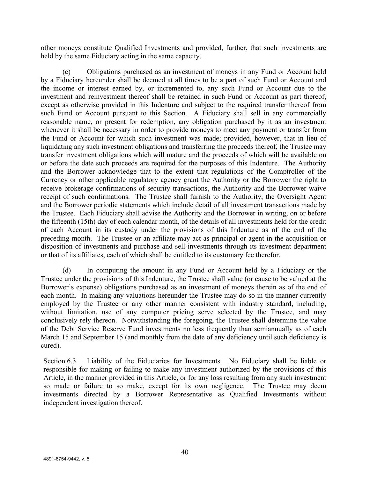other moneys constitute Qualified Investments and provided, further, that such investments are held by the same Fiduciary acting in the same capacity.

(c) Obligations purchased as an investment of moneys in any Fund or Account held by a Fiduciary hereunder shall be deemed at all times to be a part of such Fund or Account and the income or interest earned by, or incremented to, any such Fund or Account due to the investment and reinvestment thereof shall be retained in such Fund or Account as part thereof, except as otherwise provided in this Indenture and subject to the required transfer thereof from such Fund or Account pursuant to this Section. A Fiduciary shall sell in any commercially reasonable name, or present for redemption, any obligation purchased by it as an investment whenever it shall be necessary in order to provide moneys to meet any payment or transfer from the Fund or Account for which such investment was made; provided, however, that in lieu of liquidating any such investment obligations and transferring the proceeds thereof, the Trustee may transfer investment obligations which will mature and the proceeds of which will be available on or before the date such proceeds are required for the purposes of this Indenture. The Authority and the Borrower acknowledge that to the extent that regulations of the Comptroller of the Currency or other applicable regulatory agency grant the Authority or the Borrower the right to receive brokerage confirmations of security transactions, the Authority and the Borrower waive receipt of such confirmations. The Trustee shall furnish to the Authority, the Oversight Agent and the Borrower periodic statements which include detail of all investment transactions made by the Trustee. Each Fiduciary shall advise the Authority and the Borrower in writing, on or before the fifteenth (15th) day of each calendar month, of the details of all investments held for the credit of each Account in its custody under the provisions of this Indenture as of the end of the preceding month. The Trustee or an affiliate may act as principal or agent in the acquisition or disposition of investments and purchase and sell investments through its investment department or that of its affiliates, each of which shall be entitled to its customary fee therefor.

(d) In computing the amount in any Fund or Account held by a Fiduciary or the Trustee under the provisions of this Indenture, the Trustee shall value (or cause to be valued at the Borrower's expense) obligations purchased as an investment of moneys therein as of the end of each month. In making any valuations hereunder the Trustee may do so in the manner currently employed by the Trustee or any other manner consistent with industry standard, including, without limitation, use of any computer pricing serve selected by the Trustee, and may conclusively rely thereon. Notwithstanding the foregoing, the Trustee shall determine the value of the Debt Service Reserve Fund investments no less frequently than semiannually as of each March 15 and September 15 (and monthly from the date of any deficiency until such deficiency is cured).

Section 6.3 Liability of the Fiduciaries for Investments. No Fiduciary shall be liable or responsible for making or failing to make any investment authorized by the provisions of this Article, in the manner provided in this Article, or for any loss resulting from any such investment so made or failure to so make, except for its own negligence. The Trustee may deem investments directed by a Borrower Representative as Qualified Investments without independent investigation thereof.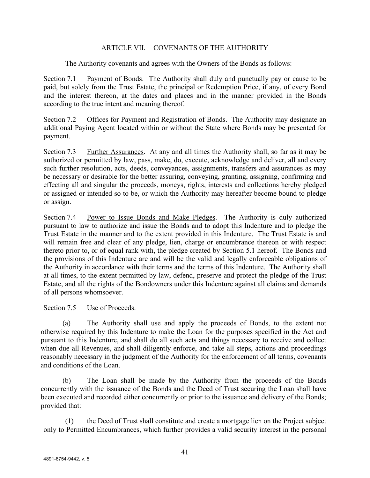# ARTICLE VII. COVENANTS OF THE AUTHORITY

The Authority covenants and agrees with the Owners of the Bonds as follows:

Section 7.1 Payment of Bonds. The Authority shall duly and punctually pay or cause to be paid, but solely from the Trust Estate, the principal or Redemption Price, if any, of every Bond and the interest thereon, at the dates and places and in the manner provided in the Bonds according to the true intent and meaning thereof.

Section 7.2 Offices for Payment and Registration of Bonds. The Authority may designate an additional Paying Agent located within or without the State where Bonds may be presented for payment.

Section 7.3 Further Assurances. At any and all times the Authority shall, so far as it may be authorized or permitted by law, pass, make, do, execute, acknowledge and deliver, all and every such further resolution, acts, deeds, conveyances, assignments, transfers and assurances as may be necessary or desirable for the better assuring, conveying, granting, assigning, confirming and effecting all and singular the proceeds, moneys, rights, interests and collections hereby pledged or assigned or intended so to be, or which the Authority may hereafter become bound to pledge or assign.

Section 7.4 Power to Issue Bonds and Make Pledges. The Authority is duly authorized pursuant to law to authorize and issue the Bonds and to adopt this Indenture and to pledge the Trust Estate in the manner and to the extent provided in this Indenture. The Trust Estate is and will remain free and clear of any pledge, lien, charge or encumbrance thereon or with respect thereto prior to, or of equal rank with, the pledge created by Section 5.1 hereof. The Bonds and the provisions of this Indenture are and will be the valid and legally enforceable obligations of the Authority in accordance with their terms and the terms of this Indenture. The Authority shall at all times, to the extent permitted by law, defend, preserve and protect the pledge of the Trust Estate, and all the rights of the Bondowners under this Indenture against all claims and demands of all persons whomsoever.

# Section 7.5 Use of Proceeds.

(a) The Authority shall use and apply the proceeds of Bonds, to the extent not otherwise required by this Indenture to make the Loan for the purposes specified in the Act and pursuant to this Indenture, and shall do all such acts and things necessary to receive and collect when due all Revenues, and shall diligently enforce, and take all steps, actions and proceedings reasonably necessary in the judgment of the Authority for the enforcement of all terms, covenants and conditions of the Loan.

(b) The Loan shall be made by the Authority from the proceeds of the Bonds concurrently with the issuance of the Bonds and the Deed of Trust securing the Loan shall have been executed and recorded either concurrently or prior to the issuance and delivery of the Bonds; provided that:

(1) the Deed of Trust shall constitute and create a mortgage lien on the Project subject only to Permitted Encumbrances, which further provides a valid security interest in the personal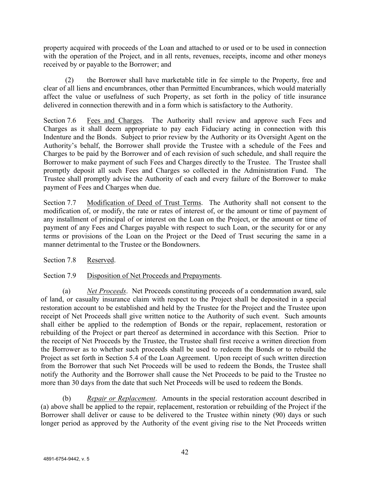property acquired with proceeds of the Loan and attached to or used or to be used in connection with the operation of the Project, and in all rents, revenues, receipts, income and other moneys received by or payable to the Borrower; and

(2) the Borrower shall have marketable title in fee simple to the Property, free and clear of all liens and encumbrances, other than Permitted Encumbrances, which would materially affect the value or usefulness of such Property, as set forth in the policy of title insurance delivered in connection therewith and in a form which is satisfactory to the Authority.

Section 7.6 Fees and Charges. The Authority shall review and approve such Fees and Charges as it shall deem appropriate to pay each Fiduciary acting in connection with this Indenture and the Bonds. Subject to prior review by the Authority or its Oversight Agent on the Authority's behalf, the Borrower shall provide the Trustee with a schedule of the Fees and Charges to be paid by the Borrower and of each revision of such schedule, and shall require the Borrower to make payment of such Fees and Charges directly to the Trustee. The Trustee shall promptly deposit all such Fees and Charges so collected in the Administration Fund. The Trustee shall promptly advise the Authority of each and every failure of the Borrower to make payment of Fees and Charges when due.

Section 7.7 Modification of Deed of Trust Terms. The Authority shall not consent to the modification of, or modify, the rate or rates of interest of, or the amount or time of payment of any installment of principal of or interest on the Loan on the Project, or the amount or time of payment of any Fees and Charges payable with respect to such Loan, or the security for or any terms or provisions of the Loan on the Project or the Deed of Trust securing the same in a manner detrimental to the Trustee or the Bondowners.

Section 7.8 Reserved.

Section 7.9 Disposition of Net Proceeds and Prepayments.

(a) *Net Proceeds*. Net Proceeds constituting proceeds of a condemnation award, sale of land, or casualty insurance claim with respect to the Project shall be deposited in a special restoration account to be established and held by the Trustee for the Project and the Trustee upon receipt of Net Proceeds shall give written notice to the Authority of such event. Such amounts shall either be applied to the redemption of Bonds or the repair, replacement, restoration or rebuilding of the Project or part thereof as determined in accordance with this Section. Prior to the receipt of Net Proceeds by the Trustee, the Trustee shall first receive a written direction from the Borrower as to whether such proceeds shall be used to redeem the Bonds or to rebuild the Project as set forth in Section 5.4 of the Loan Agreement. Upon receipt of such written direction from the Borrower that such Net Proceeds will be used to redeem the Bonds, the Trustee shall notify the Authority and the Borrower shall cause the Net Proceeds to be paid to the Trustee no more than 30 days from the date that such Net Proceeds will be used to redeem the Bonds.

(b) *Repair or Replacement*. Amounts in the special restoration account described in (a) above shall be applied to the repair, replacement, restoration or rebuilding of the Project if the Borrower shall deliver or cause to be delivered to the Trustee within ninety (90) days or such longer period as approved by the Authority of the event giving rise to the Net Proceeds written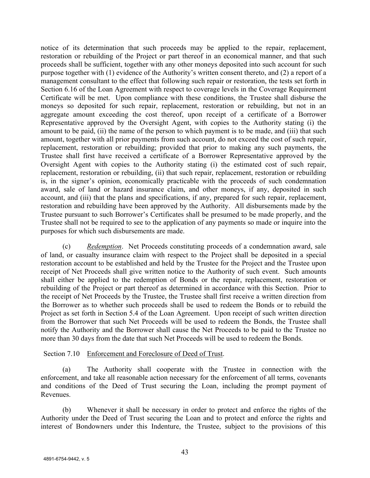notice of its determination that such proceeds may be applied to the repair, replacement, restoration or rebuilding of the Project or part thereof in an economical manner, and that such proceeds shall be sufficient, together with any other moneys deposited into such account for such purpose together with (1) evidence of the Authority's written consent thereto, and (2) a report of a management consultant to the effect that following such repair or restoration, the tests set forth in Section 6.16 of the Loan Agreement with respect to coverage levels in the Coverage Requirement Certificate will be met. Upon compliance with these conditions, the Trustee shall disburse the moneys so deposited for such repair, replacement, restoration or rebuilding, but not in an aggregate amount exceeding the cost thereof, upon receipt of a certificate of a Borrower Representative approved by the Oversight Agent, with copies to the Authority stating (i) the amount to be paid, (ii) the name of the person to which payment is to be made, and (iii) that such amount, together with all prior payments from such account, do not exceed the cost of such repair, replacement, restoration or rebuilding; provided that prior to making any such payments, the Trustee shall first have received a certificate of a Borrower Representative approved by the Oversight Agent with copies to the Authority stating (i) the estimated cost of such repair, replacement, restoration or rebuilding, (ii) that such repair, replacement, restoration or rebuilding is, in the signer's opinion, economically practicable with the proceeds of such condemnation award, sale of land or hazard insurance claim, and other moneys, if any, deposited in such account, and (iii) that the plans and specifications, if any, prepared for such repair, replacement, restoration and rebuilding have been approved by the Authority. All disbursements made by the Trustee pursuant to such Borrower's Certificates shall be presumed to be made properly, and the Trustee shall not be required to see to the application of any payments so made or inquire into the purposes for which such disbursements are made.

(c) *Redemption*. Net Proceeds constituting proceeds of a condemnation award, sale of land, or casualty insurance claim with respect to the Project shall be deposited in a special restoration account to be established and held by the Trustee for the Project and the Trustee upon receipt of Net Proceeds shall give written notice to the Authority of such event. Such amounts shall either be applied to the redemption of Bonds or the repair, replacement, restoration or rebuilding of the Project or part thereof as determined in accordance with this Section. Prior to the receipt of Net Proceeds by the Trustee, the Trustee shall first receive a written direction from the Borrower as to whether such proceeds shall be used to redeem the Bonds or to rebuild the Project as set forth in Section 5.4 of the Loan Agreement. Upon receipt of such written direction from the Borrower that such Net Proceeds will be used to redeem the Bonds, the Trustee shall notify the Authority and the Borrower shall cause the Net Proceeds to be paid to the Trustee no more than 30 days from the date that such Net Proceeds will be used to redeem the Bonds.

#### Section 7.10 Enforcement and Foreclosure of Deed of Trust.

(a) The Authority shall cooperate with the Trustee in connection with the enforcement, and take all reasonable action necessary for the enforcement of all terms, covenants and conditions of the Deed of Trust securing the Loan, including the prompt payment of Revenues.

(b) Whenever it shall be necessary in order to protect and enforce the rights of the Authority under the Deed of Trust securing the Loan and to protect and enforce the rights and interest of Bondowners under this Indenture, the Trustee, subject to the provisions of this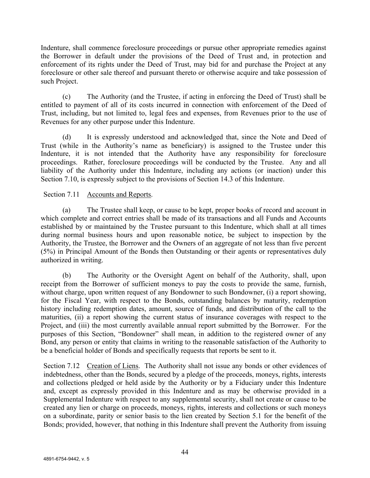Indenture, shall commence foreclosure proceedings or pursue other appropriate remedies against the Borrower in default under the provisions of the Deed of Trust and, in protection and enforcement of its rights under the Deed of Trust, may bid for and purchase the Project at any foreclosure or other sale thereof and pursuant thereto or otherwise acquire and take possession of such Project.

(c) The Authority (and the Trustee, if acting in enforcing the Deed of Trust) shall be entitled to payment of all of its costs incurred in connection with enforcement of the Deed of Trust, including, but not limited to, legal fees and expenses, from Revenues prior to the use of Revenues for any other purpose under this Indenture.

(d) It is expressly understood and acknowledged that, since the Note and Deed of Trust (while in the Authority's name as beneficiary) is assigned to the Trustee under this Indenture, it is not intended that the Authority have any responsibility for foreclosure proceedings. Rather, foreclosure proceedings will be conducted by the Trustee. Any and all liability of the Authority under this Indenture, including any actions (or inaction) under this Section 7.10, is expressly subject to the provisions of Section 14.3 of this Indenture.

# Section 7.11 Accounts and Reports.

(a) The Trustee shall keep, or cause to be kept, proper books of record and account in which complete and correct entries shall be made of its transactions and all Funds and Accounts established by or maintained by the Trustee pursuant to this Indenture, which shall at all times during normal business hours and upon reasonable notice, be subject to inspection by the Authority, the Trustee, the Borrower and the Owners of an aggregate of not less than five percent (5%) in Principal Amount of the Bonds then Outstanding or their agents or representatives duly authorized in writing.

(b) The Authority or the Oversight Agent on behalf of the Authority, shall, upon receipt from the Borrower of sufficient moneys to pay the costs to provide the same, furnish, without charge, upon written request of any Bondowner to such Bondowner, (i) a report showing, for the Fiscal Year, with respect to the Bonds, outstanding balances by maturity, redemption history including redemption dates, amount, source of funds, and distribution of the call to the maturities, (ii) a report showing the current status of insurance coverages with respect to the Project, and (iii) the most currently available annual report submitted by the Borrower. For the purposes of this Section, "Bondowner" shall mean, in addition to the registered owner of any Bond, any person or entity that claims in writing to the reasonable satisfaction of the Authority to be a beneficial holder of Bonds and specifically requests that reports be sent to it.

Section 7.12 Creation of Liens. The Authority shall not issue any bonds or other evidences of indebtedness, other than the Bonds, secured by a pledge of the proceeds, moneys, rights, interests and collections pledged or held aside by the Authority or by a Fiduciary under this Indenture and, except as expressly provided in this Indenture and as may be otherwise provided in a Supplemental Indenture with respect to any supplemental security, shall not create or cause to be created any lien or charge on proceeds, moneys, rights, interests and collections or such moneys on a subordinate, parity or senior basis to the lien created by Section 5.1 for the benefit of the Bonds; provided, however, that nothing in this Indenture shall prevent the Authority from issuing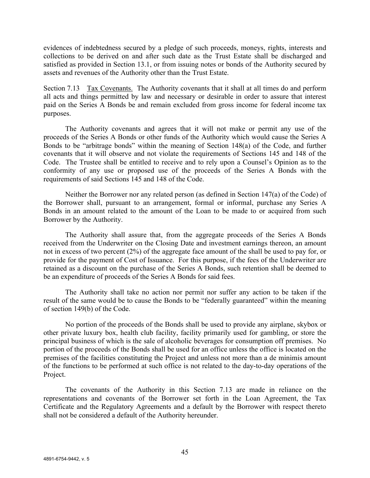evidences of indebtedness secured by a pledge of such proceeds, moneys, rights, interests and collections to be derived on and after such date as the Trust Estate shall be discharged and satisfied as provided in Section 13.1, or from issuing notes or bonds of the Authority secured by assets and revenues of the Authority other than the Trust Estate.

Section 7.13 Tax Covenants. The Authority covenants that it shall at all times do and perform all acts and things permitted by law and necessary or desirable in order to assure that interest paid on the Series A Bonds be and remain excluded from gross income for federal income tax purposes.

The Authority covenants and agrees that it will not make or permit any use of the proceeds of the Series A Bonds or other funds of the Authority which would cause the Series A Bonds to be "arbitrage bonds" within the meaning of Section 148(a) of the Code, and further covenants that it will observe and not violate the requirements of Sections 145 and 148 of the Code. The Trustee shall be entitled to receive and to rely upon a Counsel's Opinion as to the conformity of any use or proposed use of the proceeds of the Series A Bonds with the requirements of said Sections 145 and 148 of the Code.

Neither the Borrower nor any related person (as defined in Section 147(a) of the Code) of the Borrower shall, pursuant to an arrangement, formal or informal, purchase any Series A Bonds in an amount related to the amount of the Loan to be made to or acquired from such Borrower by the Authority.

The Authority shall assure that, from the aggregate proceeds of the Series A Bonds received from the Underwriter on the Closing Date and investment earnings thereon, an amount not in excess of two percent (2%) of the aggregate face amount of the shall be used to pay for, or provide for the payment of Cost of Issuance. For this purpose, if the fees of the Underwriter are retained as a discount on the purchase of the Series A Bonds, such retention shall be deemed to be an expenditure of proceeds of the Series A Bonds for said fees.

The Authority shall take no action nor permit nor suffer any action to be taken if the result of the same would be to cause the Bonds to be "federally guaranteed" within the meaning of section 149(b) of the Code.

No portion of the proceeds of the Bonds shall be used to provide any airplane, skybox or other private luxury box, health club facility, facility primarily used for gambling, or store the principal business of which is the sale of alcoholic beverages for consumption off premises. No portion of the proceeds of the Bonds shall be used for an office unless the office is located on the premises of the facilities constituting the Project and unless not more than a de minimis amount of the functions to be performed at such office is not related to the day-to-day operations of the Project.

The covenants of the Authority in this Section 7.13 are made in reliance on the representations and covenants of the Borrower set forth in the Loan Agreement, the Tax Certificate and the Regulatory Agreements and a default by the Borrower with respect thereto shall not be considered a default of the Authority hereunder.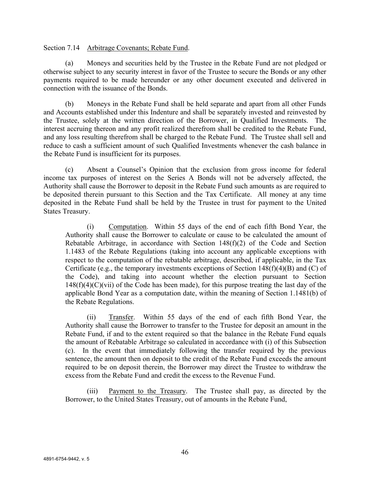Section 7.14 Arbitrage Covenants; Rebate Fund.

(a) Moneys and securities held by the Trustee in the Rebate Fund are not pledged or otherwise subject to any security interest in favor of the Trustee to secure the Bonds or any other payments required to be made hereunder or any other document executed and delivered in connection with the issuance of the Bonds.

(b) Moneys in the Rebate Fund shall be held separate and apart from all other Funds and Accounts established under this Indenture and shall be separately invested and reinvested by the Trustee, solely at the written direction of the Borrower, in Qualified Investments. The interest accruing thereon and any profit realized therefrom shall be credited to the Rebate Fund, and any loss resulting therefrom shall be charged to the Rebate Fund. The Trustee shall sell and reduce to cash a sufficient amount of such Qualified Investments whenever the cash balance in the Rebate Fund is insufficient for its purposes.

(c) Absent a Counsel's Opinion that the exclusion from gross income for federal income tax purposes of interest on the Series A Bonds will not be adversely affected, the Authority shall cause the Borrower to deposit in the Rebate Fund such amounts as are required to be deposited therein pursuant to this Section and the Tax Certificate. All money at any time deposited in the Rebate Fund shall be held by the Trustee in trust for payment to the United States Treasury.

(i) Computation. Within 55 days of the end of each fifth Bond Year, the Authority shall cause the Borrower to calculate or cause to be calculated the amount of Rebatable Arbitrage, in accordance with Section 148(f)(2) of the Code and Section 1.1483 of the Rebate Regulations (taking into account any applicable exceptions with respect to the computation of the rebatable arbitrage, described, if applicable, in the Tax Certificate (e.g., the temporary investments exceptions of Section  $148(f)(4)(B)$  and (C) of the Code), and taking into account whether the election pursuant to Section  $148(f)(4)(C)(vii)$  of the Code has been made), for this purpose treating the last day of the applicable Bond Year as a computation date, within the meaning of Section 1.1481(b) of the Rebate Regulations.

(ii) Transfer. Within 55 days of the end of each fifth Bond Year, the Authority shall cause the Borrower to transfer to the Trustee for deposit an amount in the Rebate Fund, if and to the extent required so that the balance in the Rebate Fund equals the amount of Rebatable Arbitrage so calculated in accordance with (i) of this Subsection (c). In the event that immediately following the transfer required by the previous sentence, the amount then on deposit to the credit of the Rebate Fund exceeds the amount required to be on deposit therein, the Borrower may direct the Trustee to withdraw the excess from the Rebate Fund and credit the excess to the Revenue Fund.

(iii) Payment to the Treasury. The Trustee shall pay, as directed by the Borrower, to the United States Treasury, out of amounts in the Rebate Fund,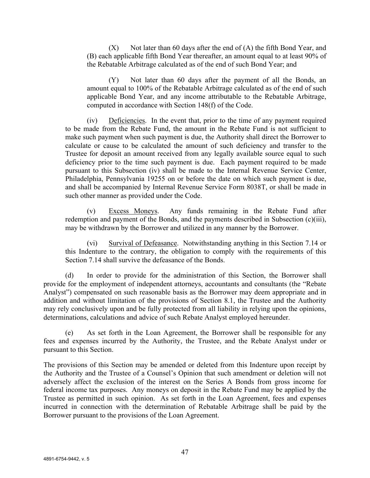$(X)$  Not later than 60 days after the end of  $(A)$  the fifth Bond Year, and (B) each applicable fifth Bond Year thereafter, an amount equal to at least 90% of the Rebatable Arbitrage calculated as of the end of such Bond Year; and

(Y) Not later than 60 days after the payment of all the Bonds, an amount equal to 100% of the Rebatable Arbitrage calculated as of the end of such applicable Bond Year, and any income attributable to the Rebatable Arbitrage, computed in accordance with Section 148(f) of the Code.

(iv) Deficiencies. In the event that, prior to the time of any payment required to be made from the Rebate Fund, the amount in the Rebate Fund is not sufficient to make such payment when such payment is due, the Authority shall direct the Borrower to calculate or cause to be calculated the amount of such deficiency and transfer to the Trustee for deposit an amount received from any legally available source equal to such deficiency prior to the time such payment is due. Each payment required to be made pursuant to this Subsection (iv) shall be made to the Internal Revenue Service Center, Philadelphia, Pennsylvania 19255 on or before the date on which such payment is due, and shall be accompanied by Internal Revenue Service Form 8038T, or shall be made in such other manner as provided under the Code.

(v) Excess Moneys. Any funds remaining in the Rebate Fund after redemption and payment of the Bonds, and the payments described in Subsection (c)(iii), may be withdrawn by the Borrower and utilized in any manner by the Borrower.

(vi) Survival of Defeasance. Notwithstanding anything in this Section 7.14 or this Indenture to the contrary, the obligation to comply with the requirements of this Section 7.14 shall survive the defeasance of the Bonds.

(d) In order to provide for the administration of this Section, the Borrower shall provide for the employment of independent attorneys, accountants and consultants (the "Rebate Analyst") compensated on such reasonable basis as the Borrower may deem appropriate and in addition and without limitation of the provisions of Section 8.1, the Trustee and the Authority may rely conclusively upon and be fully protected from all liability in relying upon the opinions, determinations, calculations and advice of such Rebate Analyst employed hereunder.

(e) As set forth in the Loan Agreement, the Borrower shall be responsible for any fees and expenses incurred by the Authority, the Trustee, and the Rebate Analyst under or pursuant to this Section.

The provisions of this Section may be amended or deleted from this Indenture upon receipt by the Authority and the Trustee of a Counsel's Opinion that such amendment or deletion will not adversely affect the exclusion of the interest on the Series A Bonds from gross income for federal income tax purposes. Any moneys on deposit in the Rebate Fund may be applied by the Trustee as permitted in such opinion. As set forth in the Loan Agreement, fees and expenses incurred in connection with the determination of Rebatable Arbitrage shall be paid by the Borrower pursuant to the provisions of the Loan Agreement.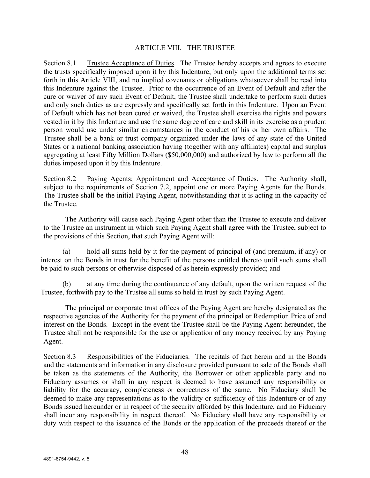## ARTICLE VIII. THE TRUSTEE

Section 8.1 Trustee Acceptance of Duties. The Trustee hereby accepts and agrees to execute the trusts specifically imposed upon it by this Indenture, but only upon the additional terms set forth in this Article VIII, and no implied covenants or obligations whatsoever shall be read into this Indenture against the Trustee. Prior to the occurrence of an Event of Default and after the cure or waiver of any such Event of Default, the Trustee shall undertake to perform such duties and only such duties as are expressly and specifically set forth in this Indenture. Upon an Event of Default which has not been cured or waived, the Trustee shall exercise the rights and powers vested in it by this Indenture and use the same degree of care and skill in its exercise as a prudent person would use under similar circumstances in the conduct of his or her own affairs. The Trustee shall be a bank or trust company organized under the laws of any state of the United States or a national banking association having (together with any affiliates) capital and surplus aggregating at least Fifty Million Dollars (\$50,000,000) and authorized by law to perform all the duties imposed upon it by this Indenture.

Section 8.2 Paying Agents; Appointment and Acceptance of Duties. The Authority shall, subject to the requirements of Section 7.2, appoint one or more Paying Agents for the Bonds. The Trustee shall be the initial Paying Agent, notwithstanding that it is acting in the capacity of the Trustee.

The Authority will cause each Paying Agent other than the Trustee to execute and deliver to the Trustee an instrument in which such Paying Agent shall agree with the Trustee, subject to the provisions of this Section, that such Paying Agent will:

(a) hold all sums held by it for the payment of principal of (and premium, if any) or interest on the Bonds in trust for the benefit of the persons entitled thereto until such sums shall be paid to such persons or otherwise disposed of as herein expressly provided; and

(b) at any time during the continuance of any default, upon the written request of the Trustee, forthwith pay to the Trustee all sums so held in trust by such Paying Agent.

The principal or corporate trust offices of the Paying Agent are hereby designated as the respective agencies of the Authority for the payment of the principal or Redemption Price of and interest on the Bonds. Except in the event the Trustee shall be the Paying Agent hereunder, the Trustee shall not be responsible for the use or application of any money received by any Paying Agent.

Section 8.3 Responsibilities of the Fiduciaries. The recitals of fact herein and in the Bonds and the statements and information in any disclosure provided pursuant to sale of the Bonds shall be taken as the statements of the Authority, the Borrower or other applicable party and no Fiduciary assumes or shall in any respect is deemed to have assumed any responsibility or liability for the accuracy, completeness or correctness of the same. No Fiduciary shall be deemed to make any representations as to the validity or sufficiency of this Indenture or of any Bonds issued hereunder or in respect of the security afforded by this Indenture, and no Fiduciary shall incur any responsibility in respect thereof. No Fiduciary shall have any responsibility or duty with respect to the issuance of the Bonds or the application of the proceeds thereof or the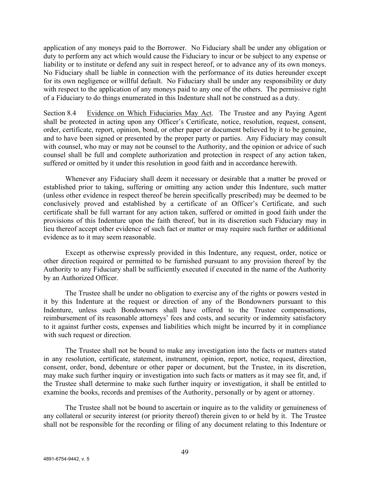application of any moneys paid to the Borrower. No Fiduciary shall be under any obligation or duty to perform any act which would cause the Fiduciary to incur or be subject to any expense or liability or to institute or defend any suit in respect hereof, or to advance any of its own moneys. No Fiduciary shall be liable in connection with the performance of its duties hereunder except for its own negligence or willful default. No Fiduciary shall be under any responsibility or duty with respect to the application of any moneys paid to any one of the others. The permissive right of a Fiduciary to do things enumerated in this Indenture shall not be construed as a duty.

Section 8.4 Evidence on Which Fiduciaries May Act. The Trustee and any Paying Agent shall be protected in acting upon any Officer's Certificate, notice, resolution, request, consent, order, certificate, report, opinion, bond, or other paper or document believed by it to be genuine, and to have been signed or presented by the proper party or parties. Any Fiduciary may consult with counsel, who may or may not be counsel to the Authority, and the opinion or advice of such counsel shall be full and complete authorization and protection in respect of any action taken, suffered or omitted by it under this resolution in good faith and in accordance herewith.

Whenever any Fiduciary shall deem it necessary or desirable that a matter be proved or established prior to taking, suffering or omitting any action under this Indenture, such matter (unless other evidence in respect thereof be herein specifically prescribed) may be deemed to be conclusively proved and established by a certificate of an Officer's Certificate, and such certificate shall be full warrant for any action taken, suffered or omitted in good faith under the provisions of this Indenture upon the faith thereof, but in its discretion such Fiduciary may in lieu thereof accept other evidence of such fact or matter or may require such further or additional evidence as to it may seem reasonable.

Except as otherwise expressly provided in this Indenture, any request, order, notice or other direction required or permitted to be furnished pursuant to any provision thereof by the Authority to any Fiduciary shall be sufficiently executed if executed in the name of the Authority by an Authorized Officer.

The Trustee shall be under no obligation to exercise any of the rights or powers vested in it by this Indenture at the request or direction of any of the Bondowners pursuant to this Indenture, unless such Bondowners shall have offered to the Trustee compensations, reimbursement of its reasonable attorneys' fees and costs, and security or indemnity satisfactory to it against further costs, expenses and liabilities which might be incurred by it in compliance with such request or direction.

The Trustee shall not be bound to make any investigation into the facts or matters stated in any resolution, certificate, statement, instrument, opinion, report, notice, request, direction, consent, order, bond, debenture or other paper or document, but the Trustee, in its discretion, may make such further inquiry or investigation into such facts or matters as it may see fit, and, if the Trustee shall determine to make such further inquiry or investigation, it shall be entitled to examine the books, records and premises of the Authority, personally or by agent or attorney.

The Trustee shall not be bound to ascertain or inquire as to the validity or genuineness of any collateral or security interest (or priority thereof) therein given to or held by it. The Trustee shall not be responsible for the recording or filing of any document relating to this Indenture or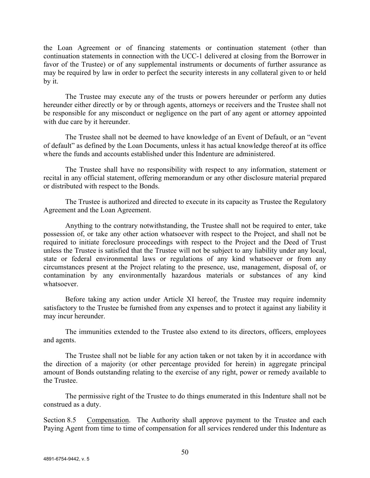the Loan Agreement or of financing statements or continuation statement (other than continuation statements in connection with the UCC-1 delivered at closing from the Borrower in favor of the Trustee) or of any supplemental instruments or documents of further assurance as may be required by law in order to perfect the security interests in any collateral given to or held by it.

The Trustee may execute any of the trusts or powers hereunder or perform any duties hereunder either directly or by or through agents, attorneys or receivers and the Trustee shall not be responsible for any misconduct or negligence on the part of any agent or attorney appointed with due care by it hereunder.

The Trustee shall not be deemed to have knowledge of an Event of Default, or an "event of default" as defined by the Loan Documents, unless it has actual knowledge thereof at its office where the funds and accounts established under this Indenture are administered.

The Trustee shall have no responsibility with respect to any information, statement or recital in any official statement, offering memorandum or any other disclosure material prepared or distributed with respect to the Bonds.

The Trustee is authorized and directed to execute in its capacity as Trustee the Regulatory Agreement and the Loan Agreement.

Anything to the contrary notwithstanding, the Trustee shall not be required to enter, take possession of, or take any other action whatsoever with respect to the Project, and shall not be required to initiate foreclosure proceedings with respect to the Project and the Deed of Trust unless the Trustee is satisfied that the Trustee will not be subject to any liability under any local, state or federal environmental laws or regulations of any kind whatsoever or from any circumstances present at the Project relating to the presence, use, management, disposal of, or contamination by any environmentally hazardous materials or substances of any kind whatsoever.

Before taking any action under Article XI hereof, the Trustee may require indemnity satisfactory to the Trustee be furnished from any expenses and to protect it against any liability it may incur hereunder.

The immunities extended to the Trustee also extend to its directors, officers, employees and agents.

The Trustee shall not be liable for any action taken or not taken by it in accordance with the direction of a majority (or other percentage provided for herein) in aggregate principal amount of Bonds outstanding relating to the exercise of any right, power or remedy available to the Trustee.

The permissive right of the Trustee to do things enumerated in this Indenture shall not be construed as a duty.

Section 8.5 Compensation. The Authority shall approve payment to the Trustee and each Paying Agent from time to time of compensation for all services rendered under this Indenture as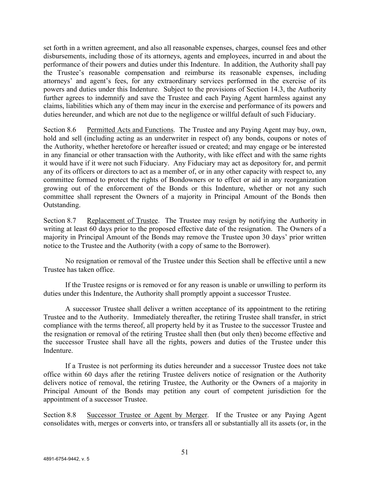set forth in a written agreement, and also all reasonable expenses, charges, counsel fees and other disbursements, including those of its attorneys, agents and employees, incurred in and about the performance of their powers and duties under this Indenture. In addition, the Authority shall pay the Trustee's reasonable compensation and reimburse its reasonable expenses, including attorneys' and agent's fees, for any extraordinary services performed in the exercise of its powers and duties under this Indenture. Subject to the provisions of Section 14.3, the Authority further agrees to indemnify and save the Trustee and each Paying Agent harmless against any claims, liabilities which any of them may incur in the exercise and performance of its powers and duties hereunder, and which are not due to the negligence or willful default of such Fiduciary.

Section 8.6 Permitted Acts and Functions. The Trustee and any Paying Agent may buy, own, hold and sell (including acting as an underwriter in respect of) any bonds, coupons or notes of the Authority, whether heretofore or hereafter issued or created; and may engage or be interested in any financial or other transaction with the Authority, with like effect and with the same rights it would have if it were not such Fiduciary. Any Fiduciary may act as depository for, and permit any of its officers or directors to act as a member of, or in any other capacity with respect to, any committee formed to protect the rights of Bondowners or to effect or aid in any reorganization growing out of the enforcement of the Bonds or this Indenture, whether or not any such committee shall represent the Owners of a majority in Principal Amount of the Bonds then Outstanding.

Section 8.7 Replacement of Trustee. The Trustee may resign by notifying the Authority in writing at least 60 days prior to the proposed effective date of the resignation. The Owners of a majority in Principal Amount of the Bonds may remove the Trustee upon 30 days' prior written notice to the Trustee and the Authority (with a copy of same to the Borrower).

No resignation or removal of the Trustee under this Section shall be effective until a new Trustee has taken office.

If the Trustee resigns or is removed or for any reason is unable or unwilling to perform its duties under this Indenture, the Authority shall promptly appoint a successor Trustee.

A successor Trustee shall deliver a written acceptance of its appointment to the retiring Trustee and to the Authority. Immediately thereafter, the retiring Trustee shall transfer, in strict compliance with the terms thereof, all property held by it as Trustee to the successor Trustee and the resignation or removal of the retiring Trustee shall then (but only then) become effective and the successor Trustee shall have all the rights, powers and duties of the Trustee under this Indenture.

If a Trustee is not performing its duties hereunder and a successor Trustee does not take office within 60 days after the retiring Trustee delivers notice of resignation or the Authority delivers notice of removal, the retiring Trustee, the Authority or the Owners of a majority in Principal Amount of the Bonds may petition any court of competent jurisdiction for the appointment of a successor Trustee.

Section 8.8 Successor Trustee or Agent by Merger. If the Trustee or any Paying Agent consolidates with, merges or converts into, or transfers all or substantially all its assets (or, in the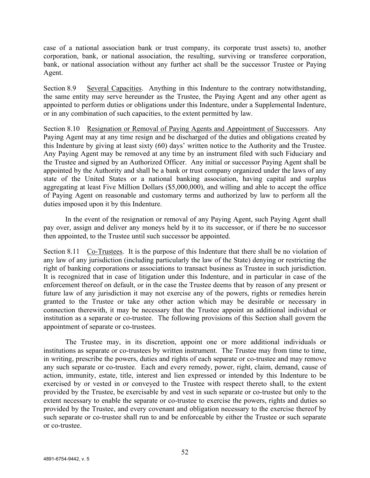case of a national association bank or trust company, its corporate trust assets) to, another corporation, bank, or national association, the resulting, surviving or transferee corporation, bank, or national association without any further act shall be the successor Trustee or Paying Agent.

Section 8.9 Several Capacities. Anything in this Indenture to the contrary notwithstanding, the same entity may serve hereunder as the Trustee, the Paying Agent and any other agent as appointed to perform duties or obligations under this Indenture, under a Supplemental Indenture, or in any combination of such capacities, to the extent permitted by law.

Section 8.10 Resignation or Removal of Paying Agents and Appointment of Successors. Any Paying Agent may at any time resign and be discharged of the duties and obligations created by this Indenture by giving at least sixty (60) days' written notice to the Authority and the Trustee. Any Paying Agent may be removed at any time by an instrument filed with such Fiduciary and the Trustee and signed by an Authorized Officer. Any initial or successor Paying Agent shall be appointed by the Authority and shall be a bank or trust company organized under the laws of any state of the United States or a national banking association, having capital and surplus aggregating at least Five Million Dollars (\$5,000,000), and willing and able to accept the office of Paying Agent on reasonable and customary terms and authorized by law to perform all the duties imposed upon it by this Indenture.

In the event of the resignation or removal of any Paying Agent, such Paying Agent shall pay over, assign and deliver any moneys held by it to its successor, or if there be no successor then appointed, to the Trustee until such successor be appointed.

Section 8.11 Co-Trustees. It is the purpose of this Indenture that there shall be no violation of any law of any jurisdiction (including particularly the law of the State) denying or restricting the right of banking corporations or associations to transact business as Trustee in such jurisdiction. It is recognized that in case of litigation under this Indenture, and in particular in case of the enforcement thereof on default, or in the case the Trustee deems that by reason of any present or future law of any jurisdiction it may not exercise any of the powers, rights or remedies herein granted to the Trustee or take any other action which may be desirable or necessary in connection therewith, it may be necessary that the Trustee appoint an additional individual or institution as a separate or co-trustee. The following provisions of this Section shall govern the appointment of separate or co-trustees.

The Trustee may, in its discretion, appoint one or more additional individuals or institutions as separate or co-trustees by written instrument. The Trustee may from time to time, in writing, prescribe the powers, duties and rights of each separate or co-trustee and may remove any such separate or co-trustee. Each and every remedy, power, right, claim, demand, cause of action, immunity, estate, title, interest and lien expressed or intended by this Indenture to be exercised by or vested in or conveyed to the Trustee with respect thereto shall, to the extent provided by the Trustee, be exercisable by and vest in such separate or co-trustee but only to the extent necessary to enable the separate or co-trustee to exercise the powers, rights and duties so provided by the Trustee, and every covenant and obligation necessary to the exercise thereof by such separate or co-trustee shall run to and be enforceable by either the Trustee or such separate or co-trustee.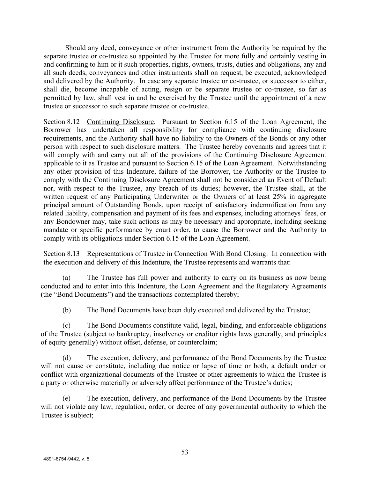Should any deed, conveyance or other instrument from the Authority be required by the separate trustee or co-trustee so appointed by the Trustee for more fully and certainly vesting in and confirming to him or it such properties, rights, owners, trusts, duties and obligations, any and all such deeds, conveyances and other instruments shall on request, be executed, acknowledged and delivered by the Authority. In case any separate trustee or co-trustee, or successor to either, shall die, become incapable of acting, resign or be separate trustee or co-trustee, so far as permitted by law, shall vest in and be exercised by the Trustee until the appointment of a new trustee or successor to such separate trustee or co-trustee.

Section 8.12 Continuing Disclosure. Pursuant to Section 6.15 of the Loan Agreement, the Borrower has undertaken all responsibility for compliance with continuing disclosure requirements, and the Authority shall have no liability to the Owners of the Bonds or any other person with respect to such disclosure matters. The Trustee hereby covenants and agrees that it will comply with and carry out all of the provisions of the Continuing Disclosure Agreement applicable to it as Trustee and pursuant to Section 6.15 of the Loan Agreement. Notwithstanding any other provision of this Indenture, failure of the Borrower, the Authority or the Trustee to comply with the Continuing Disclosure Agreement shall not be considered an Event of Default nor, with respect to the Trustee, any breach of its duties; however, the Trustee shall, at the written request of any Participating Underwriter or the Owners of at least 25% in aggregate principal amount of Outstanding Bonds, upon receipt of satisfactory indemnification from any related liability, compensation and payment of its fees and expenses, including attorneys' fees, or any Bondowner may, take such actions as may be necessary and appropriate, including seeking mandate or specific performance by court order, to cause the Borrower and the Authority to comply with its obligations under Section 6.15 of the Loan Agreement.

Section 8.13 Representations of Trustee in Connection With Bond Closing. In connection with the execution and delivery of this Indenture, the Trustee represents and warrants that:

(a) The Trustee has full power and authority to carry on its business as now being conducted and to enter into this Indenture, the Loan Agreement and the Regulatory Agreements (the "Bond Documents") and the transactions contemplated thereby;

(b) The Bond Documents have been duly executed and delivered by the Trustee;

(c) The Bond Documents constitute valid, legal, binding, and enforceable obligations of the Trustee (subject to bankruptcy, insolvency or creditor rights laws generally, and principles of equity generally) without offset, defense, or counterclaim;

(d) The execution, delivery, and performance of the Bond Documents by the Trustee will not cause or constitute, including due notice or lapse of time or both, a default under or conflict with organizational documents of the Trustee or other agreements to which the Trustee is a party or otherwise materially or adversely affect performance of the Trustee's duties;

(e) The execution, delivery, and performance of the Bond Documents by the Trustee will not violate any law, regulation, order, or decree of any governmental authority to which the Trustee is subject;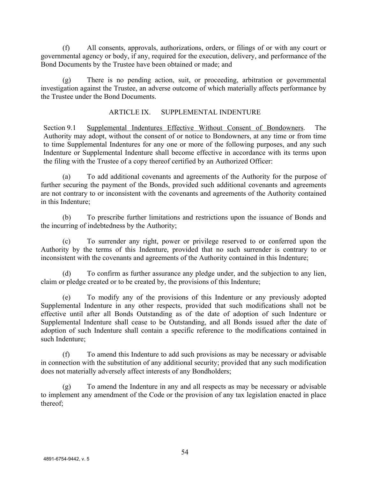(f) All consents, approvals, authorizations, orders, or filings of or with any court or governmental agency or body, if any, required for the execution, delivery, and performance of the Bond Documents by the Trustee have been obtained or made; and

(g) There is no pending action, suit, or proceeding, arbitration or governmental investigation against the Trustee, an adverse outcome of which materially affects performance by the Trustee under the Bond Documents.

## ARTICLE IX. SUPPLEMENTAL INDENTURE

Section 9.1 Supplemental Indentures Effective Without Consent of Bondowners. The Authority may adopt, without the consent of or notice to Bondowners, at any time or from time to time Supplemental Indentures for any one or more of the following purposes, and any such Indenture or Supplemental Indenture shall become effective in accordance with its terms upon the filing with the Trustee of a copy thereof certified by an Authorized Officer:

(a) To add additional covenants and agreements of the Authority for the purpose of further securing the payment of the Bonds, provided such additional covenants and agreements are not contrary to or inconsistent with the covenants and agreements of the Authority contained in this Indenture;

(b) To prescribe further limitations and restrictions upon the issuance of Bonds and the incurring of indebtedness by the Authority;

(c) To surrender any right, power or privilege reserved to or conferred upon the Authority by the terms of this Indenture, provided that no such surrender is contrary to or inconsistent with the covenants and agreements of the Authority contained in this Indenture;

(d) To confirm as further assurance any pledge under, and the subjection to any lien, claim or pledge created or to be created by, the provisions of this Indenture;

(e) To modify any of the provisions of this Indenture or any previously adopted Supplemental Indenture in any other respects, provided that such modifications shall not be effective until after all Bonds Outstanding as of the date of adoption of such Indenture or Supplemental Indenture shall cease to be Outstanding, and all Bonds issued after the date of adoption of such Indenture shall contain a specific reference to the modifications contained in such Indenture;

(f) To amend this Indenture to add such provisions as may be necessary or advisable in connection with the substitution of any additional security; provided that any such modification does not materially adversely affect interests of any Bondholders;

(g) To amend the Indenture in any and all respects as may be necessary or advisable to implement any amendment of the Code or the provision of any tax legislation enacted in place thereof;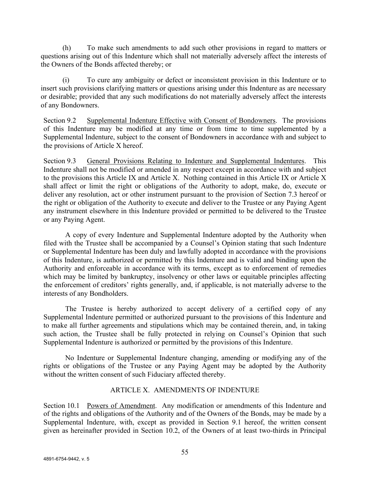(h) To make such amendments to add such other provisions in regard to matters or questions arising out of this Indenture which shall not materially adversely affect the interests of the Owners of the Bonds affected thereby; or

(i) To cure any ambiguity or defect or inconsistent provision in this Indenture or to insert such provisions clarifying matters or questions arising under this Indenture as are necessary or desirable; provided that any such modifications do not materially adversely affect the interests of any Bondowners.

Section 9.2 Supplemental Indenture Effective with Consent of Bondowners. The provisions of this Indenture may be modified at any time or from time to time supplemented by a Supplemental Indenture, subject to the consent of Bondowners in accordance with and subject to the provisions of Article X hereof.

Section 9.3 General Provisions Relating to Indenture and Supplemental Indentures. This Indenture shall not be modified or amended in any respect except in accordance with and subject to the provisions this Article IX and Article X. Nothing contained in this Article IX or Article X shall affect or limit the right or obligations of the Authority to adopt, make, do, execute or deliver any resolution, act or other instrument pursuant to the provision of Section 7.3 hereof or the right or obligation of the Authority to execute and deliver to the Trustee or any Paying Agent any instrument elsewhere in this Indenture provided or permitted to be delivered to the Trustee or any Paying Agent.

A copy of every Indenture and Supplemental Indenture adopted by the Authority when filed with the Trustee shall be accompanied by a Counsel's Opinion stating that such Indenture or Supplemental Indenture has been duly and lawfully adopted in accordance with the provisions of this Indenture, is authorized or permitted by this Indenture and is valid and binding upon the Authority and enforceable in accordance with its terms, except as to enforcement of remedies which may be limited by bankruptcy, insolvency or other laws or equitable principles affecting the enforcement of creditors' rights generally, and, if applicable, is not materially adverse to the interests of any Bondholders.

The Trustee is hereby authorized to accept delivery of a certified copy of any Supplemental Indenture permitted or authorized pursuant to the provisions of this Indenture and to make all further agreements and stipulations which may be contained therein, and, in taking such action, the Trustee shall be fully protected in relying on Counsel's Opinion that such Supplemental Indenture is authorized or permitted by the provisions of this Indenture.

No Indenture or Supplemental Indenture changing, amending or modifying any of the rights or obligations of the Trustee or any Paying Agent may be adopted by the Authority without the written consent of such Fiduciary affected thereby.

# ARTICLE X. AMENDMENTS OF INDENTURE

Section 10.1 Powers of Amendment. Any modification or amendments of this Indenture and of the rights and obligations of the Authority and of the Owners of the Bonds, may be made by a Supplemental Indenture, with, except as provided in Section 9.1 hereof, the written consent given as hereinafter provided in Section 10.2, of the Owners of at least two-thirds in Principal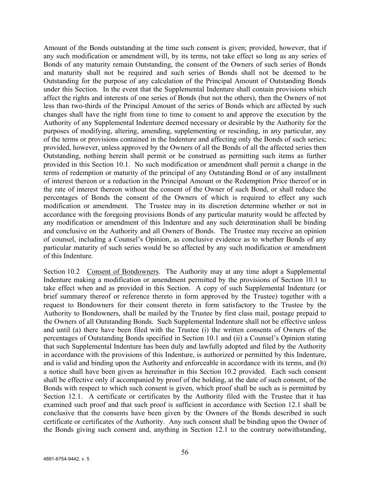Amount of the Bonds outstanding at the time such consent is given; provided, however, that if any such modification or amendment will, by its terms, not take effect so long as any series of Bonds of any maturity remain Outstanding, the consent of the Owners of such series of Bonds and maturity shall not be required and such series of Bonds shall not be deemed to be Outstanding for the purpose of any calculation of the Principal Amount of Outstanding Bonds under this Section. In the event that the Supplemental Indenture shall contain provisions which affect the rights and interests of one series of Bonds (but not the others), then the Owners of not less than two-thirds of the Principal Amount of the series of Bonds which are affected by such changes shall have the right from time to time to consent to and approve the execution by the Authority of any Supplemental Indenture deemed necessary or desirable by the Authority for the purposes of modifying, altering, amending, supplementing or rescinding, in any particular, any of the terms or provisions contained in the Indenture and affecting only the Bonds of such series; provided, however, unless approved by the Owners of all the Bonds of all the affected series then Outstanding, nothing herein shall permit or be construed as permitting such items as further provided in this Section 10.1. No such modification or amendment shall permit a change in the terms of redemption or maturity of the principal of any Outstanding Bond or of any installment of interest thereon or a reduction in the Principal Amount or the Redemption Price thereof or in the rate of interest thereon without the consent of the Owner of such Bond, or shall reduce the percentages of Bonds the consent of the Owners of which is required to effect any such modification or amendment. The Trustee may in its discretion determine whether or not in accordance with the foregoing provisions Bonds of any particular maturity would be affected by any modification or amendment of this Indenture and any such determination shall be binding and conclusive on the Authority and all Owners of Bonds. The Trustee may receive an opinion of counsel, including a Counsel's Opinion, as conclusive evidence as to whether Bonds of any particular maturity of such series would be so affected by any such modification or amendment of this Indenture.

Section 10.2 Consent of Bondowners. The Authority may at any time adopt a Supplemental Indenture making a modification or amendment permitted by the provisions of Section 10.1 to take effect when and as provided in this Section. A copy of such Supplemental Indenture (or brief summary thereof or reference thereto in form approved by the Trustee) together with a request to Bondowners for their consent thereto in form satisfactory to the Trustee by the Authority to Bondowners, shall be mailed by the Trustee by first class mail, postage prepaid to the Owners of all Outstanding Bonds. Such Supplemental Indenture shall not be effective unless and until (a) there have been filed with the Trustee (i) the written consents of Owners of the percentages of Outstanding Bonds specified in Section 10.1 and (ii) a Counsel's Opinion stating that such Supplemental Indenture has been duly and lawfully adopted and filed by the Authority in accordance with the provisions of this Indenture, is authorized or permitted by this Indenture, and is valid and binding upon the Authority and enforceable in accordance with its terms, and (b) a notice shall have been given as hereinafter in this Section 10.2 provided. Each such consent shall be effective only if accompanied by proof of the holding, at the date of such consent, of the Bonds with respect to which such consent is given, which proof shall be such as is permitted by Section 12.1. A certificate or certificates by the Authority filed with the Trustee that it has examined such proof and that such proof is sufficient in accordance with Section 12.1 shall be conclusive that the consents have been given by the Owners of the Bonds described in such certificate or certificates of the Authority. Any such consent shall be binding upon the Owner of the Bonds giving such consent and, anything in Section 12.1 to the contrary notwithstanding,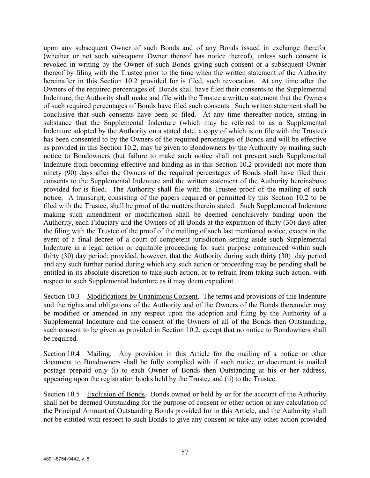upon any subsequent Owner of such Bonds and of any Bonds issued in exchange therefor (whether or not such subsequent Owner thereof has notice thereof), unless such consent is revoked in writing by the Owner of such Bonds giving such consent or a subsequent Owner thereof by filing with the Trustee prior to the time when the written statement of the Authority hereinafter in this Section 10.2 provided for is filed, such revocation. At any time after the Owners of the required percentages of Bonds shall have filed their consents to the Supplemental Indenture, the Authority shall make and file with the Trustee a written statement that the Owners of such required percentages of Bonds have filed such consents. Such written statement shall be conclusive that such consents have been so filed. At any time thereafter notice, stating in substance that the Supplemental Indenture (which may be referred to as a Supplemental Indenture adopted by the Authority on a stated date, a copy of which is on file with the Trustee) has been consented to by the Owners of the required percentages of Bonds and will be effective as provided in this Section 10.2, may be given to Bondowners by the Authority by mailing such notice to Bondowners (but failure to make such notice shall not prevent such Supplemental Indenture from becoming effective and binding as in this Section 10.2 provided) not more than ninety (90) days after the Owners of the required percentages of Bonds shall have filed their consents to the Supplemental Indenture and the written statement of the Authority hereinabove provided for is filed. The Authority shall file with the Trustee proof of the mailing of such notice. A transcript, consisting of the papers required or permitted by this Section 10.2 to be filed with the Trustee, shall be proof of the matters therein stated. Such Supplemental Indenture making such amendment or modification shall be deemed conclusively binding upon the Authority, each Fiduciary and the Owners of all Bonds at the expiration of thirty (30) days after the filing with the Trustee of the proof of the mailing of such last mentioned notice, except in the event of a final decree of a court of competent jurisdiction setting aside such Supplemental Indenture in a legal action or equitable proceeding for such purpose commenced within such thirty (30) day period; provided, however, that the Authority during such thirty (30) day period and any such further period during which any such action or proceeding may be pending shall be entitled in its absolute discretion to take such action, or to refrain from taking such action, with respect to such Supplemental Indenture as it may deem expedient.

Section 10.3 Modifications by Unanimous Consent. The terms and provisions of this Indenture and the rights and obligations of the Authority and of the Owners of the Bonds thereunder may be modified or amended in any respect upon the adoption and filing by the Authority of a Supplemental Indenture and the consent of the Owners of all of the Bonds then Outstanding, such consent to be given as provided in Section 10.2, except that no notice to Bondowners shall be required.

Section 10.4 Mailing. Any provision in this Article for the mailing of a notice or other document to Bondowners shall be fully complied with if such notice or document is mailed postage prepaid only (i) to each Owner of Bonds then Outstanding at his or her address, appearing upon the registration books held by the Trustee and (ii) to the Trustee.

Section 10.5 Exclusion of Bonds. Bonds owned or held by or for the account of the Authority shall not be deemed Outstanding for the purpose of consent or other action or any calculation of the Principal Amount of Outstanding Bonds provided for in this Article, and the Authority shall not be entitled with respect to such Bonds to give any consent or take any other action provided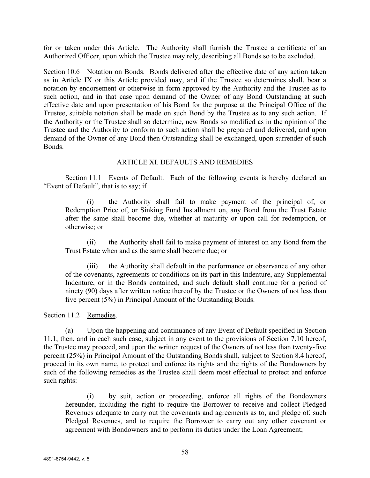for or taken under this Article. The Authority shall furnish the Trustee a certificate of an Authorized Officer, upon which the Trustee may rely, describing all Bonds so to be excluded.

Section 10.6 Notation on Bonds. Bonds delivered after the effective date of any action taken as in Article IX or this Article provided may, and if the Trustee so determines shall, bear a notation by endorsement or otherwise in form approved by the Authority and the Trustee as to such action, and in that case upon demand of the Owner of any Bond Outstanding at such effective date and upon presentation of his Bond for the purpose at the Principal Office of the Trustee, suitable notation shall be made on such Bond by the Trustee as to any such action. If the Authority or the Trustee shall so determine, new Bonds so modified as in the opinion of the Trustee and the Authority to conform to such action shall be prepared and delivered, and upon demand of the Owner of any Bond then Outstanding shall be exchanged, upon surrender of such Bonds.

# ARTICLE XI. DEFAULTS AND REMEDIES

Section 11.1 Events of Default. Each of the following events is hereby declared an "Event of Default", that is to say; if

(i) the Authority shall fail to make payment of the principal of, or Redemption Price of, or Sinking Fund Installment on, any Bond from the Trust Estate after the same shall become due, whether at maturity or upon call for redemption, or otherwise; or

(ii) the Authority shall fail to make payment of interest on any Bond from the Trust Estate when and as the same shall become due; or

the Authority shall default in the performance or observance of any other of the covenants, agreements or conditions on its part in this Indenture, any Supplemental Indenture, or in the Bonds contained, and such default shall continue for a period of ninety (90) days after written notice thereof by the Trustee or the Owners of not less than five percent (5%) in Principal Amount of the Outstanding Bonds.

Section 11.2 Remedies.

(a) Upon the happening and continuance of any Event of Default specified in Section 11.1, then, and in each such case, subject in any event to the provisions of Section 7.10 hereof, the Trustee may proceed, and upon the written request of the Owners of not less than twenty-five percent (25%) in Principal Amount of the Outstanding Bonds shall, subject to Section 8.4 hereof, proceed in its own name, to protect and enforce its rights and the rights of the Bondowners by such of the following remedies as the Trustee shall deem most effectual to protect and enforce such rights:

(i) by suit, action or proceeding, enforce all rights of the Bondowners hereunder, including the right to require the Borrower to receive and collect Pledged Revenues adequate to carry out the covenants and agreements as to, and pledge of, such Pledged Revenues, and to require the Borrower to carry out any other covenant or agreement with Bondowners and to perform its duties under the Loan Agreement;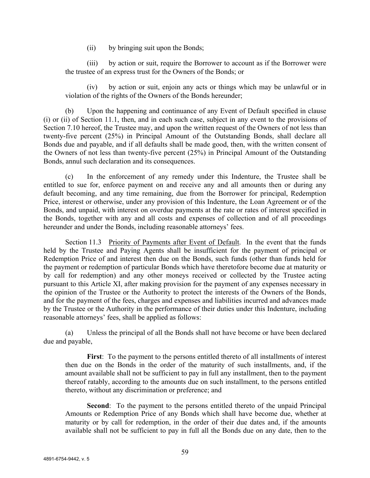(ii) by bringing suit upon the Bonds;

(iii) by action or suit, require the Borrower to account as if the Borrower were the trustee of an express trust for the Owners of the Bonds; or

by action or suit, enjoin any acts or things which may be unlawful or in violation of the rights of the Owners of the Bonds hereunder;

(b) Upon the happening and continuance of any Event of Default specified in clause (i) or (ii) of Section 11.1, then, and in each such case, subject in any event to the provisions of Section 7.10 hereof, the Trustee may, and upon the written request of the Owners of not less than twenty-five percent (25%) in Principal Amount of the Outstanding Bonds, shall declare all Bonds due and payable, and if all defaults shall be made good, then, with the written consent of the Owners of not less than twenty-five percent (25%) in Principal Amount of the Outstanding Bonds, annul such declaration and its consequences.

(c) In the enforcement of any remedy under this Indenture, the Trustee shall be entitled to sue for, enforce payment on and receive any and all amounts then or during any default becoming, and any time remaining, due from the Borrower for principal, Redemption Price, interest or otherwise, under any provision of this Indenture, the Loan Agreement or of the Bonds, and unpaid, with interest on overdue payments at the rate or rates of interest specified in the Bonds, together with any and all costs and expenses of collection and of all proceedings hereunder and under the Bonds, including reasonable attorneys' fees.

Section 11.3 Priority of Payments after Event of Default. In the event that the funds held by the Trustee and Paying Agents shall be insufficient for the payment of principal or Redemption Price of and interest then due on the Bonds, such funds (other than funds held for the payment or redemption of particular Bonds which have theretofore become due at maturity or by call for redemption) and any other moneys received or collected by the Trustee acting pursuant to this Article XI, after making provision for the payment of any expenses necessary in the opinion of the Trustee or the Authority to protect the interests of the Owners of the Bonds, and for the payment of the fees, charges and expenses and liabilities incurred and advances made by the Trustee or the Authority in the performance of their duties under this Indenture, including reasonable attorneys' fees, shall be applied as follows:

(a) Unless the principal of all the Bonds shall not have become or have been declared due and payable,

**First**: To the payment to the persons entitled thereto of all installments of interest then due on the Bonds in the order of the maturity of such installments, and, if the amount available shall not be sufficient to pay in full any installment, then to the payment thereof ratably, according to the amounts due on such installment, to the persons entitled thereto, without any discrimination or preference; and

**Second**: To the payment to the persons entitled thereto of the unpaid Principal Amounts or Redemption Price of any Bonds which shall have become due, whether at maturity or by call for redemption, in the order of their due dates and, if the amounts available shall not be sufficient to pay in full all the Bonds due on any date, then to the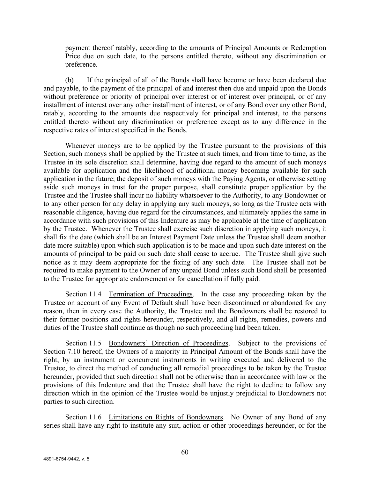payment thereof ratably, according to the amounts of Principal Amounts or Redemption Price due on such date, to the persons entitled thereto, without any discrimination or preference.

(b) If the principal of all of the Bonds shall have become or have been declared due and payable, to the payment of the principal of and interest then due and unpaid upon the Bonds without preference or priority of principal over interest or of interest over principal, or of any installment of interest over any other installment of interest, or of any Bond over any other Bond, ratably, according to the amounts due respectively for principal and interest, to the persons entitled thereto without any discrimination or preference except as to any difference in the respective rates of interest specified in the Bonds.

Whenever moneys are to be applied by the Trustee pursuant to the provisions of this Section, such moneys shall be applied by the Trustee at such times, and from time to time, as the Trustee in its sole discretion shall determine, having due regard to the amount of such moneys available for application and the likelihood of additional money becoming available for such application in the future; the deposit of such moneys with the Paying Agents, or otherwise setting aside such moneys in trust for the proper purpose, shall constitute proper application by the Trustee and the Trustee shall incur no liability whatsoever to the Authority, to any Bondowner or to any other person for any delay in applying any such moneys, so long as the Trustee acts with reasonable diligence, having due regard for the circumstances, and ultimately applies the same in accordance with such provisions of this Indenture as may be applicable at the time of application by the Trustee. Whenever the Trustee shall exercise such discretion in applying such moneys, it shall fix the date (which shall be an Interest Payment Date unless the Trustee shall deem another date more suitable) upon which such application is to be made and upon such date interest on the amounts of principal to be paid on such date shall cease to accrue. The Trustee shall give such notice as it may deem appropriate for the fixing of any such date. The Trustee shall not be required to make payment to the Owner of any unpaid Bond unless such Bond shall be presented to the Trustee for appropriate endorsement or for cancellation if fully paid.

Section 11.4 Termination of Proceedings. In the case any proceeding taken by the Trustee on account of any Event of Default shall have been discontinued or abandoned for any reason, then in every case the Authority, the Trustee and the Bondowners shall be restored to their former positions and rights hereunder, respectively, and all rights, remedies, powers and duties of the Trustee shall continue as though no such proceeding had been taken.

Section 11.5 Bondowners' Direction of Proceedings. Subject to the provisions of Section 7.10 hereof, the Owners of a majority in Principal Amount of the Bonds shall have the right, by an instrument or concurrent instruments in writing executed and delivered to the Trustee, to direct the method of conducting all remedial proceedings to be taken by the Trustee hereunder, provided that such direction shall not be otherwise than in accordance with law or the provisions of this Indenture and that the Trustee shall have the right to decline to follow any direction which in the opinion of the Trustee would be unjustly prejudicial to Bondowners not parties to such direction.

Section 11.6 Limitations on Rights of Bondowners. No Owner of any Bond of any series shall have any right to institute any suit, action or other proceedings hereunder, or for the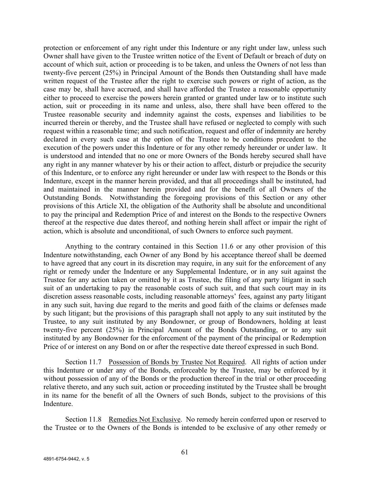protection or enforcement of any right under this Indenture or any right under law, unless such Owner shall have given to the Trustee written notice of the Event of Default or breach of duty on account of which suit, action or proceeding is to be taken, and unless the Owners of not less than twenty-five percent (25%) in Principal Amount of the Bonds then Outstanding shall have made written request of the Trustee after the right to exercise such powers or right of action, as the case may be, shall have accrued, and shall have afforded the Trustee a reasonable opportunity either to proceed to exercise the powers herein granted or granted under law or to institute such action, suit or proceeding in its name and unless, also, there shall have been offered to the Trustee reasonable security and indemnity against the costs, expenses and liabilities to be incurred therein or thereby, and the Trustee shall have refused or neglected to comply with such request within a reasonable time; and such notification, request and offer of indemnity are hereby declared in every such case at the option of the Trustee to be conditions precedent to the execution of the powers under this Indenture or for any other remedy hereunder or under law. It is understood and intended that no one or more Owners of the Bonds hereby secured shall have any right in any manner whatever by his or their action to affect, disturb or prejudice the security of this Indenture, or to enforce any right hereunder or under law with respect to the Bonds or this Indenture, except in the manner herein provided, and that all proceedings shall be instituted, had and maintained in the manner herein provided and for the benefit of all Owners of the Outstanding Bonds. Notwithstanding the foregoing provisions of this Section or any other provisions of this Article XI, the obligation of the Authority shall be absolute and unconditional to pay the principal and Redemption Price of and interest on the Bonds to the respective Owners thereof at the respective due dates thereof, and nothing herein shall affect or impair the right of action, which is absolute and unconditional, of such Owners to enforce such payment.

Anything to the contrary contained in this Section 11.6 or any other provision of this Indenture notwithstanding, each Owner of any Bond by his acceptance thereof shall be deemed to have agreed that any court in its discretion may require, in any suit for the enforcement of any right or remedy under the Indenture or any Supplemental Indenture, or in any suit against the Trustee for any action taken or omitted by it as Trustee, the filing of any party litigant in such suit of an undertaking to pay the reasonable costs of such suit, and that such court may in its discretion assess reasonable costs, including reasonable attorneys' fees, against any party litigant in any such suit, having due regard to the merits and good faith of the claims or defenses made by such litigant; but the provisions of this paragraph shall not apply to any suit instituted by the Trustee, to any suit instituted by any Bondowner, or group of Bondowners, holding at least twenty-five percent (25%) in Principal Amount of the Bonds Outstanding, or to any suit instituted by any Bondowner for the enforcement of the payment of the principal or Redemption Price of or interest on any Bond on or after the respective date thereof expressed in such Bond.

Section 11.7 Possession of Bonds by Trustee Not Required. All rights of action under this Indenture or under any of the Bonds, enforceable by the Trustee, may be enforced by it without possession of any of the Bonds or the production thereof in the trial or other proceeding relative thereto, and any such suit, action or proceeding instituted by the Trustee shall be brought in its name for the benefit of all the Owners of such Bonds, subject to the provisions of this Indenture.

Section 11.8 Remedies Not Exclusive. No remedy herein conferred upon or reserved to the Trustee or to the Owners of the Bonds is intended to be exclusive of any other remedy or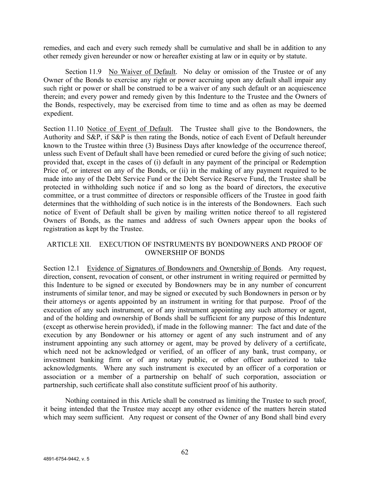remedies, and each and every such remedy shall be cumulative and shall be in addition to any other remedy given hereunder or now or hereafter existing at law or in equity or by statute.

Section 11.9 No Waiver of Default. No delay or omission of the Trustee or of any Owner of the Bonds to exercise any right or power accruing upon any default shall impair any such right or power or shall be construed to be a waiver of any such default or an acquiescence therein; and every power and remedy given by this Indenture to the Trustee and the Owners of the Bonds, respectively, may be exercised from time to time and as often as may be deemed expedient.

Section 11.10 Notice of Event of Default. The Trustee shall give to the Bondowners, the Authority and S&P, if S&P is then rating the Bonds, notice of each Event of Default hereunder known to the Trustee within three (3) Business Days after knowledge of the occurrence thereof, unless such Event of Default shall have been remedied or cured before the giving of such notice; provided that, except in the cases of (i) default in any payment of the principal or Redemption Price of, or interest on any of the Bonds, or (ii) in the making of any payment required to be made into any of the Debt Service Fund or the Debt Service Reserve Fund, the Trustee shall be protected in withholding such notice if and so long as the board of directors, the executive committee, or a trust committee of directors or responsible officers of the Trustee in good faith determines that the withholding of such notice is in the interests of the Bondowners. Each such notice of Event of Default shall be given by mailing written notice thereof to all registered Owners of Bonds, as the names and address of such Owners appear upon the books of registration as kept by the Trustee.

# ARTICLE XII. EXECUTION OF INSTRUMENTS BY BONDOWNERS AND PROOF OF OWNERSHIP OF BONDS

Section 12.1 Evidence of Signatures of Bondowners and Ownership of Bonds. Any request, direction, consent, revocation of consent, or other instrument in writing required or permitted by this Indenture to be signed or executed by Bondowners may be in any number of concurrent instruments of similar tenor, and may be signed or executed by such Bondowners in person or by their attorneys or agents appointed by an instrument in writing for that purpose. Proof of the execution of any such instrument, or of any instrument appointing any such attorney or agent, and of the holding and ownership of Bonds shall be sufficient for any purpose of this Indenture (except as otherwise herein provided), if made in the following manner: The fact and date of the execution by any Bondowner or his attorney or agent of any such instrument and of any instrument appointing any such attorney or agent, may be proved by delivery of a certificate, which need not be acknowledged or verified, of an officer of any bank, trust company, or investment banking firm or of any notary public, or other officer authorized to take acknowledgments. Where any such instrument is executed by an officer of a corporation or association or a member of a partnership on behalf of such corporation, association or partnership, such certificate shall also constitute sufficient proof of his authority.

Nothing contained in this Article shall be construed as limiting the Trustee to such proof, it being intended that the Trustee may accept any other evidence of the matters herein stated which may seem sufficient. Any request or consent of the Owner of any Bond shall bind every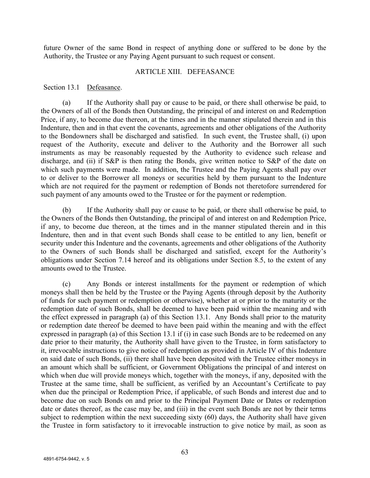future Owner of the same Bond in respect of anything done or suffered to be done by the Authority, the Trustee or any Paying Agent pursuant to such request or consent.

#### ARTICLE XIII. DEFEASANCE

#### Section 13.1 Defeasance.

(a) If the Authority shall pay or cause to be paid, or there shall otherwise be paid, to the Owners of all of the Bonds then Outstanding, the principal of and interest on and Redemption Price, if any, to become due thereon, at the times and in the manner stipulated therein and in this Indenture, then and in that event the covenants, agreements and other obligations of the Authority to the Bondowners shall be discharged and satisfied. In such event, the Trustee shall, (i) upon request of the Authority, execute and deliver to the Authority and the Borrower all such instruments as may be reasonably requested by the Authority to evidence such release and discharge, and (ii) if S&P is then rating the Bonds, give written notice to S&P of the date on which such payments were made. In addition, the Trustee and the Paying Agents shall pay over to or deliver to the Borrower all moneys or securities held by them pursuant to the Indenture which are not required for the payment or redemption of Bonds not theretofore surrendered for such payment of any amounts owed to the Trustee or for the payment or redemption.

(b) If the Authority shall pay or cause to be paid, or there shall otherwise be paid, to the Owners of the Bonds then Outstanding, the principal of and interest on and Redemption Price, if any, to become due thereon, at the times and in the manner stipulated therein and in this Indenture, then and in that event such Bonds shall cease to be entitled to any lien, benefit or security under this Indenture and the covenants, agreements and other obligations of the Authority to the Owners of such Bonds shall be discharged and satisfied, except for the Authority's obligations under Section 7.14 hereof and its obligations under Section 8.5, to the extent of any amounts owed to the Trustee.

(c) Any Bonds or interest installments for the payment or redemption of which moneys shall then be held by the Trustee or the Paying Agents (through deposit by the Authority of funds for such payment or redemption or otherwise), whether at or prior to the maturity or the redemption date of such Bonds, shall be deemed to have been paid within the meaning and with the effect expressed in paragraph (a) of this Section 13.1. Any Bonds shall prior to the maturity or redemption date thereof be deemed to have been paid within the meaning and with the effect expressed in paragraph (a) of this Section 13.1 if (i) in case such Bonds are to be redeemed on any date prior to their maturity, the Authority shall have given to the Trustee, in form satisfactory to it, irrevocable instructions to give notice of redemption as provided in Article IV of this Indenture on said date of such Bonds, (ii) there shall have been deposited with the Trustee either moneys in an amount which shall be sufficient, or Government Obligations the principal of and interest on which when due will provide moneys which, together with the moneys, if any, deposited with the Trustee at the same time, shall be sufficient, as verified by an Accountant's Certificate to pay when due the principal or Redemption Price, if applicable, of such Bonds and interest due and to become due on such Bonds on and prior to the Principal Payment Date or Dates or redemption date or dates thereof, as the case may be, and (iii) in the event such Bonds are not by their terms subject to redemption within the next succeeding sixty (60) days, the Authority shall have given the Trustee in form satisfactory to it irrevocable instruction to give notice by mail, as soon as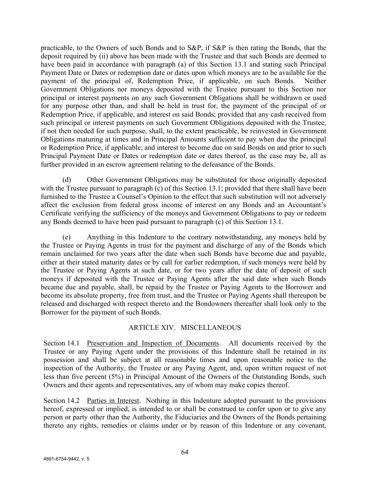practicable, to the Owners of such Bonds and to S&P, if S&P is then rating the Bonds, that the deposit required by (ii) above has been made with the Trustee and that such Bonds are deemed to have been paid in accordance with paragraph (a) of this Section 13.1 and stating such Principal Payment Date or Dates or redemption date or dates upon which moneys are to be available for the payment of the principal of, Redemption Price, if applicable, on such Bonds. Neither Government Obligations nor moneys deposited with the Trustee pursuant to this Section nor principal or interest payments on any such Government Obligations shall be withdrawn or used for any purpose other than, and shall be held in trust for, the payment of the principal of or Redemption Price, if applicable, and interest on said Bonds; provided that any cash received from such principal or interest payments on such Government Obligations deposited with the Trustee, if not then needed for such purpose, shall, to the extent practicable, be reinvested in Government Obligations maturing at times and in Principal Amounts sufficient to pay when due the principal or Redemption Price, if applicable, and interest to become due on said Bonds on and prior to such Principal Payment Date or Dates or redemption date or dates thereof, as the case may be, all as further provided in an escrow agreement relating to the defeasance of the Bonds.

(d) Other Government Obligations may be substituted for those originally deposited with the Trustee pursuant to paragraph (c) of this Section 13.1; provided that there shall have been furnished to the Trustee a Counsel's Opinion to the effect that such substitution will not adversely affect the exclusion from federal gross income of interest on any Bonds and an Accountant's Certificate verifying the sufficiency of the moneys and Government Obligations to pay or redeem any Bonds deemed to have been paid pursuant to paragraph (c) of this Section 13.1.

(e) Anything in this Indenture to the contrary notwithstanding, any moneys held by the Trustee or Paying Agents in trust for the payment and discharge of any of the Bonds which remain unclaimed for two years after the date when such Bonds have become due and payable, either at their stated maturity dates or by call for earlier redemption, if such moneys were held by the Trustee or Paying Agents at such date, or for two years after the date of deposit of such moneys if deposited with the Trustee or Paying Agents after the said date when such Bonds became due and payable, shall, be repaid by the Trustee or Paying Agents to the Borrower and become its absolute property, free from trust, and the Trustee or Paying Agents shall thereupon be released and discharged with respect thereto and the Bondowners thereafter shall look only to the Borrower for the payment of such Bonds.

# ARTICLE XIV. MISCELLANEOUS

Section 14.1 Preservation and Inspection of Documents. All documents received by the Trustee or any Paying Agent under the provisions of this Indenture shall be retained in its possession and shall be subject at all reasonable times and upon reasonable notice to the inspection of the Authority, the Trustee or any Paying Agent, and, upon written request of not less than five percent (5%) in Principal Amount of the Owners of the Outstanding Bonds, such Owners and their agents and representatives, any of whom may make copies thereof.

Section 14.2 Parties in Interest. Nothing in this Indenture adopted pursuant to the provisions hereof, expressed or implied, is intended to or shall be construed to confer upon or to give any person or party other than the Authority, the Fiduciaries and the Owners of the Bonds pertaining thereto any rights, remedies or claims under or by reason of this Indenture or any covenant,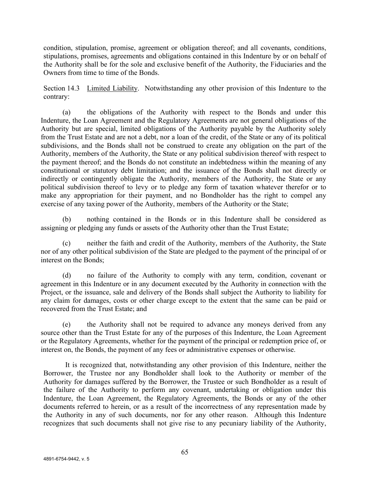condition, stipulation, promise, agreement or obligation thereof; and all covenants, conditions, stipulations, promises, agreements and obligations contained in this Indenture by or on behalf of the Authority shall be for the sole and exclusive benefit of the Authority, the Fiduciaries and the Owners from time to time of the Bonds.

Section 14.3 Limited Liability. Notwithstanding any other provision of this Indenture to the contrary:

(a) the obligations of the Authority with respect to the Bonds and under this Indenture, the Loan Agreement and the Regulatory Agreements are not general obligations of the Authority but are special, limited obligations of the Authority payable by the Authority solely from the Trust Estate and are not a debt, nor a loan of the credit, of the State or any of its political subdivisions, and the Bonds shall not be construed to create any obligation on the part of the Authority, members of the Authority, the State or any political subdivision thereof with respect to the payment thereof; and the Bonds do not constitute an indebtedness within the meaning of any constitutional or statutory debt limitation; and the issuance of the Bonds shall not directly or indirectly or contingently obligate the Authority, members of the Authority, the State or any political subdivision thereof to levy or to pledge any form of taxation whatever therefor or to make any appropriation for their payment, and no Bondholder has the right to compel any exercise of any taxing power of the Authority, members of the Authority or the State;

(b) nothing contained in the Bonds or in this Indenture shall be considered as assigning or pledging any funds or assets of the Authority other than the Trust Estate;

(c) neither the faith and credit of the Authority, members of the Authority, the State nor of any other political subdivision of the State are pledged to the payment of the principal of or interest on the Bonds;

(d) no failure of the Authority to comply with any term, condition, covenant or agreement in this Indenture or in any document executed by the Authority in connection with the Project, or the issuance, sale and delivery of the Bonds shall subject the Authority to liability for any claim for damages, costs or other charge except to the extent that the same can be paid or recovered from the Trust Estate; and

(e) the Authority shall not be required to advance any moneys derived from any source other than the Trust Estate for any of the purposes of this Indenture, the Loan Agreement or the Regulatory Agreements, whether for the payment of the principal or redemption price of, or interest on, the Bonds, the payment of any fees or administrative expenses or otherwise.

It is recognized that, notwithstanding any other provision of this Indenture, neither the Borrower, the Trustee nor any Bondholder shall look to the Authority or member of the Authority for damages suffered by the Borrower, the Trustee or such Bondholder as a result of the failure of the Authority to perform any covenant, undertaking or obligation under this Indenture, the Loan Agreement, the Regulatory Agreements, the Bonds or any of the other documents referred to herein, or as a result of the incorrectness of any representation made by the Authority in any of such documents, nor for any other reason. Although this Indenture recognizes that such documents shall not give rise to any pecuniary liability of the Authority,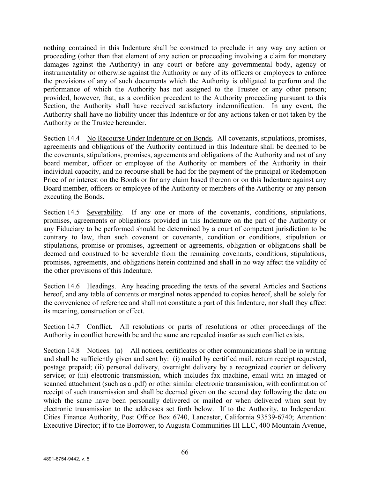nothing contained in this Indenture shall be construed to preclude in any way any action or proceeding (other than that element of any action or proceeding involving a claim for monetary damages against the Authority) in any court or before any governmental body, agency or instrumentality or otherwise against the Authority or any of its officers or employees to enforce the provisions of any of such documents which the Authority is obligated to perform and the performance of which the Authority has not assigned to the Trustee or any other person; provided, however, that, as a condition precedent to the Authority proceeding pursuant to this Section, the Authority shall have received satisfactory indemnification. In any event, the Authority shall have no liability under this Indenture or for any actions taken or not taken by the Authority or the Trustee hereunder.

Section 14.4 No Recourse Under Indenture or on Bonds. All covenants, stipulations, promises, agreements and obligations of the Authority continued in this Indenture shall be deemed to be the covenants, stipulations, promises, agreements and obligations of the Authority and not of any board member, officer or employee of the Authority or members of the Authority in their individual capacity, and no recourse shall be had for the payment of the principal or Redemption Price of or interest on the Bonds or for any claim based thereon or on this Indenture against any Board member, officers or employee of the Authority or members of the Authority or any person executing the Bonds.

Section 14.5 Severability. If any one or more of the covenants, conditions, stipulations, promises, agreements or obligations provided in this Indenture on the part of the Authority or any Fiduciary to be performed should be determined by a court of competent jurisdiction to be contrary to law, then such covenant or covenants, condition or conditions, stipulation or stipulations, promise or promises, agreement or agreements, obligation or obligations shall be deemed and construed to be severable from the remaining covenants, conditions, stipulations, promises, agreements, and obligations herein contained and shall in no way affect the validity of the other provisions of this Indenture.

Section 14.6 Headings. Any heading preceding the texts of the several Articles and Sections hereof, and any table of contents or marginal notes appended to copies hereof, shall be solely for the convenience of reference and shall not constitute a part of this Indenture, nor shall they affect its meaning, construction or effect.

Section 14.7 Conflict. All resolutions or parts of resolutions or other proceedings of the Authority in conflict herewith be and the same are repealed insofar as such conflict exists.

Section 14.8 Notices. (a) All notices, certificates or other communications shall be in writing and shall be sufficiently given and sent by: (i) mailed by certified mail, return receipt requested, postage prepaid; (ii) personal delivery, overnight delivery by a recognized courier or delivery service; or (iii) electronic transmission, which includes fax machine, email with an imaged or scanned attachment (such as a .pdf) or other similar electronic transmission, with confirmation of receipt of such transmission and shall be deemed given on the second day following the date on which the same have been personally delivered or mailed or when delivered when sent by electronic transmission to the addresses set forth below. If to the Authority, to Independent Cities Finance Authority, Post Office Box 6740, Lancaster, California 93539-6740; Attention: Executive Director; if to the Borrower, to Augusta Communities III LLC, 400 Mountain Avenue,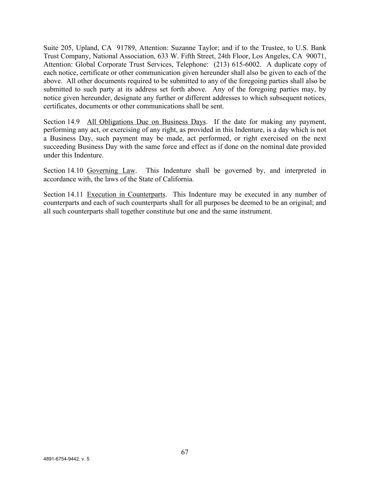Suite 205, Upland, CA 91789, Attention: Suzanne Taylor; and if to the Trustee, to U.S. Bank Trust Company, National Association, 633 W. Fifth Street, 24th Floor, Los Angeles, CA 90071, Attention: Global Corporate Trust Services, Telephone: (213) 615-6002. A duplicate copy of each notice, certificate or other communication given hereunder shall also be given to each of the above. All other documents required to be submitted to any of the foregoing parties shall also be submitted to such party at its address set forth above. Any of the foregoing parties may, by notice given hereunder, designate any further or different addresses to which subsequent notices, certificates, documents or other communications shall be sent.

Section 14.9 All Obligations Due on Business Days. If the date for making any payment, performing any act, or exercising of any right, as provided in this Indenture, is a day which is not a Business Day, such payment may be made, act performed, or right exercised on the next succeeding Business Day with the same force and effect as if done on the nominal date provided under this Indenture.

Section 14.10 Governing Law. This Indenture shall be governed by, and interpreted in accordance with, the laws of the State of California.

Section 14.11 Execution in Counterparts. This Indenture may be executed in any number of counterparts and each of such counterparts shall for all purposes be deemed to be an original; and all such counterparts shall together constitute but one and the same instrument.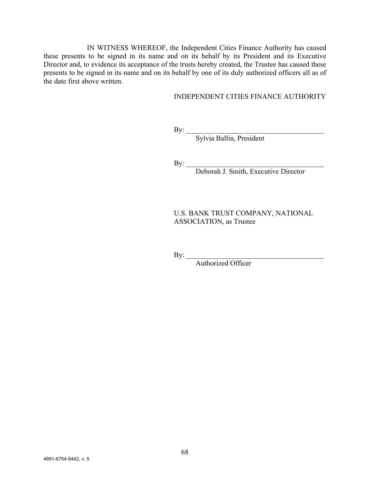IN WITNESS WHEREOF, the Independent Cities Finance Authority has caused these presents to be signed in its name and on its behalf by its President and its Executive Director and, to evidence its acceptance of the trusts hereby created, the Trustee has caused these presents to be signed in its name and on its behalf by one of its duly authorized officers all as of the date first above written.

## INDEPENDENT CITIES FINANCE AUTHORITY

 $\mathbf{By:}$ 

Sylvia Ballin, President

 $\mathbf{By:}$ 

Deborah J. Smith, Executive Director

U.S. BANK TRUST COMPANY, NATIONAL ASSOCIATION, as Trustee

 $\mathbf{By:}$ 

Authorized Officer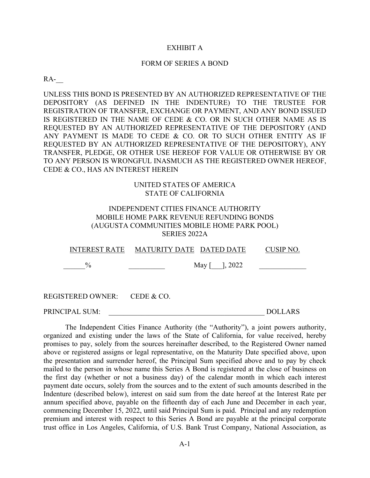#### EXHIBIT A

#### FORM OF SERIES A BOND

 $RA$ -

UNLESS THIS BOND IS PRESENTED BY AN AUTHORIZED REPRESENTATIVE OF THE DEPOSITORY (AS DEFINED IN THE INDENTURE) TO THE TRUSTEE FOR REGISTRATION OF TRANSFER, EXCHANGE OR PAYMENT, AND ANY BOND ISSUED IS REGISTERED IN THE NAME OF CEDE & CO. OR IN SUCH OTHER NAME AS IS REQUESTED BY AN AUTHORIZED REPRESENTATIVE OF THE DEPOSITORY (AND ANY PAYMENT IS MADE TO CEDE & CO. OR TO SUCH OTHER ENTITY AS IF REQUESTED BY AN AUTHORIZED REPRESENTATIVE OF THE DEPOSITORY), ANY TRANSFER, PLEDGE, OR OTHER USE HEREOF FOR VALUE OR OTHERWISE BY OR TO ANY PERSON IS WRONGFUL INASMUCH AS THE REGISTERED OWNER HEREOF, CEDE & CO., HAS AN INTEREST HEREIN

# UNITED STATES OF AMERICA STATE OF CALIFORNIA

### INDEPENDENT CITIES FINANCE AUTHORITY MOBILE HOME PARK REVENUE REFUNDING BONDS (AUGUSTA COMMUNITIES MOBILE HOME PARK POOL) SERIES 2022A

INTEREST RATE MATURITY DATE DATED DATE CUSIP NO.  $\%$  May  $\begin{bmatrix} 0, & 2022 \end{bmatrix}$ 

REGISTERED OWNER: CEDE & CO.

PRINCIPAL SUM: \_\_\_\_\_\_\_\_\_\_\_\_\_\_\_\_\_\_\_\_\_\_\_\_\_\_\_\_\_\_\_\_\_\_\_\_\_\_\_\_\_\_\_ DOLLARS

The Independent Cities Finance Authority (the "Authority"), a joint powers authority, organized and existing under the laws of the State of California, for value received, hereby promises to pay, solely from the sources hereinafter described, to the Registered Owner named above or registered assigns or legal representative, on the Maturity Date specified above, upon the presentation and surrender hereof, the Principal Sum specified above and to pay by check mailed to the person in whose name this Series A Bond is registered at the close of business on the first day (whether or not a business day) of the calendar month in which each interest payment date occurs, solely from the sources and to the extent of such amounts described in the Indenture (described below), interest on said sum from the date hereof at the Interest Rate per annum specified above, payable on the fifteenth day of each June and December in each year, commencing December 15, 2022, until said Principal Sum is paid. Principal and any redemption premium and interest with respect to this Series A Bond are payable at the principal corporate trust office in Los Angeles, California, of U.S. Bank Trust Company, National Association, as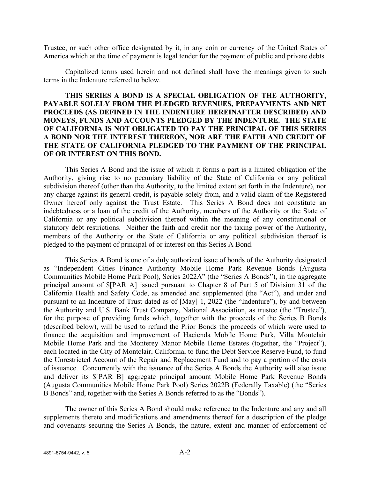Trustee, or such other office designated by it, in any coin or currency of the United States of America which at the time of payment is legal tender for the payment of public and private debts.

Capitalized terms used herein and not defined shall have the meanings given to such terms in the Indenture referred to below.

# **THIS SERIES A BOND IS A SPECIAL OBLIGATION OF THE AUTHORITY, PAYABLE SOLELY FROM THE PLEDGED REVENUES, PREPAYMENTS AND NET PROCEEDS (AS DEFINED IN THE INDENTURE HEREINAFTER DESCRIBED) AND MONEYS, FUNDS AND ACCOUNTS PLEDGED BY THE INDENTURE. THE STATE OF CALIFORNIA IS NOT OBLIGATED TO PAY THE PRINCIPAL OF THIS SERIES A BOND NOR THE INTEREST THEREON, NOR ARE THE FAITH AND CREDIT OF THE STATE OF CALIFORNIA PLEDGED TO THE PAYMENT OF THE PRINCIPAL OF OR INTEREST ON THIS BOND.**

This Series A Bond and the issue of which it forms a part is a limited obligation of the Authority, giving rise to no pecuniary liability of the State of California or any political subdivision thereof (other than the Authority, to the limited extent set forth in the Indenture), nor any charge against its general credit, is payable solely from, and a valid claim of the Registered Owner hereof only against the Trust Estate. This Series A Bond does not constitute an indebtedness or a loan of the credit of the Authority, members of the Authority or the State of California or any political subdivision thereof within the meaning of any constitutional or statutory debt restrictions. Neither the faith and credit nor the taxing power of the Authority, members of the Authority or the State of California or any political subdivision thereof is pledged to the payment of principal of or interest on this Series A Bond.

This Series A Bond is one of a duly authorized issue of bonds of the Authority designated as "Independent Cities Finance Authority Mobile Home Park Revenue Bonds (Augusta Communities Mobile Home Park Pool), Series 2022A" (the "Series A Bonds"), in the aggregate principal amount of \$[PAR A] issued pursuant to Chapter 8 of Part 5 of Division 31 of the California Health and Safety Code, as amended and supplemented (the "Act"), and under and pursuant to an Indenture of Trust dated as of [May] 1, 2022 (the "Indenture"), by and between the Authority and U.S. Bank Trust Company, National Association, as trustee (the "Trustee"), for the purpose of providing funds which, together with the proceeds of the Series B Bonds (described below), will be used to refund the Prior Bonds the proceeds of which were used to finance the acquisition and improvement of Hacienda Mobile Home Park, Villa Montclair Mobile Home Park and the Monterey Manor Mobile Home Estates (together, the "Project"), each located in the City of Montclair, California, to fund the Debt Service Reserve Fund, to fund the Unrestricted Account of the Repair and Replacement Fund and to pay a portion of the costs of issuance. Concurrently with the issuance of the Series A Bonds the Authority will also issue and deliver its \$[PAR B] aggregate principal amount Mobile Home Park Revenue Bonds (Augusta Communities Mobile Home Park Pool) Series 2022B (Federally Taxable) (the "Series B Bonds" and, together with the Series A Bonds referred to as the "Bonds").

The owner of this Series A Bond should make reference to the Indenture and any and all supplements thereto and modifications and amendments thereof for a description of the pledge and covenants securing the Series A Bonds, the nature, extent and manner of enforcement of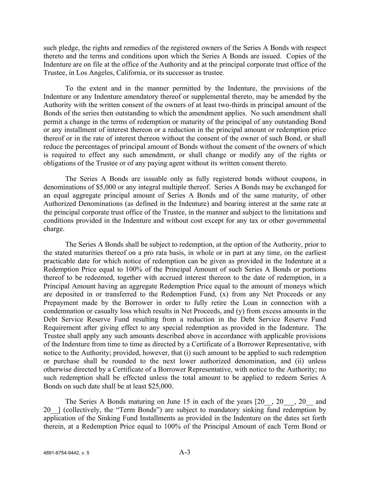such pledge, the rights and remedies of the registered owners of the Series A Bonds with respect thereto and the terms and conditions upon which the Series A Bonds are issued. Copies of the Indenture are on file at the office of the Authority and at the principal corporate trust office of the Trustee, in Los Angeles, California, or its successor as trustee.

To the extent and in the manner permitted by the Indenture, the provisions of the Indenture or any Indenture amendatory thereof or supplemental thereto, may be amended by the Authority with the written consent of the owners of at least two-thirds in principal amount of the Bonds of the series then outstanding to which the amendment applies. No such amendment shall permit a change in the terms of redemption or maturity of the principal of any outstanding Bond or any installment of interest thereon or a reduction in the principal amount or redemption price thereof or in the rate of interest thereon without the consent of the owner of such Bond, or shall reduce the percentages of principal amount of Bonds without the consent of the owners of which is required to effect any such amendment, or shall change or modify any of the rights or obligations of the Trustee or of any paying agent without its written consent thereto.

The Series A Bonds are issuable only as fully registered bonds without coupons, in denominations of \$5,000 or any integral multiple thereof. Series A Bonds may be exchanged for an equal aggregate principal amount of Series A Bonds and of the same maturity, of other Authorized Denominations (as defined in the Indenture) and bearing interest at the same rate at the principal corporate trust office of the Trustee, in the manner and subject to the limitations and conditions provided in the Indenture and without cost except for any tax or other governmental charge.

The Series A Bonds shall be subject to redemption, at the option of the Authority, prior to the stated maturities thereof on a pro rata basis, in whole or in part at any time, on the earliest practicable date for which notice of redemption can be given as provided in the Indenture at a Redemption Price equal to 100% of the Principal Amount of such Series A Bonds or portions thereof to be redeemed, together with accrued interest thereon to the date of redemption, in a Principal Amount having an aggregate Redemption Price equal to the amount of moneys which are deposited in or transferred to the Redemption Fund, (x) from any Net Proceeds or any Prepayment made by the Borrower in order to fully retire the Loan in connection with a condemnation or casualty loss which results in Net Proceeds, and (y) from excess amounts in the Debt Service Reserve Fund resulting from a reduction in the Debt Service Reserve Fund Requirement after giving effect to any special redemption as provided in the Indenture. The Trustee shall apply any such amounts described above in accordance with applicable provisions of the Indenture from time to time as directed by a Certificate of a Borrower Representative, with notice to the Authority; provided, however, that (i) such amount to be applied to such redemption or purchase shall be rounded to the next lower authorized denomination, and (ii) unless otherwise directed by a Certificate of a Borrower Representative, with notice to the Authority; no such redemption shall be effected unless the total amount to be applied to redeem Series A Bonds on such date shall be at least \$25,000.

The Series A Bonds maturing on June 15 in each of the years [20, 20, 20, 20] and 20 ] (collectively, the "Term Bonds") are subject to mandatory sinking fund redemption by application of the Sinking Fund Installments as provided in the Indenture on the dates set forth therein, at a Redemption Price equal to 100% of the Principal Amount of each Term Bond or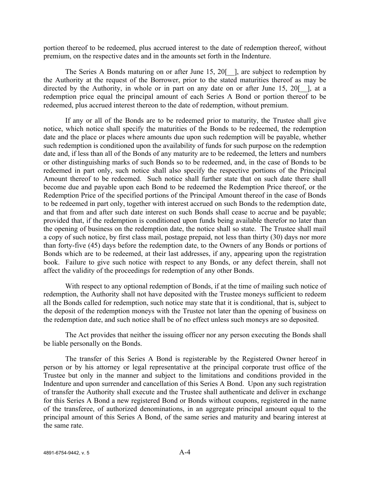portion thereof to be redeemed, plus accrued interest to the date of redemption thereof, without premium, on the respective dates and in the amounts set forth in the Indenture.

The Series A Bonds maturing on or after June 15, 20<sup>[-1]</sup>, are subject to redemption by the Authority at the request of the Borrower, prior to the stated maturities thereof as may be directed by the Authority, in whole or in part on any date on or after June 15, 20 $\lceil$ , at a redemption price equal the principal amount of each Series A Bond or portion thereof to be redeemed, plus accrued interest thereon to the date of redemption, without premium.

If any or all of the Bonds are to be redeemed prior to maturity, the Trustee shall give notice, which notice shall specify the maturities of the Bonds to be redeemed, the redemption date and the place or places where amounts due upon such redemption will be payable, whether such redemption is conditioned upon the availability of funds for such purpose on the redemption date and, if less than all of the Bonds of any maturity are to be redeemed, the letters and numbers or other distinguishing marks of such Bonds so to be redeemed, and, in the case of Bonds to be redeemed in part only, such notice shall also specify the respective portions of the Principal Amount thereof to be redeemed. Such notice shall further state that on such date there shall become due and payable upon each Bond to be redeemed the Redemption Price thereof, or the Redemption Price of the specified portions of the Principal Amount thereof in the case of Bonds to be redeemed in part only, together with interest accrued on such Bonds to the redemption date, and that from and after such date interest on such Bonds shall cease to accrue and be payable; provided that, if the redemption is conditioned upon funds being available therefor no later than the opening of business on the redemption date, the notice shall so state. The Trustee shall mail a copy of such notice, by first class mail, postage prepaid, not less than thirty (30) days nor more than forty-five (45) days before the redemption date, to the Owners of any Bonds or portions of Bonds which are to be redeemed, at their last addresses, if any, appearing upon the registration book. Failure to give such notice with respect to any Bonds, or any defect therein, shall not affect the validity of the proceedings for redemption of any other Bonds.

With respect to any optional redemption of Bonds, if at the time of mailing such notice of redemption, the Authority shall not have deposited with the Trustee moneys sufficient to redeem all the Bonds called for redemption, such notice may state that it is conditional, that is, subject to the deposit of the redemption moneys with the Trustee not later than the opening of business on the redemption date, and such notice shall be of no effect unless such moneys are so deposited.

The Act provides that neither the issuing officer nor any person executing the Bonds shall be liable personally on the Bonds.

The transfer of this Series A Bond is registerable by the Registered Owner hereof in person or by his attorney or legal representative at the principal corporate trust office of the Trustee but only in the manner and subject to the limitations and conditions provided in the Indenture and upon surrender and cancellation of this Series A Bond. Upon any such registration of transfer the Authority shall execute and the Trustee shall authenticate and deliver in exchange for this Series A Bond a new registered Bond or Bonds without coupons, registered in the name of the transferee, of authorized denominations, in an aggregate principal amount equal to the principal amount of this Series A Bond, of the same series and maturity and bearing interest at the same rate.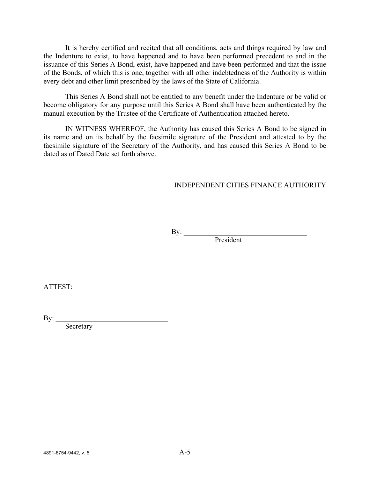It is hereby certified and recited that all conditions, acts and things required by law and the Indenture to exist, to have happened and to have been performed precedent to and in the issuance of this Series A Bond, exist, have happened and have been performed and that the issue of the Bonds, of which this is one, together with all other indebtedness of the Authority is within every debt and other limit prescribed by the laws of the State of California.

This Series A Bond shall not be entitled to any benefit under the Indenture or be valid or become obligatory for any purpose until this Series A Bond shall have been authenticated by the manual execution by the Trustee of the Certificate of Authentication attached hereto.

IN WITNESS WHEREOF, the Authority has caused this Series A Bond to be signed in its name and on its behalf by the facsimile signature of the President and attested to by the facsimile signature of the Secretary of the Authority, and has caused this Series A Bond to be dated as of Dated Date set forth above.

### INDEPENDENT CITIES FINANCE AUTHORITY

 $\mathbf{By:}$ 

President

ATTEST:

By:  $\qquad$ 

**Secretary**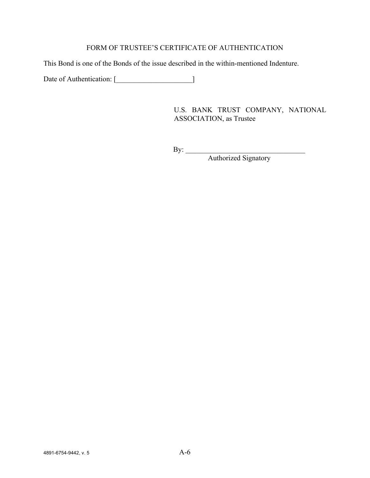# FORM OF TRUSTEE'S CERTIFICATE OF AUTHENTICATION

This Bond is one of the Bonds of the issue described in the within-mentioned Indenture.

Date of Authentication: [\_\_\_\_\_\_\_\_\_\_\_\_\_\_\_\_\_\_\_\_\_]

U.S. BANK TRUST COMPANY, NATIONAL ASSOCIATION, as Trustee

 $\mathbf{By:}$ 

Authorized Signatory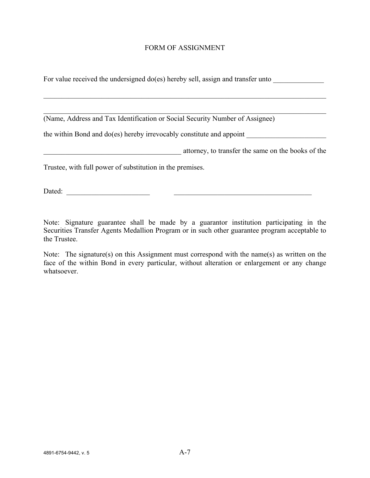### FORM OF ASSIGNMENT

For value received the undersigned do(es) hereby sell, assign and transfer unto

(Name, Address and Tax Identification or Social Security Number of Assignee)

the within Bond and  $do(es)$  hereby irrevocably constitute and appoint

external attorney, to transfer the same on the books of the

Trustee, with full power of substitution in the premises.

Dated: \_\_\_\_\_\_\_\_\_\_\_\_\_\_\_\_\_\_\_\_\_\_\_ \_\_\_\_\_\_\_\_\_\_\_\_\_\_\_\_\_\_\_\_\_\_\_\_\_\_\_\_\_\_\_\_\_\_\_\_\_\_

Note: Signature guarantee shall be made by a guarantor institution participating in the Securities Transfer Agents Medallion Program or in such other guarantee program acceptable to the Trustee.

Note: The signature(s) on this Assignment must correspond with the name(s) as written on the face of the within Bond in every particular, without alteration or enlargement or any change whatsoever.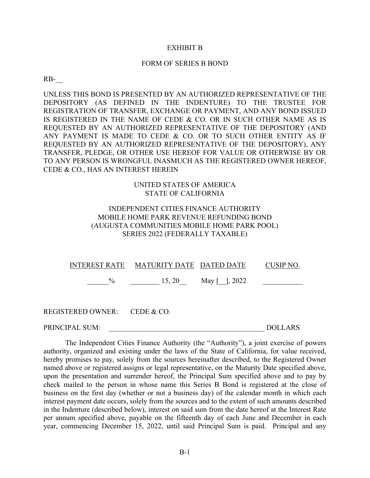#### EXHIBIT B

#### FORM OF SERIES B BOND

RB-\_\_

UNLESS THIS BOND IS PRESENTED BY AN AUTHORIZED REPRESENTATIVE OF THE DEPOSITORY (AS DEFINED IN THE INDENTURE) TO THE TRUSTEE FOR REGISTRATION OF TRANSFER, EXCHANGE OR PAYMENT, AND ANY BOND ISSUED IS REGISTERED IN THE NAME OF CEDE & CO. OR IN SUCH OTHER NAME AS IS REQUESTED BY AN AUTHORIZED REPRESENTATIVE OF THE DEPOSITORY (AND ANY PAYMENT IS MADE TO CEDE & CO. OR TO SUCH OTHER ENTITY AS IF REQUESTED BY AN AUTHORIZED REPRESENTATIVE OF THE DEPOSITORY), ANY TRANSFER, PLEDGE, OR OTHER USE HEREOF FOR VALUE OR OTHERWISE BY OR TO ANY PERSON IS WRONGFUL INASMUCH AS THE REGISTERED OWNER HEREOF, CEDE & CO., HAS AN INTEREST HEREIN

### UNITED STATES OF AMERICA STATE OF CALIFORNIA

# INDEPENDENT CITIES FINANCE AUTHORITY MOBILE HOME PARK REVENUE REFUNDING BOND (AUGUSTA COMMUNITIES MOBILE HOME PARK POOL) SERIES 2022 (FEDERALLY TAXABLE)

|               | INTEREST RATE MATURITY DATE DATED DATE |               | CUSIP NO. |
|---------------|----------------------------------------|---------------|-----------|
| $\frac{0}{0}$ | 15, 20                                 | May [ ], 2022 |           |
|               |                                        |               |           |
|               |                                        |               |           |

REGISTERED OWNER: CEDE & CO.

PRINCIPAL SUM: \_\_\_\_\_\_\_\_\_\_\_\_\_\_\_\_\_\_\_\_\_\_\_\_\_\_\_\_\_\_\_\_\_\_\_\_\_\_\_\_\_\_\_ DOLLARS

The Independent Cities Finance Authority (the "Authority"), a joint exercise of powers authority, organized and existing under the laws of the State of California, for value received, hereby promises to pay, solely from the sources hereinafter described, to the Registered Owner named above or registered assigns or legal representative, on the Maturity Date specified above, upon the presentation and surrender hereof, the Principal Sum specified above and to pay by check mailed to the person in whose name this Series B Bond is registered at the close of business on the first day (whether or not a business day) of the calendar month in which each interest payment date occurs, solely from the sources and to the extent of such amounts described in the Indenture (described below), interest on said sum from the date hereof at the Interest Rate per annum specified above, payable on the fifteenth day of each June and December in each year, commencing December 15, 2022, until said Principal Sum is paid. Principal and any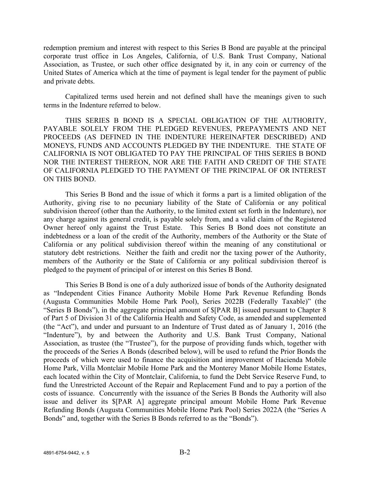redemption premium and interest with respect to this Series B Bond are payable at the principal corporate trust office in Los Angeles, California, of U.S. Bank Trust Company, National Association, as Trustee, or such other office designated by it, in any coin or currency of the United States of America which at the time of payment is legal tender for the payment of public and private debts.

Capitalized terms used herein and not defined shall have the meanings given to such terms in the Indenture referred to below.

THIS SERIES B BOND IS A SPECIAL OBLIGATION OF THE AUTHORITY, PAYABLE SOLELY FROM THE PLEDGED REVENUES, PREPAYMENTS AND NET PROCEEDS (AS DEFINED IN THE INDENTURE HEREINAFTER DESCRIBED) AND MONEYS, FUNDS AND ACCOUNTS PLEDGED BY THE INDENTURE. THE STATE OF CALIFORNIA IS NOT OBLIGATED TO PAY THE PRINCIPAL OF THIS SERIES B BOND NOR THE INTEREST THEREON, NOR ARE THE FAITH AND CREDIT OF THE STATE OF CALIFORNIA PLEDGED TO THE PAYMENT OF THE PRINCIPAL OF OR INTEREST ON THIS BOND.

This Series B Bond and the issue of which it forms a part is a limited obligation of the Authority, giving rise to no pecuniary liability of the State of California or any political subdivision thereof (other than the Authority, to the limited extent set forth in the Indenture), nor any charge against its general credit, is payable solely from, and a valid claim of the Registered Owner hereof only against the Trust Estate. This Series B Bond does not constitute an indebtedness or a loan of the credit of the Authority, members of the Authority or the State of California or any political subdivision thereof within the meaning of any constitutional or statutory debt restrictions. Neither the faith and credit nor the taxing power of the Authority, members of the Authority or the State of California or any political subdivision thereof is pledged to the payment of principal of or interest on this Series B Bond.

This Series B Bond is one of a duly authorized issue of bonds of the Authority designated as "Independent Cities Finance Authority Mobile Home Park Revenue Refunding Bonds (Augusta Communities Mobile Home Park Pool), Series 2022B (Federally Taxable)" (the "Series B Bonds"), in the aggregate principal amount of \$[PAR B] issued pursuant to Chapter 8 of Part 5 of Division 31 of the California Health and Safety Code, as amended and supplemented (the "Act"), and under and pursuant to an Indenture of Trust dated as of January 1, 2016 (the "Indenture"), by and between the Authority and U.S. Bank Trust Company, National Association, as trustee (the "Trustee"), for the purpose of providing funds which, together with the proceeds of the Series A Bonds (described below), will be used to refund the Prior Bonds the proceeds of which were used to finance the acquisition and improvement of Hacienda Mobile Home Park, Villa Montclair Mobile Home Park and the Monterey Manor Mobile Home Estates, each located within the City of Montclair, California, to fund the Debt Service Reserve Fund, to fund the Unrestricted Account of the Repair and Replacement Fund and to pay a portion of the costs of issuance. Concurrently with the issuance of the Series B Bonds the Authority will also issue and deliver its \$[PAR A] aggregate principal amount Mobile Home Park Revenue Refunding Bonds (Augusta Communities Mobile Home Park Pool) Series 2022A (the "Series A Bonds" and, together with the Series B Bonds referred to as the "Bonds").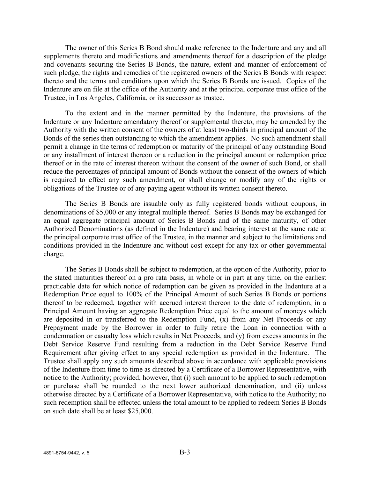The owner of this Series B Bond should make reference to the Indenture and any and all supplements thereto and modifications and amendments thereof for a description of the pledge and covenants securing the Series B Bonds, the nature, extent and manner of enforcement of such pledge, the rights and remedies of the registered owners of the Series B Bonds with respect thereto and the terms and conditions upon which the Series B Bonds are issued. Copies of the Indenture are on file at the office of the Authority and at the principal corporate trust office of the Trustee, in Los Angeles, California, or its successor as trustee.

To the extent and in the manner permitted by the Indenture, the provisions of the Indenture or any Indenture amendatory thereof or supplemental thereto, may be amended by the Authority with the written consent of the owners of at least two-thirds in principal amount of the Bonds of the series then outstanding to which the amendment applies. No such amendment shall permit a change in the terms of redemption or maturity of the principal of any outstanding Bond or any installment of interest thereon or a reduction in the principal amount or redemption price thereof or in the rate of interest thereon without the consent of the owner of such Bond, or shall reduce the percentages of principal amount of Bonds without the consent of the owners of which is required to effect any such amendment, or shall change or modify any of the rights or obligations of the Trustee or of any paying agent without its written consent thereto.

The Series B Bonds are issuable only as fully registered bonds without coupons, in denominations of \$5,000 or any integral multiple thereof. Series B Bonds may be exchanged for an equal aggregate principal amount of Series B Bonds and of the same maturity, of other Authorized Denominations (as defined in the Indenture) and bearing interest at the same rate at the principal corporate trust office of the Trustee, in the manner and subject to the limitations and conditions provided in the Indenture and without cost except for any tax or other governmental charge.

The Series B Bonds shall be subject to redemption, at the option of the Authority, prior to the stated maturities thereof on a pro rata basis, in whole or in part at any time, on the earliest practicable date for which notice of redemption can be given as provided in the Indenture at a Redemption Price equal to 100% of the Principal Amount of such Series B Bonds or portions thereof to be redeemed, together with accrued interest thereon to the date of redemption, in a Principal Amount having an aggregate Redemption Price equal to the amount of moneys which are deposited in or transferred to the Redemption Fund, (x) from any Net Proceeds or any Prepayment made by the Borrower in order to fully retire the Loan in connection with a condemnation or casualty loss which results in Net Proceeds, and (y) from excess amounts in the Debt Service Reserve Fund resulting from a reduction in the Debt Service Reserve Fund Requirement after giving effect to any special redemption as provided in the Indenture. The Trustee shall apply any such amounts described above in accordance with applicable provisions of the Indenture from time to time as directed by a Certificate of a Borrower Representative, with notice to the Authority; provided, however, that (i) such amount to be applied to such redemption or purchase shall be rounded to the next lower authorized denomination, and (ii) unless otherwise directed by a Certificate of a Borrower Representative, with notice to the Authority; no such redemption shall be effected unless the total amount to be applied to redeem Series B Bonds on such date shall be at least \$25,000.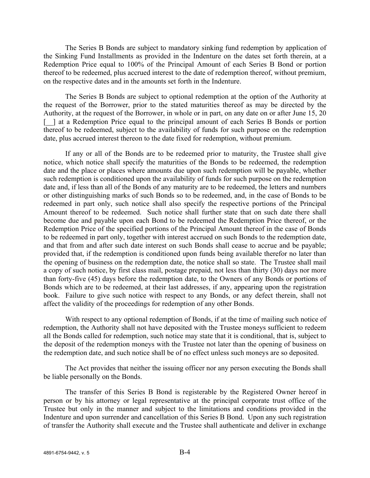The Series B Bonds are subject to mandatory sinking fund redemption by application of the Sinking Fund Installments as provided in the Indenture on the dates set forth therein, at a Redemption Price equal to 100% of the Principal Amount of each Series B Bond or portion thereof to be redeemed, plus accrued interest to the date of redemption thereof, without premium, on the respective dates and in the amounts set forth in the Indenture.

The Series B Bonds are subject to optional redemption at the option of the Authority at the request of the Borrower, prior to the stated maturities thereof as may be directed by the Authority, at the request of the Borrower, in whole or in part, on any date on or after June 15, 20 [ $\parallel$ ] at a Redemption Price equal to the principal amount of each Series B Bonds or portion thereof to be redeemed, subject to the availability of funds for such purpose on the redemption date, plus accrued interest thereon to the date fixed for redemption, without premium.

If any or all of the Bonds are to be redeemed prior to maturity, the Trustee shall give notice, which notice shall specify the maturities of the Bonds to be redeemed, the redemption date and the place or places where amounts due upon such redemption will be payable, whether such redemption is conditioned upon the availability of funds for such purpose on the redemption date and, if less than all of the Bonds of any maturity are to be redeemed, the letters and numbers or other distinguishing marks of such Bonds so to be redeemed, and, in the case of Bonds to be redeemed in part only, such notice shall also specify the respective portions of the Principal Amount thereof to be redeemed. Such notice shall further state that on such date there shall become due and payable upon each Bond to be redeemed the Redemption Price thereof, or the Redemption Price of the specified portions of the Principal Amount thereof in the case of Bonds to be redeemed in part only, together with interest accrued on such Bonds to the redemption date, and that from and after such date interest on such Bonds shall cease to accrue and be payable; provided that, if the redemption is conditioned upon funds being available therefor no later than the opening of business on the redemption date, the notice shall so state. The Trustee shall mail a copy of such notice, by first class mail, postage prepaid, not less than thirty (30) days nor more than forty-five (45) days before the redemption date, to the Owners of any Bonds or portions of Bonds which are to be redeemed, at their last addresses, if any, appearing upon the registration book. Failure to give such notice with respect to any Bonds, or any defect therein, shall not affect the validity of the proceedings for redemption of any other Bonds.

With respect to any optional redemption of Bonds, if at the time of mailing such notice of redemption, the Authority shall not have deposited with the Trustee moneys sufficient to redeem all the Bonds called for redemption, such notice may state that it is conditional, that is, subject to the deposit of the redemption moneys with the Trustee not later than the opening of business on the redemption date, and such notice shall be of no effect unless such moneys are so deposited.

The Act provides that neither the issuing officer nor any person executing the Bonds shall be liable personally on the Bonds.

The transfer of this Series B Bond is registerable by the Registered Owner hereof in person or by his attorney or legal representative at the principal corporate trust office of the Trustee but only in the manner and subject to the limitations and conditions provided in the Indenture and upon surrender and cancellation of this Series B Bond. Upon any such registration of transfer the Authority shall execute and the Trustee shall authenticate and deliver in exchange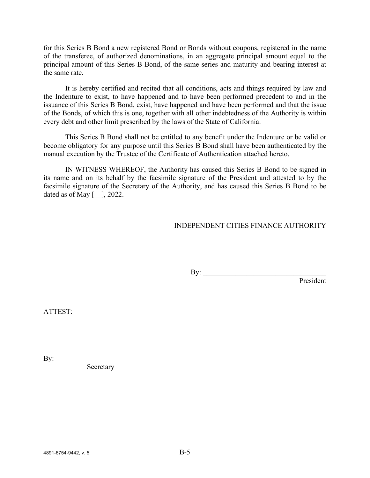for this Series B Bond a new registered Bond or Bonds without coupons, registered in the name of the transferee, of authorized denominations, in an aggregate principal amount equal to the principal amount of this Series B Bond, of the same series and maturity and bearing interest at the same rate.

It is hereby certified and recited that all conditions, acts and things required by law and the Indenture to exist, to have happened and to have been performed precedent to and in the issuance of this Series B Bond, exist, have happened and have been performed and that the issue of the Bonds, of which this is one, together with all other indebtedness of the Authority is within every debt and other limit prescribed by the laws of the State of California.

This Series B Bond shall not be entitled to any benefit under the Indenture or be valid or become obligatory for any purpose until this Series B Bond shall have been authenticated by the manual execution by the Trustee of the Certificate of Authentication attached hereto.

IN WITNESS WHEREOF, the Authority has caused this Series B Bond to be signed in its name and on its behalf by the facsimile signature of the President and attested to by the facsimile signature of the Secretary of the Authority, and has caused this Series B Bond to be dated as of May  $\lceil \quad \rceil$ , 2022.

# INDEPENDENT CITIES FINANCE AUTHORITY

 $\mathbf{By:}$ President

ATTEST:

By:  $\frac{y}{x}$ 

**Secretary**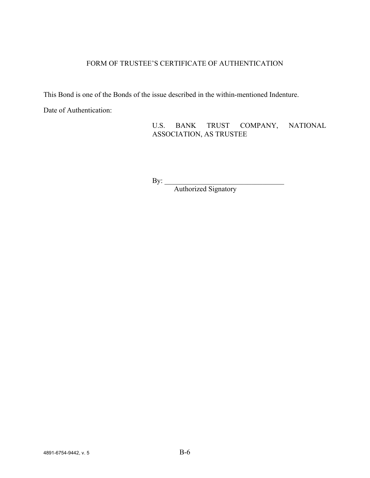# FORM OF TRUSTEE'S CERTIFICATE OF AUTHENTICATION

This Bond is one of the Bonds of the issue described in the within-mentioned Indenture.

Date of Authentication:

U.S. BANK TRUST COMPANY, NATIONAL ASSOCIATION, AS TRUSTEE

 $\mathbf{By:}$ 

Authorized Signatory